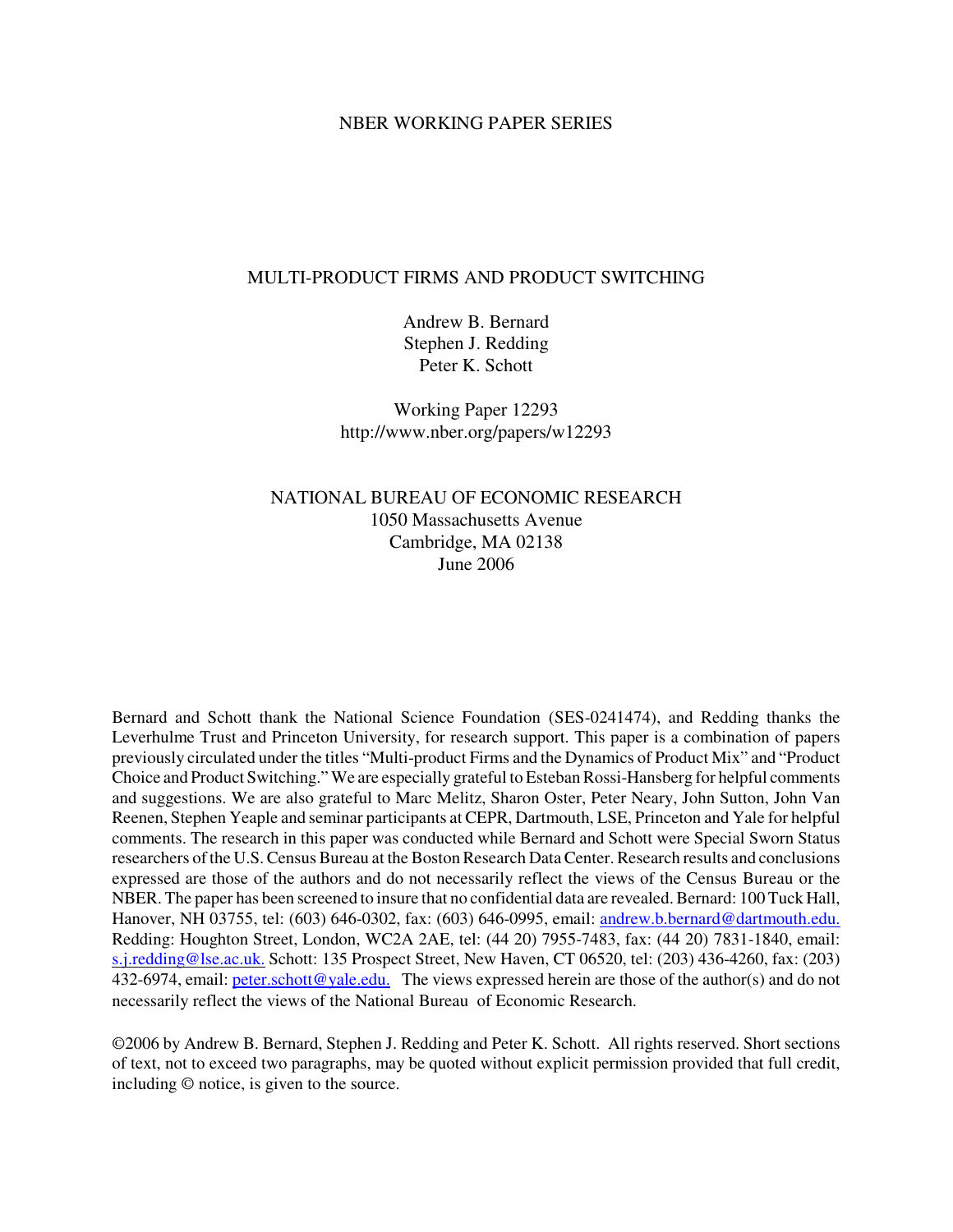# NBER WORKING PAPER SERIES

# MULTI-PRODUCT FIRMS AND PRODUCT SWITCHING

Andrew B. Bernard Stephen J. Redding Peter K. Schott

Working Paper 12293 http://www.nber.org/papers/w12293

# NATIONAL BUREAU OF ECONOMIC RESEARCH 1050 Massachusetts Avenue Cambridge, MA 02138 June 2006

Bernard and Schott thank the National Science Foundation (SES-0241474), and Redding thanks the Leverhulme Trust and Princeton University, for research support. This paper is a combination of papers previously circulated under the titles "Multi-product Firms and the Dynamics of Product Mix" and "Product Choice and Product Switching."We are especially grateful to EstebanRossi-Hansberg for helpful comments and suggestions. We are also grateful to Marc Melitz, Sharon Oster, Peter Neary, John Sutton, John Van Reenen, Stephen Yeaple and seminar participants at CEPR, Dartmouth, LSE, Princeton and Yale for helpful comments. The research in this paper was conducted while Bernard and Schott were Special Sworn Status researchers of the U.S. Census Bureau at the Boston Research Data Center. Research results and conclusions expressed are those of the authors and do not necessarily reflect the views of the Census Bureau or the NBER. The paper has been screened to insure that no confidential data are revealed. Bernard: 100 Tuck Hall, Hanover, NH 03755, tel: (603) 646-0302, fax: (603) 646-0995, email: andrew.b.bernard@dartmouth.edu. Redding: Houghton Street, London, WC2A 2AE, tel: (44 20) 7955-7483, fax: (44 20) 7831-1840, email: s.j.redding@lse.ac.uk. Schott: 135 Prospect Street, New Haven, CT 06520, tel: (203) 436-4260, fax: (203) 432-6974, email: *peter.schott@yale.edu.* The views expressed herein are those of the author(s) and do not necessarily reflect the views of the National Bureau of Economic Research.

©2006 by Andrew B. Bernard, Stephen J. Redding and Peter K. Schott. All rights reserved. Short sections of text, not to exceed two paragraphs, may be quoted without explicit permission provided that full credit, including © notice, is given to the source.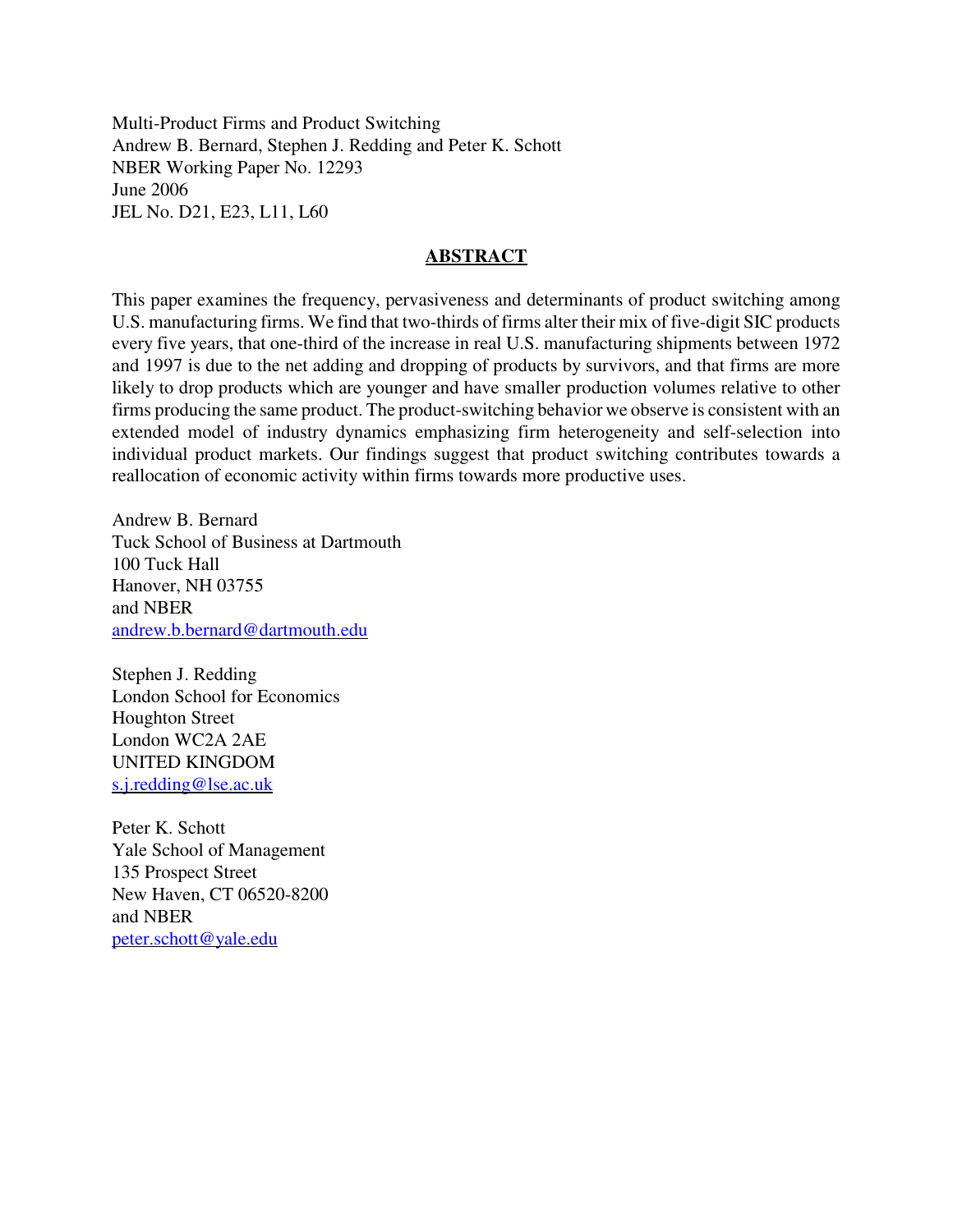Multi-Product Firms and Product Switching Andrew B. Bernard, Stephen J. Redding and Peter K. Schott NBER Working Paper No. 12293 June 2006 JEL No. D21, E23, L11, L60

# **ABSTRACT**

This paper examines the frequency, pervasiveness and determinants of product switching among U.S. manufacturing firms. We find that two-thirds of firms alter their mix of five-digit SIC products every five years, that one-third of the increase in real U.S. manufacturing shipments between 1972 and 1997 is due to the net adding and dropping of products by survivors, and that firms are more likely to drop products which are younger and have smaller production volumes relative to other firms producing the same product. The product-switching behavior we observe is consistent with an extended model of industry dynamics emphasizing firm heterogeneity and self-selection into individual product markets. Our findings suggest that product switching contributes towards a reallocation of economic activity within firms towards more productive uses.

Andrew B. Bernard Tuck School of Business at Dartmouth 100 Tuck Hall Hanover, NH 03755 and NBER andrew.b.bernard@dartmouth.edu

Stephen J. Redding London School for Economics Houghton Street London WC2A 2AE UNITED KINGDOM s.j.redding@lse.ac.uk

Peter K. Schott Yale School of Management 135 Prospect Street New Haven, CT 06520-8200 and NBER peter.schott@yale.edu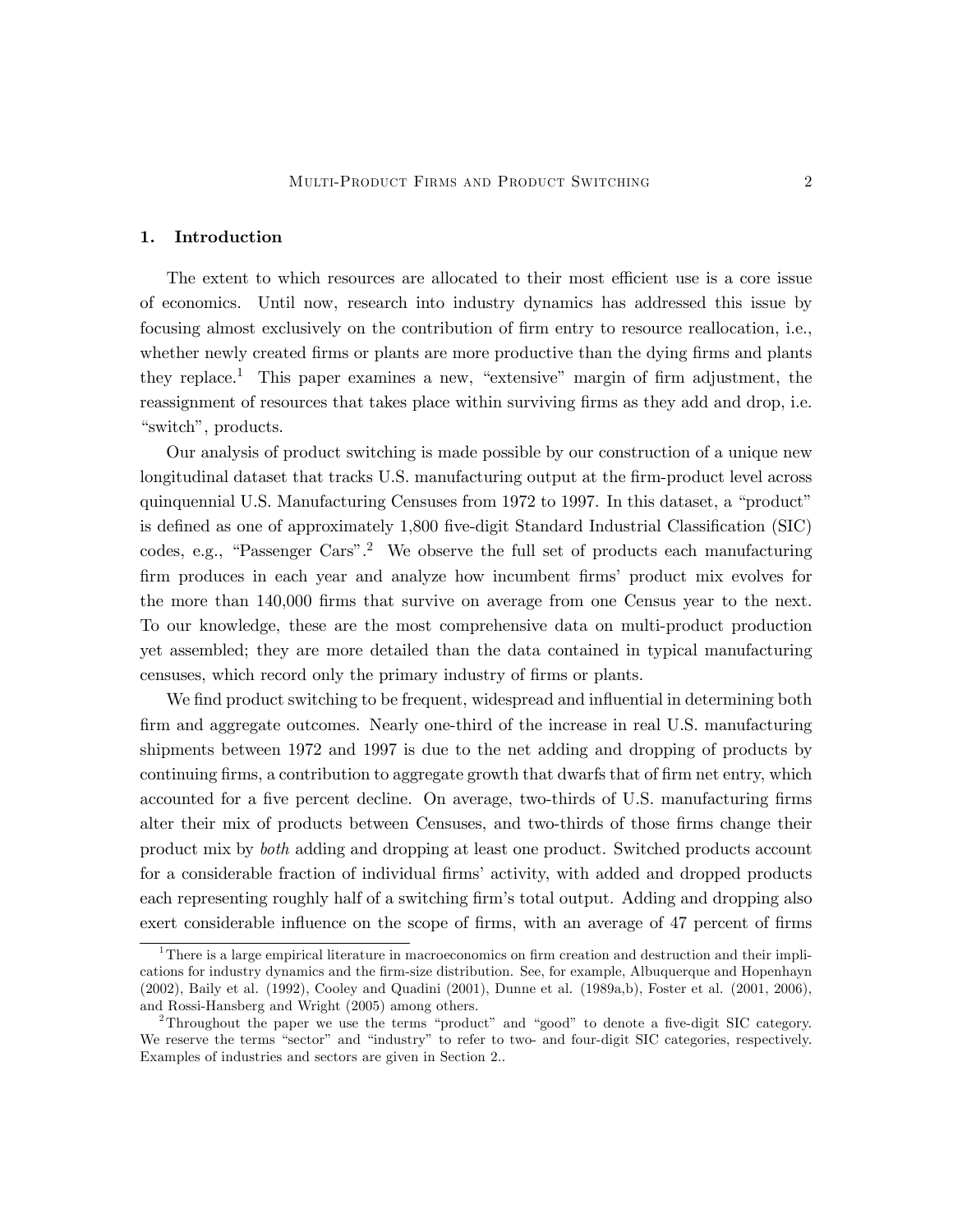#### 1. Introduction

The extent to which resources are allocated to their most efficient use is a core issue of economics. Until now, research into industry dynamics has addressed this issue by focusing almost exclusively on the contribution of firm entry to resource reallocation, i.e., whether newly created firms or plants are more productive than the dying firms and plants they replace.<sup>1</sup> This paper examines a new, "extensive" margin of firm adjustment, the reassignment of resources that takes place within surviving firms as they add and drop, i.e. "switch", products.

Our analysis of product switching is made possible by our construction of a unique new longitudinal dataset that tracks U.S. manufacturing output at the firm-product level across quinquennial U.S. Manufacturing Censuses from 1972 to 1997. In this dataset, a "product" is defined as one of approximately 1,800 five-digit Standard Industrial Classification (SIC) codes, e.g., "Passenger Cars".2 We observe the full set of products each manufacturing firm produces in each year and analyze how incumbent firms' product mix evolves for the more than 140,000 firms that survive on average from one Census year to the next. To our knowledge, these are the most comprehensive data on multi-product production yet assembled; they are more detailed than the data contained in typical manufacturing censuses, which record only the primary industry of firms or plants.

We find product switching to be frequent, widespread and influential in determining both firm and aggregate outcomes. Nearly one-third of the increase in real U.S. manufacturing shipments between 1972 and 1997 is due to the net adding and dropping of products by continuing firms, a contribution to aggregate growth that dwarfs that of firm net entry, which accounted for a five percent decline. On average, two-thirds of U.S. manufacturing firms alter their mix of products between Censuses, and two-thirds of those firms change their product mix by both adding and dropping at least one product. Switched products account for a considerable fraction of individual firms' activity, with added and dropped products each representing roughly half of a switching firm's total output. Adding and dropping also exert considerable influence on the scope of firms, with an average of 47 percent of firms

<sup>&</sup>lt;sup>1</sup>There is a large empirical literature in macroeconomics on firm creation and destruction and their implications for industry dynamics and the firm-size distribution. See, for example, Albuquerque and Hopenhayn (2002), Baily et al. (1992), Cooley and Quadini (2001), Dunne et al. (1989a,b), Foster et al. (2001, 2006), and Rossi-Hansberg and Wright (2005) among others.

<sup>2</sup>Throughout the paper we use the terms "product" and "good" to denote a five-digit SIC category. We reserve the terms "sector" and "industry" to refer to two- and four-digit SIC categories, respectively. Examples of industries and sectors are given in Section 2..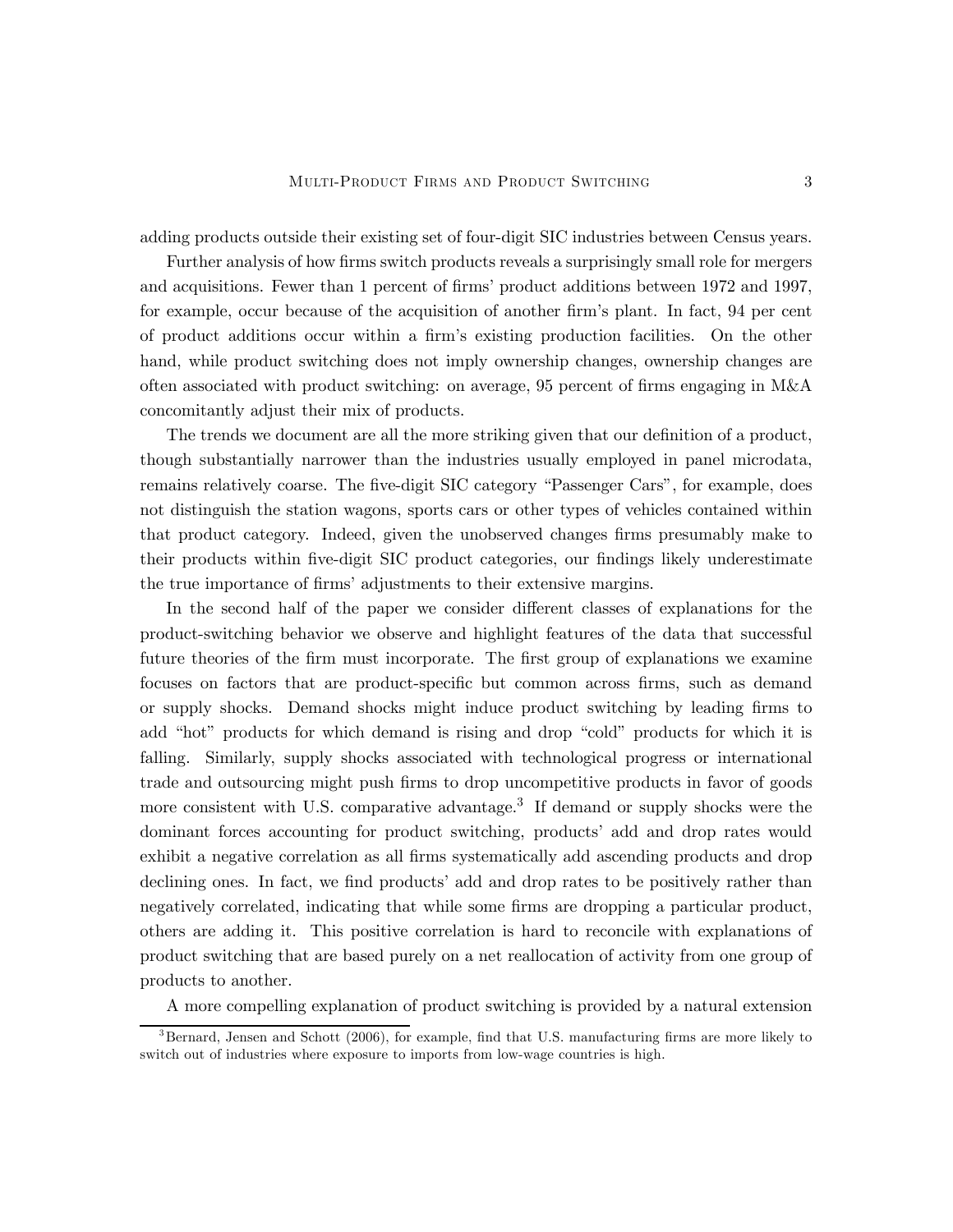adding products outside their existing set of four-digit SIC industries between Census years.

Further analysis of how firms switch products reveals a surprisingly small role for mergers and acquisitions. Fewer than 1 percent of firms' product additions between 1972 and 1997, for example, occur because of the acquisition of another firm's plant. In fact, 94 per cent of product additions occur within a firm's existing production facilities. On the other hand, while product switching does not imply ownership changes, ownership changes are often associated with product switching: on average, 95 percent of firms engaging in M&A concomitantly adjust their mix of products.

The trends we document are all the more striking given that our definition of a product, though substantially narrower than the industries usually employed in panel microdata, remains relatively coarse. The five-digit SIC category "Passenger Cars", for example, does not distinguish the station wagons, sports cars or other types of vehicles contained within that product category. Indeed, given the unobserved changes firms presumably make to their products within five-digit SIC product categories, our findings likely underestimate the true importance of firms' adjustments to their extensive margins.

In the second half of the paper we consider different classes of explanations for the product-switching behavior we observe and highlight features of the data that successful future theories of the firm must incorporate. The first group of explanations we examine focuses on factors that are product-specific but common across firms, such as demand or supply shocks. Demand shocks might induce product switching by leading firms to add "hot" products for which demand is rising and drop "cold" products for which it is falling. Similarly, supply shocks associated with technological progress or international trade and outsourcing might push firms to drop uncompetitive products in favor of goods more consistent with U.S. comparative advantage.<sup>3</sup> If demand or supply shocks were the dominant forces accounting for product switching, products' add and drop rates would exhibit a negative correlation as all firms systematically add ascending products and drop declining ones. In fact, we find products' add and drop rates to be positively rather than negatively correlated, indicating that while some firms are dropping a particular product, others are adding it. This positive correlation is hard to reconcile with explanations of product switching that are based purely on a net reallocation of activity from one group of products to another.

A more compelling explanation of product switching is provided by a natural extension

 $3$ Bernard, Jensen and Schott (2006), for example, find that U.S. manufacturing firms are more likely to switch out of industries where exposure to imports from low-wage countries is high.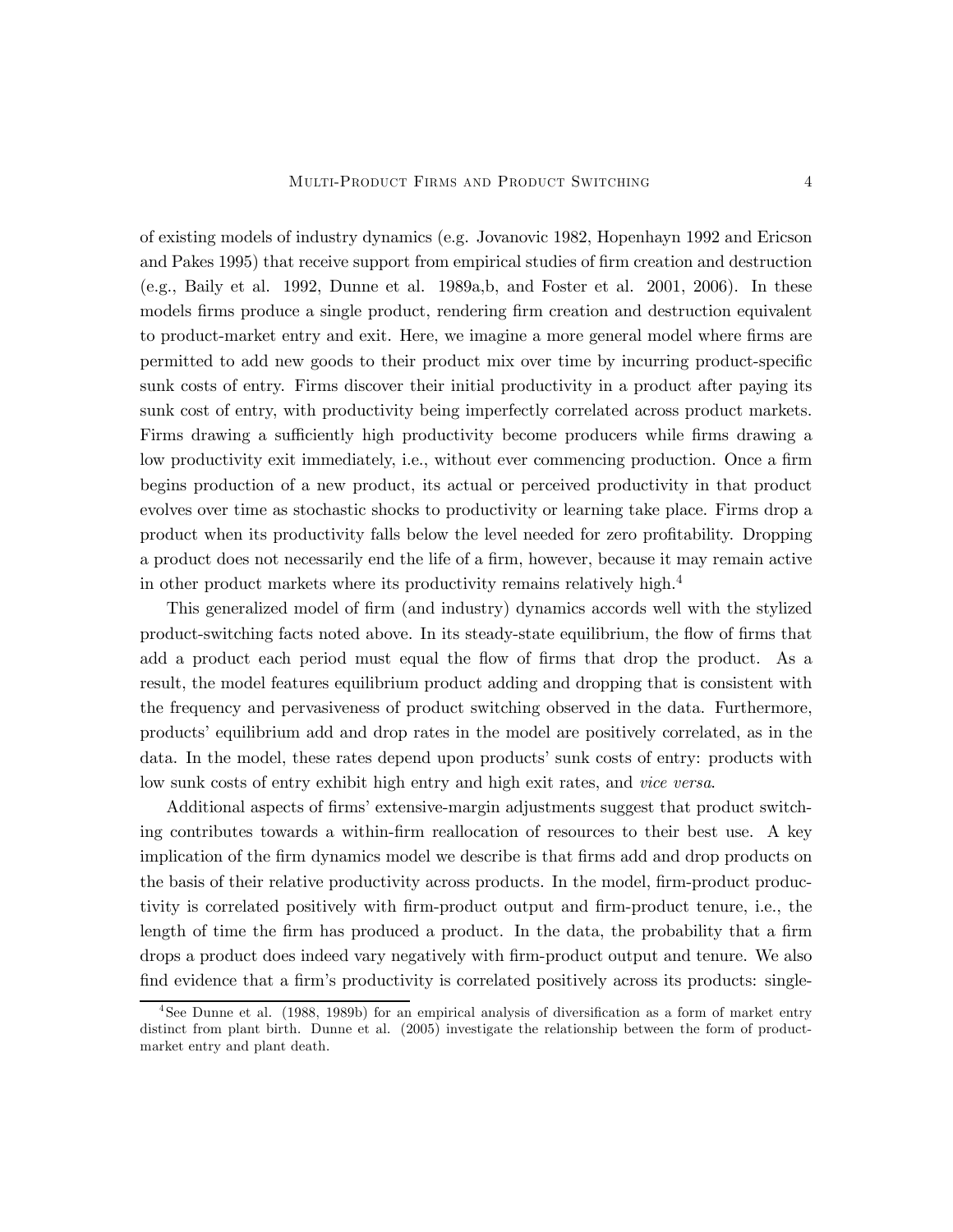of existing models of industry dynamics (e.g. Jovanovic 1982, Hopenhayn 1992 and Ericson and Pakes 1995) that receive support from empirical studies of firm creation and destruction (e.g., Baily et al. 1992, Dunne et al. 1989a,b, and Foster et al. 2001, 2006). In these models firms produce a single product, rendering firm creation and destruction equivalent to product-market entry and exit. Here, we imagine a more general model where firms are permitted to add new goods to their product mix over time by incurring product-specific sunk costs of entry. Firms discover their initial productivity in a product after paying its sunk cost of entry, with productivity being imperfectly correlated across product markets. Firms drawing a sufficiently high productivity become producers while firms drawing a low productivity exit immediately, i.e., without ever commencing production. Once a firm begins production of a new product, its actual or perceived productivity in that product evolves over time as stochastic shocks to productivity or learning take place. Firms drop a product when its productivity falls below the level needed for zero profitability. Dropping a product does not necessarily end the life of a firm, however, because it may remain active in other product markets where its productivity remains relatively high.<sup>4</sup>

This generalized model of firm (and industry) dynamics accords well with the stylized product-switching facts noted above. In its steady-state equilibrium, the flow of firms that add a product each period must equal the flow of firms that drop the product. As a result, the model features equilibrium product adding and dropping that is consistent with the frequency and pervasiveness of product switching observed in the data. Furthermore, products' equilibrium add and drop rates in the model are positively correlated, as in the data. In the model, these rates depend upon products' sunk costs of entry: products with low sunk costs of entry exhibit high entry and high exit rates, and *vice versa*.

Additional aspects of firms' extensive-margin adjustments suggest that product switching contributes towards a within-firm reallocation of resources to their best use. A key implication of the firm dynamics model we describe is that firms add and drop products on the basis of their relative productivity across products. In the model, firm-product productivity is correlated positively with firm-product output and firm-product tenure, i.e., the length of time the firm has produced a product. In the data, the probability that a firm drops a product does indeed vary negatively with firm-product output and tenure. We also find evidence that a firm's productivity is correlated positively across its products: single-

<sup>4</sup>See Dunne et al. (1988, 1989b) for an empirical analysis of diversification as a form of market entry distinct from plant birth. Dunne et al. (2005) investigate the relationship between the form of productmarket entry and plant death.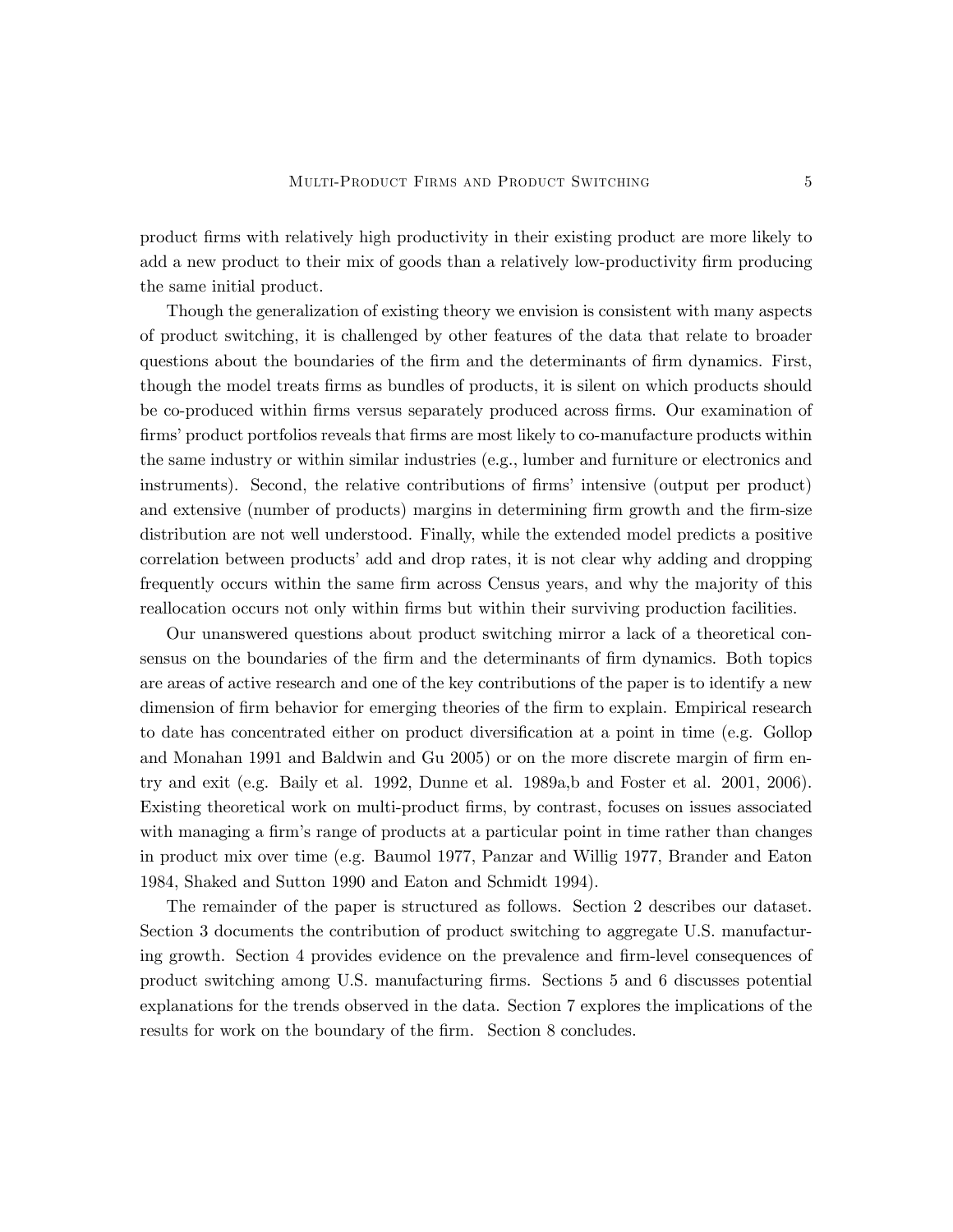product firms with relatively high productivity in their existing product are more likely to add a new product to their mix of goods than a relatively low-productivity firm producing the same initial product.

Though the generalization of existing theory we envision is consistent with many aspects of product switching, it is challenged by other features of the data that relate to broader questions about the boundaries of the firm and the determinants of firm dynamics. First, though the model treats firms as bundles of products, it is silent on which products should be co-produced within firms versus separately produced across firms. Our examination of firms' product portfolios reveals that firms are most likely to co-manufacture products within the same industry or within similar industries (e.g., lumber and furniture or electronics and instruments). Second, the relative contributions of firms' intensive (output per product) and extensive (number of products) margins in determining firm growth and the firm-size distribution are not well understood. Finally, while the extended model predicts a positive correlation between products' add and drop rates, it is not clear why adding and dropping frequently occurs within the same firm across Census years, and why the majority of this reallocation occurs not only within firms but within their surviving production facilities.

Our unanswered questions about product switching mirror a lack of a theoretical consensus on the boundaries of the firm and the determinants of firm dynamics. Both topics are areas of active research and one of the key contributions of the paper is to identify a new dimension of firm behavior for emerging theories of the firm to explain. Empirical research to date has concentrated either on product diversification at a point in time (e.g. Gollop and Monahan 1991 and Baldwin and Gu 2005) or on the more discrete margin of firm entry and exit (e.g. Baily et al. 1992, Dunne et al. 1989a,b and Foster et al. 2001, 2006). Existing theoretical work on multi-product firms, by contrast, focuses on issues associated with managing a firm's range of products at a particular point in time rather than changes in product mix over time (e.g. Baumol 1977, Panzar and Willig 1977, Brander and Eaton 1984, Shaked and Sutton 1990 and Eaton and Schmidt 1994).

The remainder of the paper is structured as follows. Section 2 describes our dataset. Section 3 documents the contribution of product switching to aggregate U.S. manufacturing growth. Section 4 provides evidence on the prevalence and firm-level consequences of product switching among U.S. manufacturing firms. Sections 5 and 6 discusses potential explanations for the trends observed in the data. Section 7 explores the implications of the results for work on the boundary of the firm. Section 8 concludes.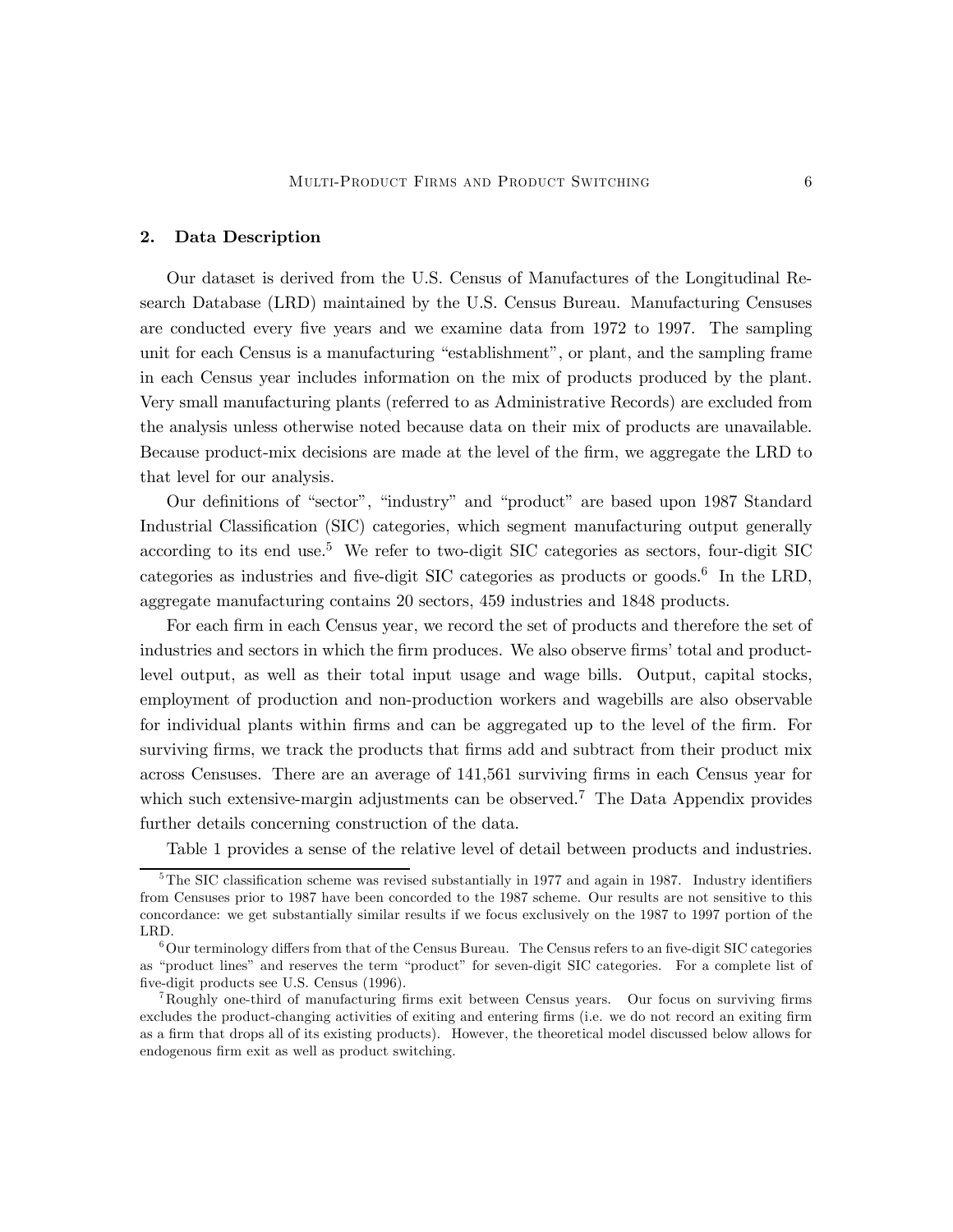#### 2. Data Description

Our dataset is derived from the U.S. Census of Manufactures of the Longitudinal Research Database (LRD) maintained by the U.S. Census Bureau. Manufacturing Censuses are conducted every five years and we examine data from 1972 to 1997. The sampling unit for each Census is a manufacturing "establishment", or plant, and the sampling frame in each Census year includes information on the mix of products produced by the plant. Very small manufacturing plants (referred to as Administrative Records) are excluded from the analysis unless otherwise noted because data on their mix of products are unavailable. Because product-mix decisions are made at the level of the firm, we aggregate the LRD to that level for our analysis.

Our definitions of "sector", "industry" and "product" are based upon 1987 Standard Industrial Classification (SIC) categories, which segment manufacturing output generally according to its end use.<sup>5</sup> We refer to two-digit SIC categories as sectors, four-digit SIC categories as industries and five-digit SIC categories as products or goods.<sup>6</sup> In the LRD, aggregate manufacturing contains 20 sectors, 459 industries and 1848 products.

For each firm in each Census year, we record the set of products and therefore the set of industries and sectors in which the firm produces. We also observe firms' total and productlevel output, as well as their total input usage and wage bills. Output, capital stocks, employment of production and non-production workers and wagebills are also observable for individual plants within firms and can be aggregated up to the level of the firm. For surviving firms, we track the products that firms add and subtract from their product mix across Censuses. There are an average of 141,561 surviving firms in each Census year for which such extensive-margin adjustments can be observed.<sup>7</sup> The Data Appendix provides further details concerning construction of the data.

Table 1 provides a sense of the relative level of detail between products and industries.

<sup>&</sup>lt;sup>5</sup>The SIC classification scheme was revised substantially in 1977 and again in 1987. Industry identifiers from Censuses prior to 1987 have been concorded to the 1987 scheme. Our results are not sensitive to this concordance: we get substantially similar results if we focus exclusively on the 1987 to 1997 portion of the LRD.

 $6$ Our terminology differs from that of the Census Bureau. The Census refers to an five-digit SIC categories as "product lines" and reserves the term "product" for seven-digit SIC categories. For a complete list of five-digit products see U.S. Census (1996).

<sup>7</sup>Roughly one-third of manufacturing firms exit between Census years. Our focus on surviving firms excludes the product-changing activities of exiting and entering firms (i.e. we do not record an exiting firm as a firm that drops all of its existing products). However, the theoretical model discussed below allows for endogenous firm exit as well as product switching.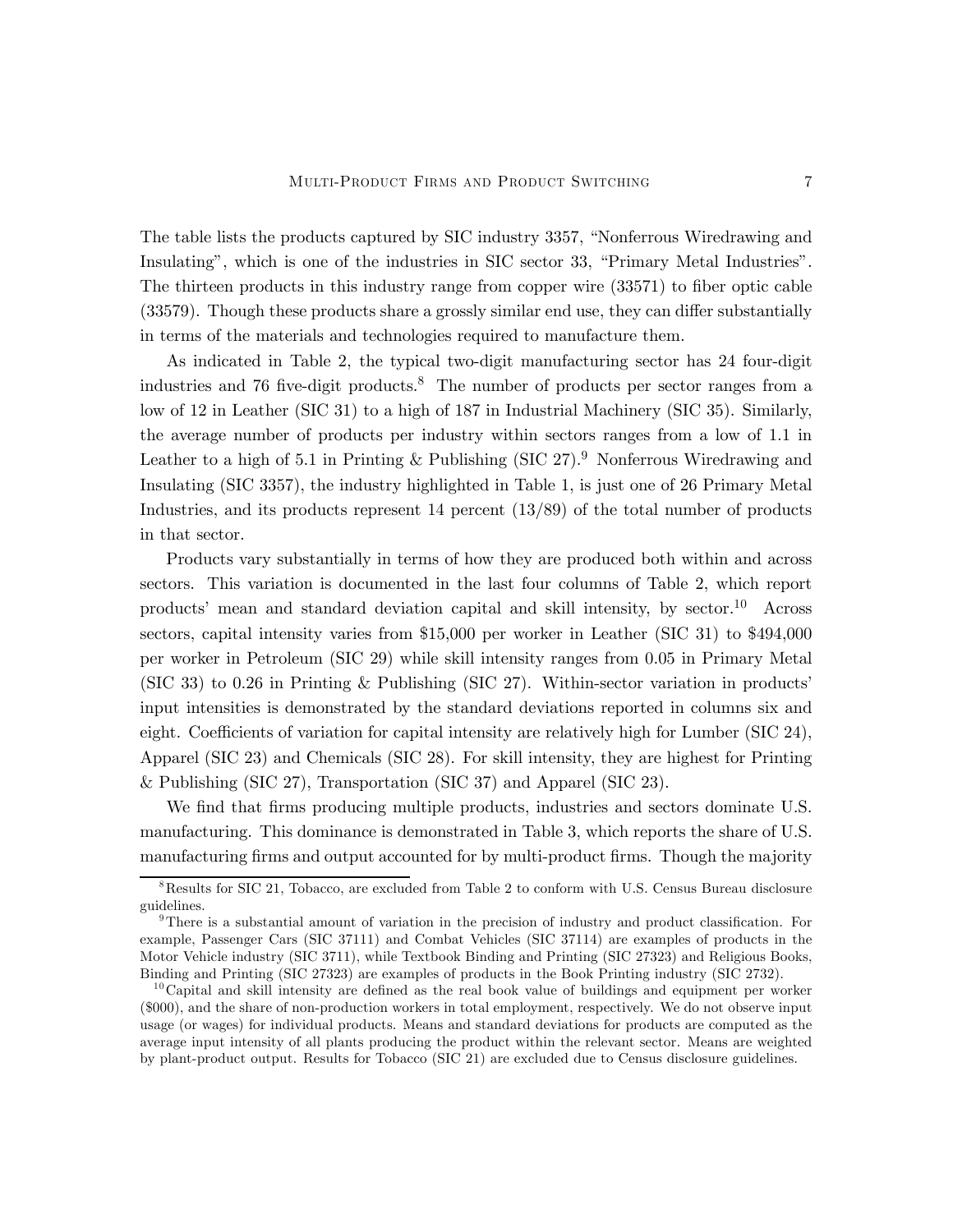The table lists the products captured by SIC industry 3357, "Nonferrous Wiredrawing and Insulating", which is one of the industries in SIC sector 33, "Primary Metal Industries". The thirteen products in this industry range from copper wire (33571) to fiber optic cable (33579). Though these products share a grossly similar end use, they can differ substantially in terms of the materials and technologies required to manufacture them.

As indicated in Table 2, the typical two-digit manufacturing sector has 24 four-digit industries and 76 five-digit products.<sup>8</sup> The number of products per sector ranges from a low of 12 in Leather (SIC 31) to a high of 187 in Industrial Machinery (SIC 35). Similarly, the average number of products per industry within sectors ranges from a low of 1.1 in Leather to a high of 5.1 in Printing & Publishing (SIC 27).<sup>9</sup> Nonferrous Wiredrawing and Insulating (SIC 3357), the industry highlighted in Table 1, is just one of 26 Primary Metal Industries, and its products represent 14 percent (13/89) of the total number of products in that sector.

Products vary substantially in terms of how they are produced both within and across sectors. This variation is documented in the last four columns of Table 2, which report products' mean and standard deviation capital and skill intensity, by sector.<sup>10</sup> Across sectors, capital intensity varies from \$15,000 per worker in Leather (SIC 31) to \$494,000 per worker in Petroleum (SIC 29) while skill intensity ranges from 0.05 in Primary Metal (SIC 33) to 0.26 in Printing & Publishing (SIC 27). Within-sector variation in products' input intensities is demonstrated by the standard deviations reported in columns six and eight. Coefficients of variation for capital intensity are relatively high for Lumber (SIC 24), Apparel (SIC 23) and Chemicals (SIC 28). For skill intensity, they are highest for Printing & Publishing (SIC 27), Transportation (SIC 37) and Apparel (SIC 23).

We find that firms producing multiple products, industries and sectors dominate U.S. manufacturing. This dominance is demonstrated in Table 3, which reports the share of U.S. manufacturing firms and output accounted for by multi-product firms. Though the majority

 $8$ Results for SIC 21, Tobacco, are excluded from Table 2 to conform with U.S. Census Bureau disclosure guidelines.

<sup>9</sup>There is a substantial amount of variation in the precision of industry and product classification. For example, Passenger Cars (SIC 37111) and Combat Vehicles (SIC 37114) are examples of products in the Motor Vehicle industry (SIC 3711), while Textbook Binding and Printing (SIC 27323) and Religious Books, Binding and Printing (SIC 27323) are examples of products in the Book Printing industry (SIC 2732).

 $10^1$ Capital and skill intensity are defined as the real book value of buildings and equipment per worker (\$000), and the share of non-production workers in total employment, respectively. We do not observe input usage (or wages) for individual products. Means and standard deviations for products are computed as the average input intensity of all plants producing the product within the relevant sector. Means are weighted by plant-product output. Results for Tobacco (SIC 21) are excluded due to Census disclosure guidelines.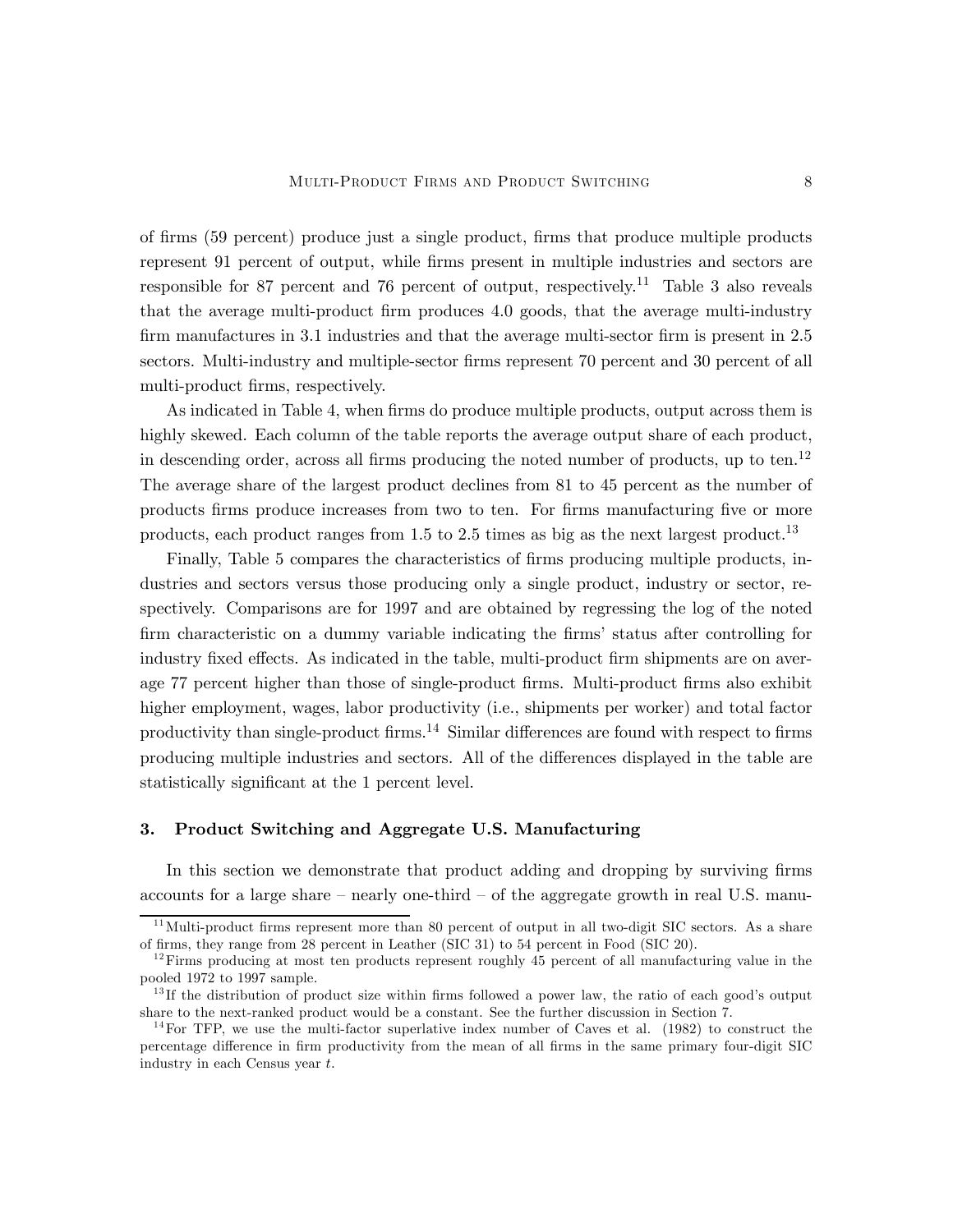of firms (59 percent) produce just a single product, firms that produce multiple products represent 91 percent of output, while firms present in multiple industries and sectors are responsible for 87 percent and 76 percent of output, respectively.<sup>11</sup> Table 3 also reveals that the average multi-product firm produces 4.0 goods, that the average multi-industry firm manufactures in 3.1 industries and that the average multi-sector firm is present in 2.5 sectors. Multi-industry and multiple-sector firms represent 70 percent and 30 percent of all multi-product firms, respectively.

As indicated in Table 4, when firms do produce multiple products, output across them is highly skewed. Each column of the table reports the average output share of each product, in descending order, across all firms producing the noted number of products, up to ten.<sup>12</sup> The average share of the largest product declines from 81 to 45 percent as the number of products firms produce increases from two to ten. For firms manufacturing five or more products, each product ranges from 1.5 to 2.5 times as big as the next largest product.<sup>13</sup>

Finally, Table 5 compares the characteristics of firms producing multiple products, industries and sectors versus those producing only a single product, industry or sector, respectively. Comparisons are for 1997 and are obtained by regressing the log of the noted firm characteristic on a dummy variable indicating the firms' status after controlling for industry fixed effects. As indicated in the table, multi-product firm shipments are on average 77 percent higher than those of single-product firms. Multi-product firms also exhibit higher employment, wages, labor productivity (i.e., shipments per worker) and total factor productivity than single-product firms.<sup>14</sup> Similar differences are found with respect to firms producing multiple industries and sectors. All of the differences displayed in the table are statistically significant at the 1 percent level.

### 3. Product Switching and Aggregate U.S. Manufacturing

In this section we demonstrate that product adding and dropping by surviving firms accounts for a large share – nearly one-third – of the aggregate growth in real U.S. manu-

 $11$  Multi-product firms represent more than 80 percent of output in all two-digit SIC sectors. As a share of firms, they range from 28 percent in Leather (SIC 31) to 54 percent in Food (SIC 20).

 $12$ Firms producing at most ten products represent roughly 45 percent of all manufacturing value in the pooled 1972 to 1997 sample.

 $13$  If the distribution of product size within firms followed a power law, the ratio of each good's output share to the next-ranked product would be a constant. See the further discussion in Section 7.

 $14$  For TFP, we use the multi-factor superlative index number of Caves et al. (1982) to construct the percentage difference in firm productivity from the mean of all firms in the same primary four-digit SIC industry in each Census year t.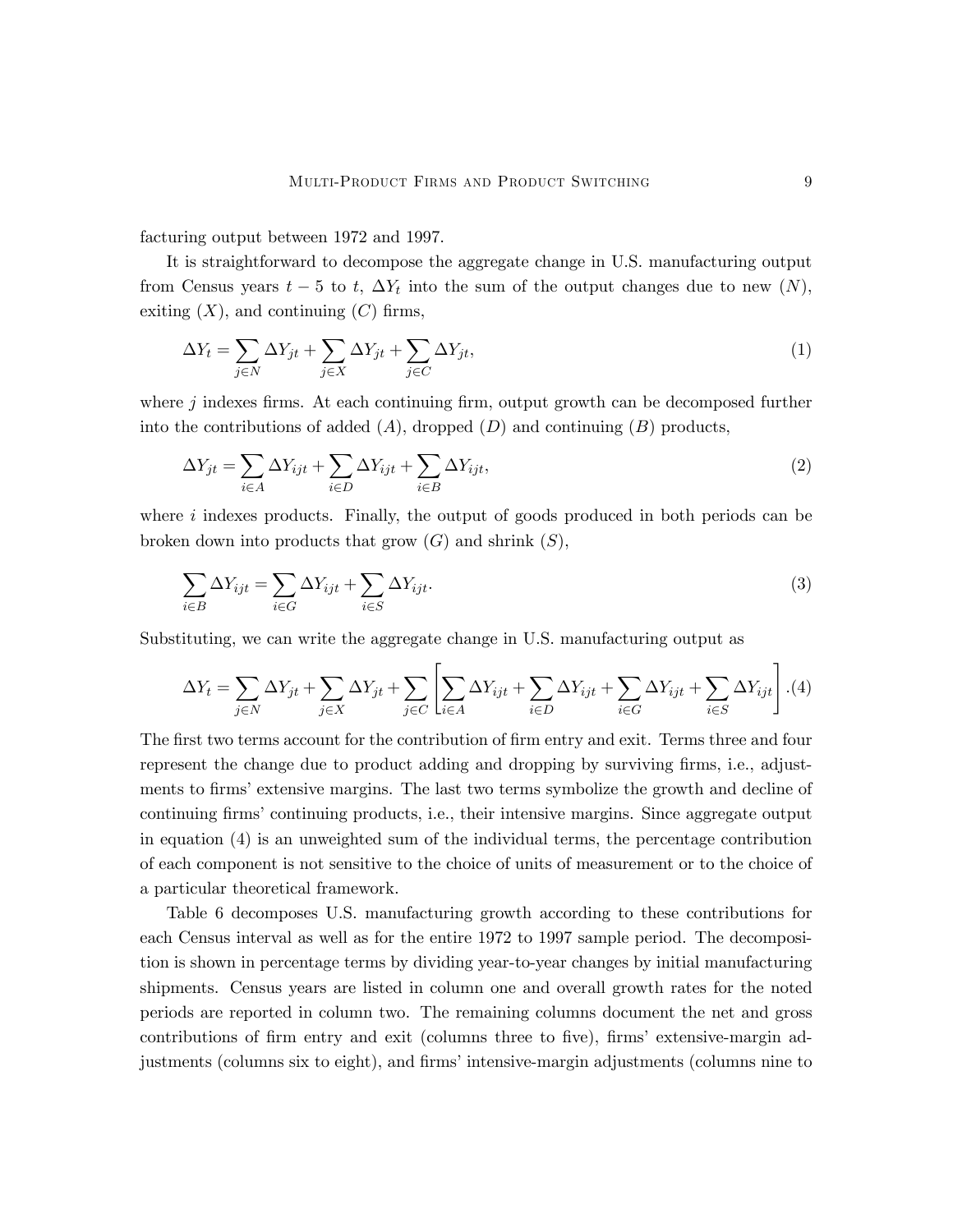facturing output between 1972 and 1997.

It is straightforward to decompose the aggregate change in U.S. manufacturing output from Census years  $t - 5$  to t,  $\Delta Y_t$  into the sum of the output changes due to new  $(N)$ , exiting  $(X)$ , and continuing  $(C)$  firms,

$$
\Delta Y_t = \sum_{j \in N} \Delta Y_{jt} + \sum_{j \in X} \Delta Y_{jt} + \sum_{j \in C} \Delta Y_{jt},\tag{1}
$$

where  $j$  indexes firms. At each continuing firm, output growth can be decomposed further into the contributions of added  $(A)$ , dropped  $(D)$  and continuing  $(B)$  products,

$$
\Delta Y_{jt} = \sum_{i \in A} \Delta Y_{ijt} + \sum_{i \in D} \Delta Y_{ijt} + \sum_{i \in B} \Delta Y_{ijt},\tag{2}
$$

where  $i$  indexes products. Finally, the output of goods produced in both periods can be broken down into products that grow  $(G)$  and shrink  $(S)$ ,

$$
\sum_{i \in B} \Delta Y_{ijt} = \sum_{i \in G} \Delta Y_{ijt} + \sum_{i \in S} \Delta Y_{ijt}.
$$
\n(3)

Substituting, we can write the aggregate change in U.S. manufacturing output as

$$
\Delta Y_t = \sum_{j \in N} \Delta Y_{jt} + \sum_{j \in X} \Delta Y_{jt} + \sum_{j \in C} \left[ \sum_{i \in A} \Delta Y_{ijt} + \sum_{i \in D} \Delta Y_{ijt} + \sum_{i \in G} \Delta Y_{ijt} + \sum_{i \in S} \Delta Y_{ijt} \right]. (4)
$$

The first two terms account for the contribution of firm entry and exit. Terms three and four represent the change due to product adding and dropping by surviving firms, i.e., adjustments to firms' extensive margins. The last two terms symbolize the growth and decline of continuing firms' continuing products, i.e., their intensive margins. Since aggregate output in equation (4) is an unweighted sum of the individual terms, the percentage contribution of each component is not sensitive to the choice of units of measurement or to the choice of a particular theoretical framework.

Table 6 decomposes U.S. manufacturing growth according to these contributions for each Census interval as well as for the entire 1972 to 1997 sample period. The decomposition is shown in percentage terms by dividing year-to-year changes by initial manufacturing shipments. Census years are listed in column one and overall growth rates for the noted periods are reported in column two. The remaining columns document the net and gross contributions of firm entry and exit (columns three to five), firms' extensive-margin adjustments (columns six to eight), and firms' intensive-margin adjustments (columns nine to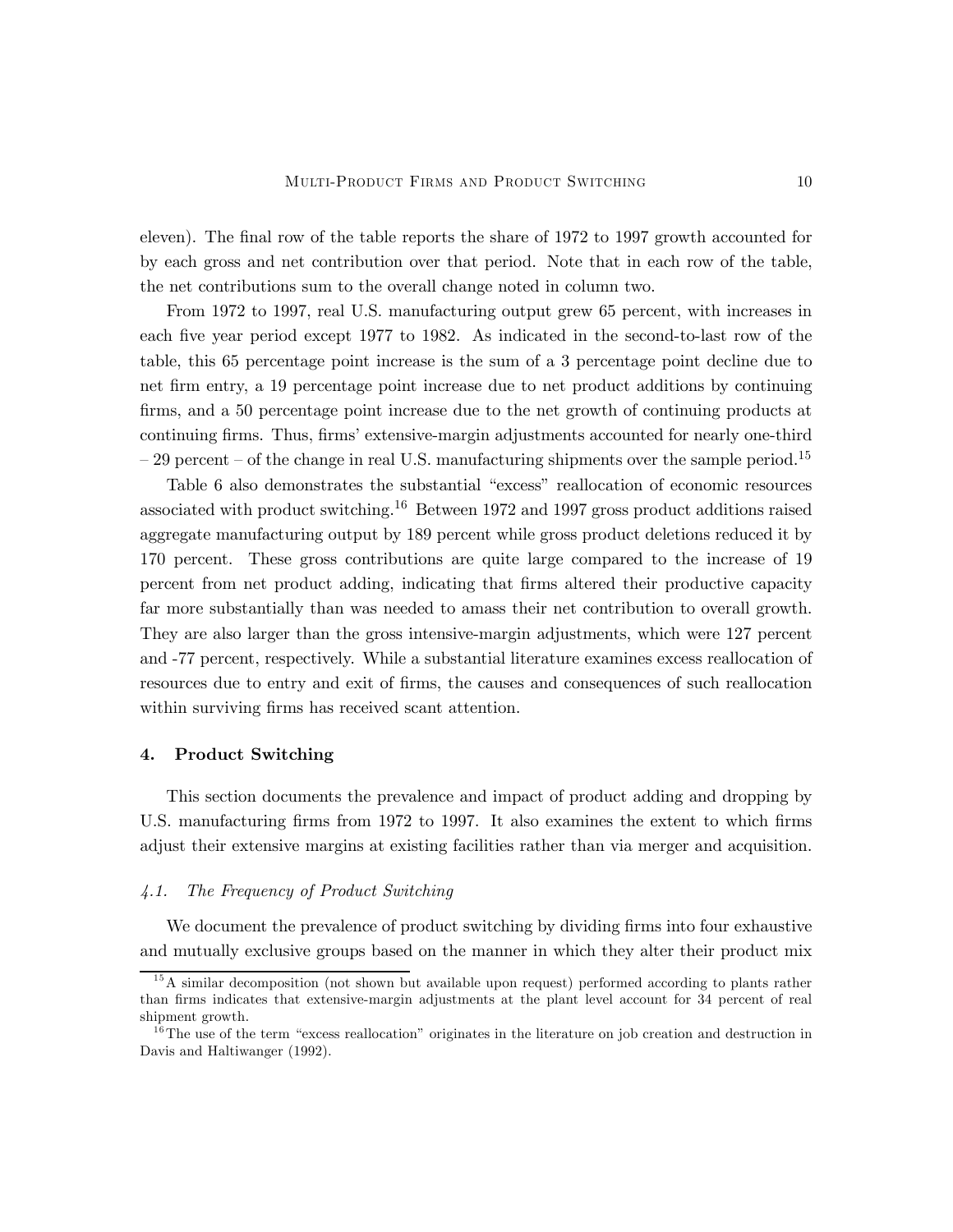eleven). The final row of the table reports the share of 1972 to 1997 growth accounted for by each gross and net contribution over that period. Note that in each row of the table, the net contributions sum to the overall change noted in column two.

From 1972 to 1997, real U.S. manufacturing output grew 65 percent, with increases in each five year period except 1977 to 1982. As indicated in the second-to-last row of the table, this 65 percentage point increase is the sum of a 3 percentage point decline due to net firm entry, a 19 percentage point increase due to net product additions by continuing firms, and a 50 percentage point increase due to the net growth of continuing products at continuing firms. Thus, firms' extensive-margin adjustments accounted for nearly one-third  $-29$  percent  $-$  of the change in real U.S. manufacturing shipments over the sample period.<sup>15</sup>

Table 6 also demonstrates the substantial "excess" reallocation of economic resources associated with product switching.<sup>16</sup> Between 1972 and 1997 gross product additions raised aggregate manufacturing output by 189 percent while gross product deletions reduced it by 170 percent. These gross contributions are quite large compared to the increase of 19 percent from net product adding, indicating that firms altered their productive capacity far more substantially than was needed to amass their net contribution to overall growth. They are also larger than the gross intensive-margin adjustments, which were 127 percent and -77 percent, respectively. While a substantial literature examines excess reallocation of resources due to entry and exit of firms, the causes and consequences of such reallocation within surviving firms has received scant attention.

### 4. Product Switching

This section documents the prevalence and impact of product adding and dropping by U.S. manufacturing firms from 1972 to 1997. It also examines the extent to which firms adjust their extensive margins at existing facilities rather than via merger and acquisition.

## 4.1. The Frequency of Product Switching

We document the prevalence of product switching by dividing firms into four exhaustive and mutually exclusive groups based on the manner in which they alter their product mix

<sup>&</sup>lt;sup>15</sup>A similar decomposition (not shown but available upon request) performed according to plants rather than firms indicates that extensive-margin adjustments at the plant level account for 34 percent of real shipment growth.

<sup>&</sup>lt;sup>16</sup>The use of the term "excess reallocation" originates in the literature on job creation and destruction in Davis and Haltiwanger (1992).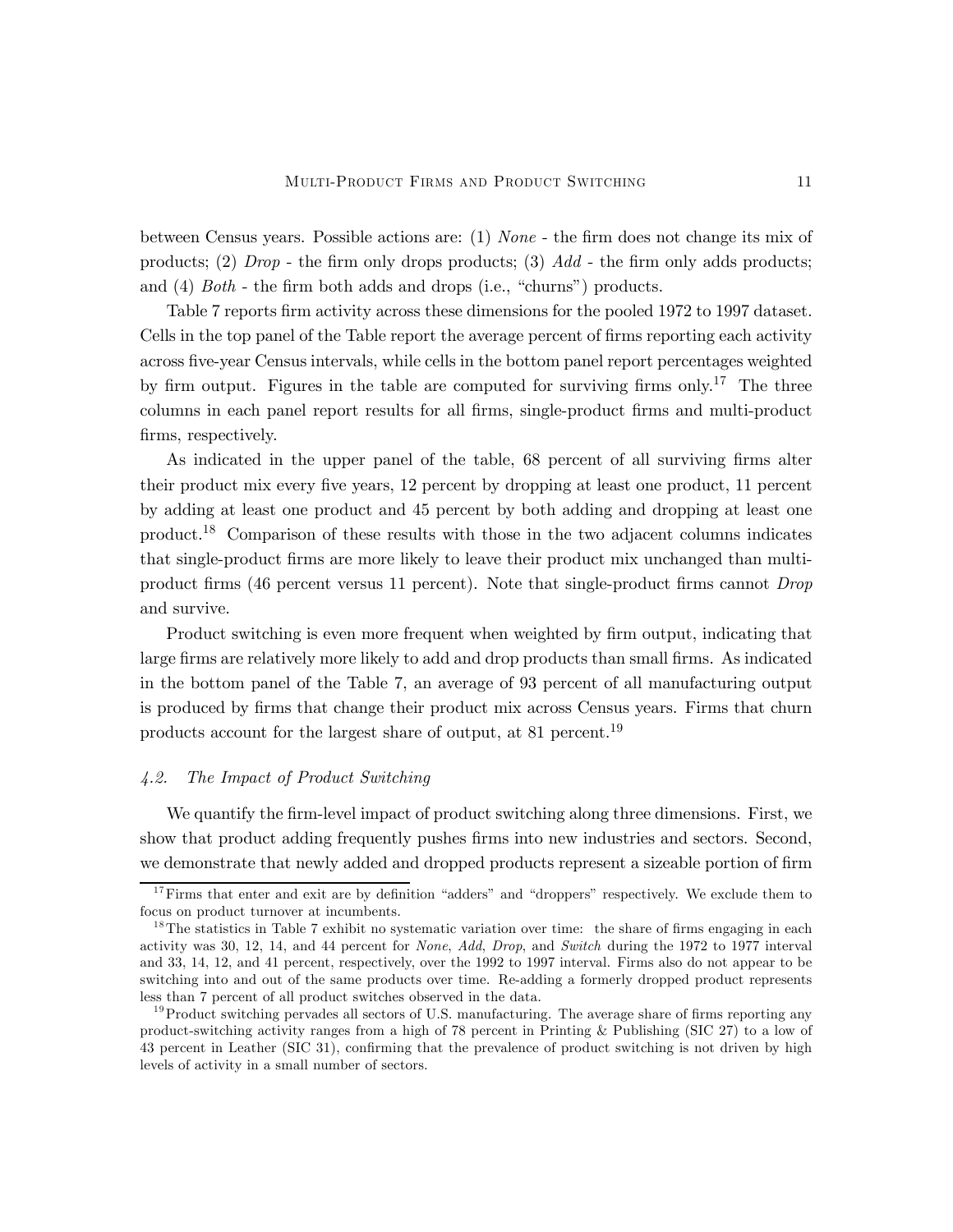between Census years. Possible actions are: (1) None - the firm does not change its mix of products; (2) *Drop* - the firm only drops products; (3)  $Add$  - the firm only adds products; and (4) Both - the firm both adds and drops (i.e., "churns") products.

Table 7 reports firm activity across these dimensions for the pooled 1972 to 1997 dataset. Cells in the top panel of the Table report the average percent of firms reporting each activity across five-year Census intervals, while cells in the bottom panel report percentages weighted by firm output. Figures in the table are computed for surviving firms only.<sup>17</sup> The three columns in each panel report results for all firms, single-product firms and multi-product firms, respectively.

As indicated in the upper panel of the table, 68 percent of all surviving firms alter their product mix every five years, 12 percent by dropping at least one product, 11 percent by adding at least one product and 45 percent by both adding and dropping at least one product.18 Comparison of these results with those in the two adjacent columns indicates that single-product firms are more likely to leave their product mix unchanged than multiproduct firms (46 percent versus 11 percent). Note that single-product firms cannot Drop and survive.

Product switching is even more frequent when weighted by firm output, indicating that large firms are relatively more likely to add and drop products than small firms. As indicated in the bottom panel of the Table 7, an average of 93 percent of all manufacturing output is produced by firms that change their product mix across Census years. Firms that churn products account for the largest share of output, at 81 percent.<sup>19</sup>

# 4.2. The Impact of Product Switching

We quantify the firm-level impact of product switching along three dimensions. First, we show that product adding frequently pushes firms into new industries and sectors. Second, we demonstrate that newly added and dropped products represent a sizeable portion of firm

 $17$  Firms that enter and exit are by definition "adders" and "droppers" respectively. We exclude them to focus on product turnover at incumbents.

<sup>&</sup>lt;sup>18</sup>The statistics in Table 7 exhibit no systematic variation over time: the share of firms engaging in each activity was 30, 12, 14, and 44 percent for None, Add, Drop, and Switch during the 1972 to 1977 interval and 33, 14, 12, and 41 percent, respectively, over the 1992 to 1997 interval. Firms also do not appear to be switching into and out of the same products over time. Re-adding a formerly dropped product represents less than 7 percent of all product switches observed in the data.

 $19$ Product switching pervades all sectors of U.S. manufacturing. The average share of firms reporting any product-switching activity ranges from a high of 78 percent in Printing & Publishing (SIC 27) to a low of 43 percent in Leather (SIC 31), confirming that the prevalence of product switching is not driven by high levels of activity in a small number of sectors.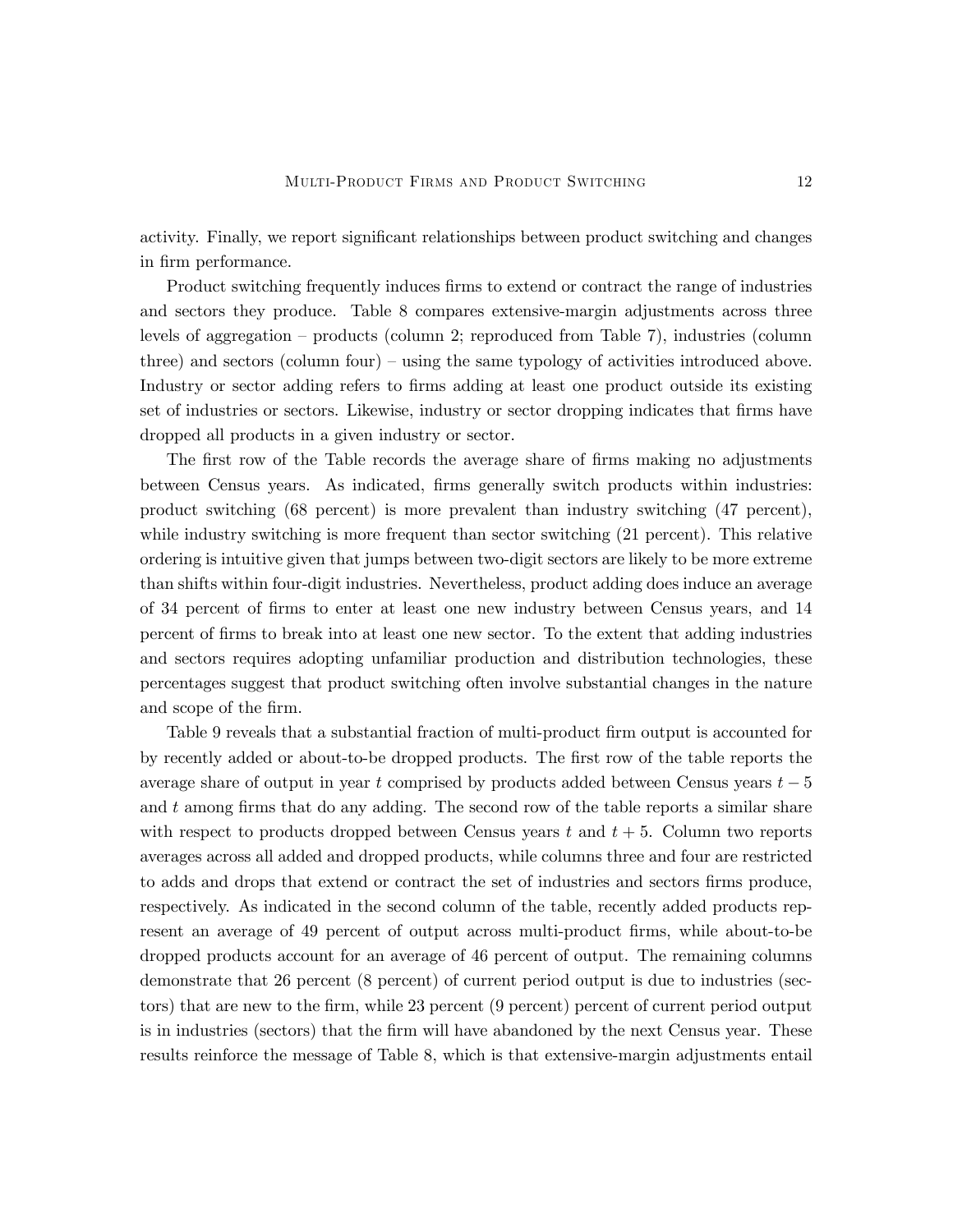activity. Finally, we report significant relationships between product switching and changes in firm performance.

Product switching frequently induces firms to extend or contract the range of industries and sectors they produce. Table 8 compares extensive-margin adjustments across three levels of aggregation — products (column 2; reproduced from Table 7), industries (column three) and sectors (column four) — using the same typology of activities introduced above. Industry or sector adding refers to firms adding at least one product outside its existing set of industries or sectors. Likewise, industry or sector dropping indicates that firms have dropped all products in a given industry or sector.

The first row of the Table records the average share of firms making no adjustments between Census years. As indicated, firms generally switch products within industries: product switching (68 percent) is more prevalent than industry switching (47 percent), while industry switching is more frequent than sector switching  $(21$  percent). This relative ordering is intuitive given that jumps between two-digit sectors are likely to be more extreme than shifts within four-digit industries. Nevertheless, product adding does induce an average of 34 percent of firms to enter at least one new industry between Census years, and 14 percent of firms to break into at least one new sector. To the extent that adding industries and sectors requires adopting unfamiliar production and distribution technologies, these percentages suggest that product switching often involve substantial changes in the nature and scope of the firm.

Table 9 reveals that a substantial fraction of multi-product firm output is accounted for by recently added or about-to-be dropped products. The first row of the table reports the average share of output in year t comprised by products added between Census years  $t - 5$ and t among firms that do any adding. The second row of the table reports a similar share with respect to products dropped between Census years  $t$  and  $t + 5$ . Column two reports averages across all added and dropped products, while columns three and four are restricted to adds and drops that extend or contract the set of industries and sectors firms produce, respectively. As indicated in the second column of the table, recently added products represent an average of 49 percent of output across multi-product firms, while about-to-be dropped products account for an average of 46 percent of output. The remaining columns demonstrate that 26 percent (8 percent) of current period output is due to industries (sectors) that are new to the firm, while 23 percent (9 percent) percent of current period output is in industries (sectors) that the firm will have abandoned by the next Census year. These results reinforce the message of Table 8, which is that extensive-margin adjustments entail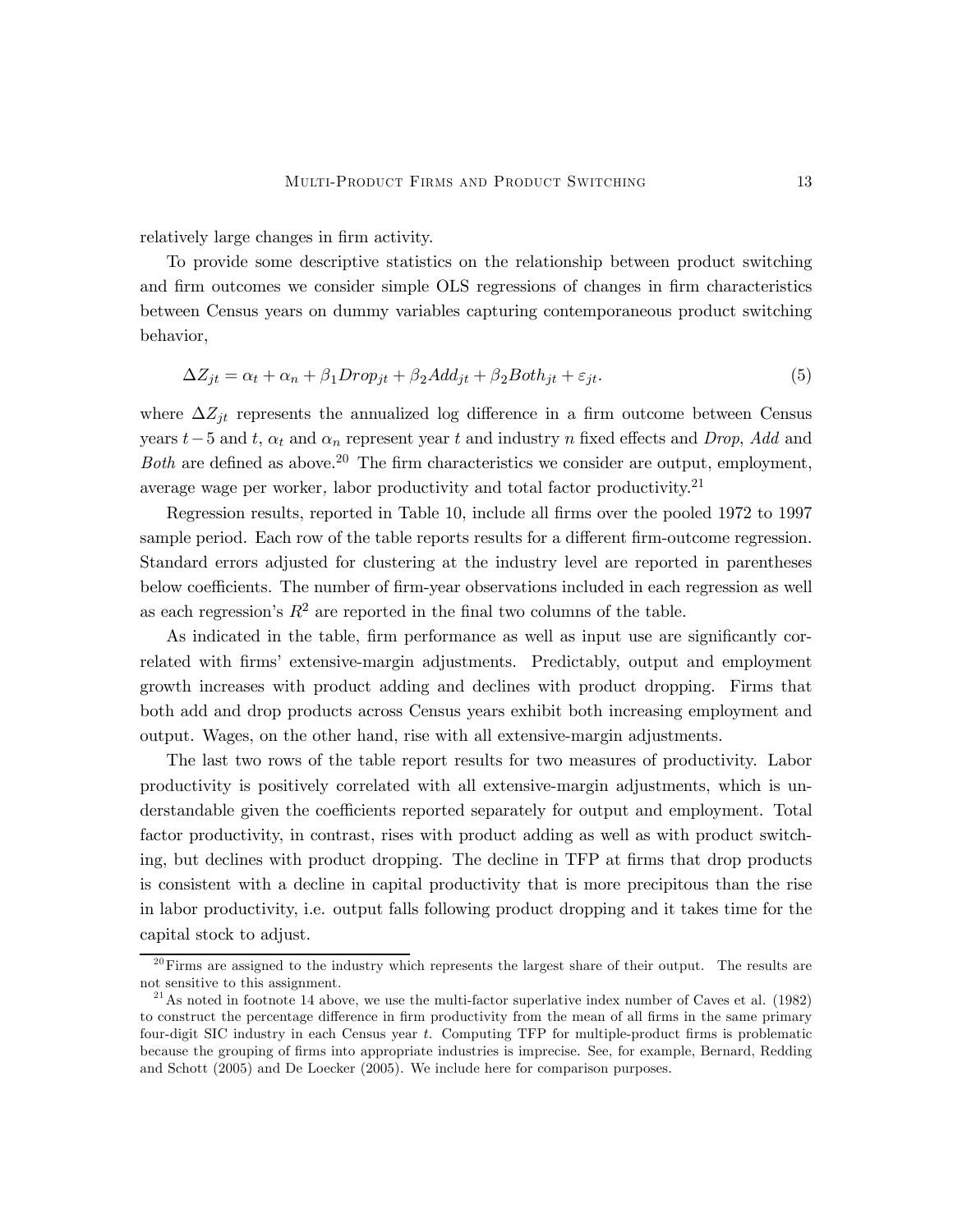relatively large changes in firm activity.

To provide some descriptive statistics on the relationship between product switching and firm outcomes we consider simple OLS regressions of changes in firm characteristics between Census years on dummy variables capturing contemporaneous product switching behavior,

$$
\Delta Z_{jt} = \alpha_t + \alpha_n + \beta_1 Drop_{jt} + \beta_2 Add_{jt} + \beta_2 Both_{jt} + \varepsilon_{jt}.
$$
\n(5)

where  $\Delta Z_{jt}$  represents the annualized log difference in a firm outcome between Census years  $t-5$  and  $t$ ,  $\alpha_t$  and  $\alpha_n$  represent year t and industry n fixed effects and Drop, Add and Both are defined as above.<sup>20</sup> The firm characteristics we consider are output, employment, average wage per worker, labor productivity and total factor productivity.<sup>21</sup>

Regression results, reported in Table 10, include all firms over the pooled 1972 to 1997 sample period. Each row of the table reports results for a different firm-outcome regression. Standard errors adjusted for clustering at the industry level are reported in parentheses below coefficients. The number of firm-year observations included in each regression as well as each regression's  $R^2$  are reported in the final two columns of the table.

As indicated in the table, firm performance as well as input use are significantly correlated with firms' extensive-margin adjustments. Predictably, output and employment growth increases with product adding and declines with product dropping. Firms that both add and drop products across Census years exhibit both increasing employment and output. Wages, on the other hand, rise with all extensive-margin adjustments.

The last two rows of the table report results for two measures of productivity. Labor productivity is positively correlated with all extensive-margin adjustments, which is understandable given the coefficients reported separately for output and employment. Total factor productivity, in contrast, rises with product adding as well as with product switching, but declines with product dropping. The decline in TFP at firms that drop products is consistent with a decline in capital productivity that is more precipitous than the rise in labor productivity, i.e. output falls following product dropping and it takes time for the capital stock to adjust.

 $^{20}$ Firms are assigned to the industry which represents the largest share of their output. The results are not sensitive to this assignment.

 $^{21}$ As noted in footnote 14 above, we use the multi-factor superlative index number of Caves et al. (1982) to construct the percentage difference in firm productivity from the mean of all firms in the same primary four-digit SIC industry in each Census year t. Computing TFP for multiple-product firms is problematic because the grouping of firms into appropriate industries is imprecise. See, for example, Bernard, Redding and Schott (2005) and De Loecker (2005). We include here for comparison purposes.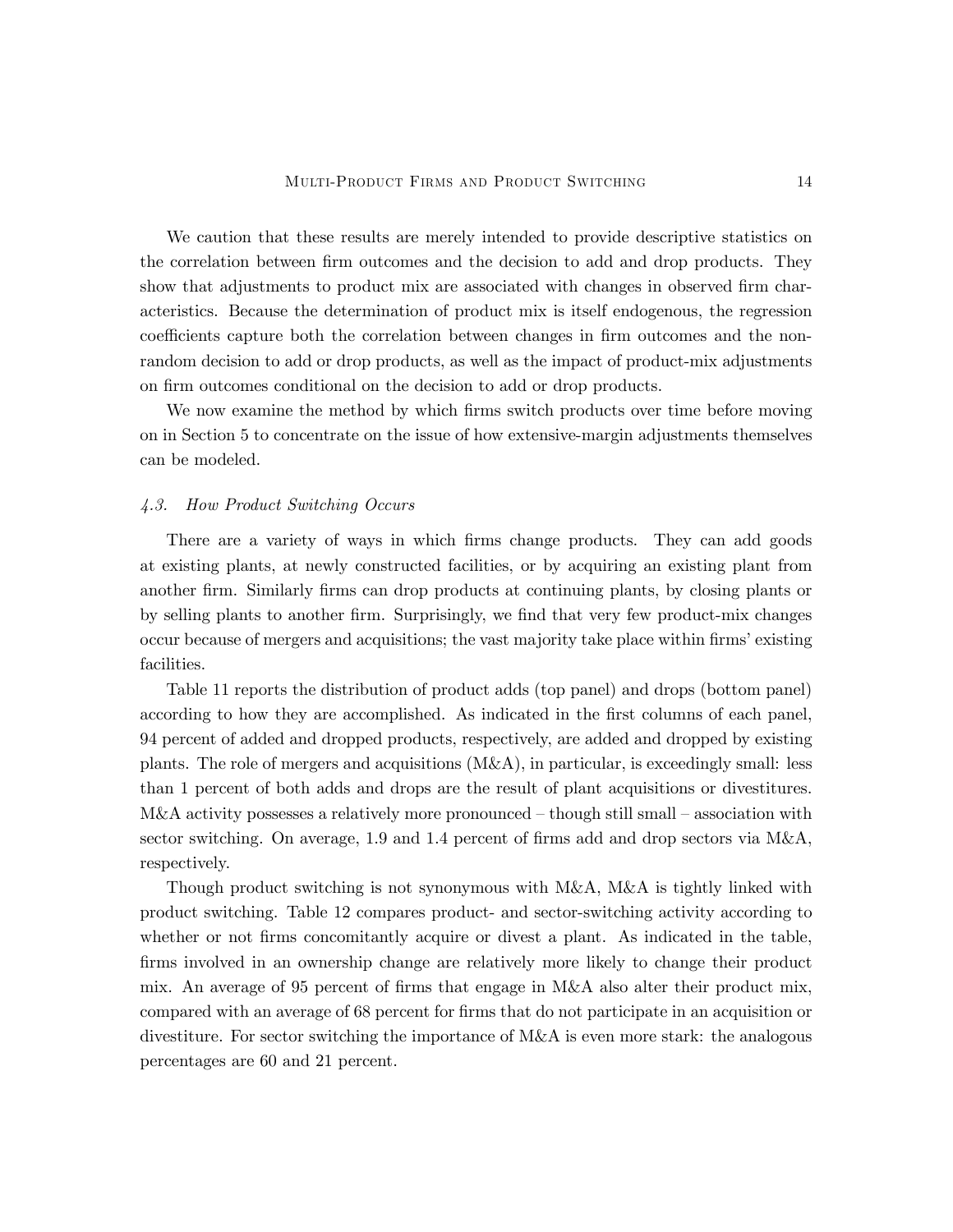We caution that these results are merely intended to provide descriptive statistics on the correlation between firm outcomes and the decision to add and drop products. They show that adjustments to product mix are associated with changes in observed firm characteristics. Because the determination of product mix is itself endogenous, the regression coefficients capture both the correlation between changes in firm outcomes and the nonrandom decision to add or drop products, as well as the impact of product-mix adjustments on firm outcomes conditional on the decision to add or drop products.

We now examine the method by which firms switch products over time before moving on in Section 5 to concentrate on the issue of how extensive-margin adjustments themselves can be modeled.

### 4.3. How Product Switching Occurs

There are a variety of ways in which firms change products. They can add goods at existing plants, at newly constructed facilities, or by acquiring an existing plant from another firm. Similarly firms can drop products at continuing plants, by closing plants or by selling plants to another firm. Surprisingly, we find that very few product-mix changes occur because of mergers and acquisitions; the vast majority take place within firms' existing facilities.

Table 11 reports the distribution of product adds (top panel) and drops (bottom panel) according to how they are accomplished. As indicated in the first columns of each panel, 94 percent of added and dropped products, respectively, are added and dropped by existing plants. The role of mergers and acquisitions (M&A), in particular, is exceedingly small: less than 1 percent of both adds and drops are the result of plant acquisitions or divestitures. M&A activity possesses a relatively more pronounced — though still small — association with sector switching. On average, 1.9 and 1.4 percent of firms add and drop sectors via M&A, respectively.

Though product switching is not synonymous with M&A, M&A is tightly linked with product switching. Table 12 compares product- and sector-switching activity according to whether or not firms concomitantly acquire or divest a plant. As indicated in the table, firms involved in an ownership change are relatively more likely to change their product mix. An average of 95 percent of firms that engage in M&A also alter their product mix, compared with an average of 68 percent for firms that do not participate in an acquisition or divestiture. For sector switching the importance of M&A is even more stark: the analogous percentages are 60 and 21 percent.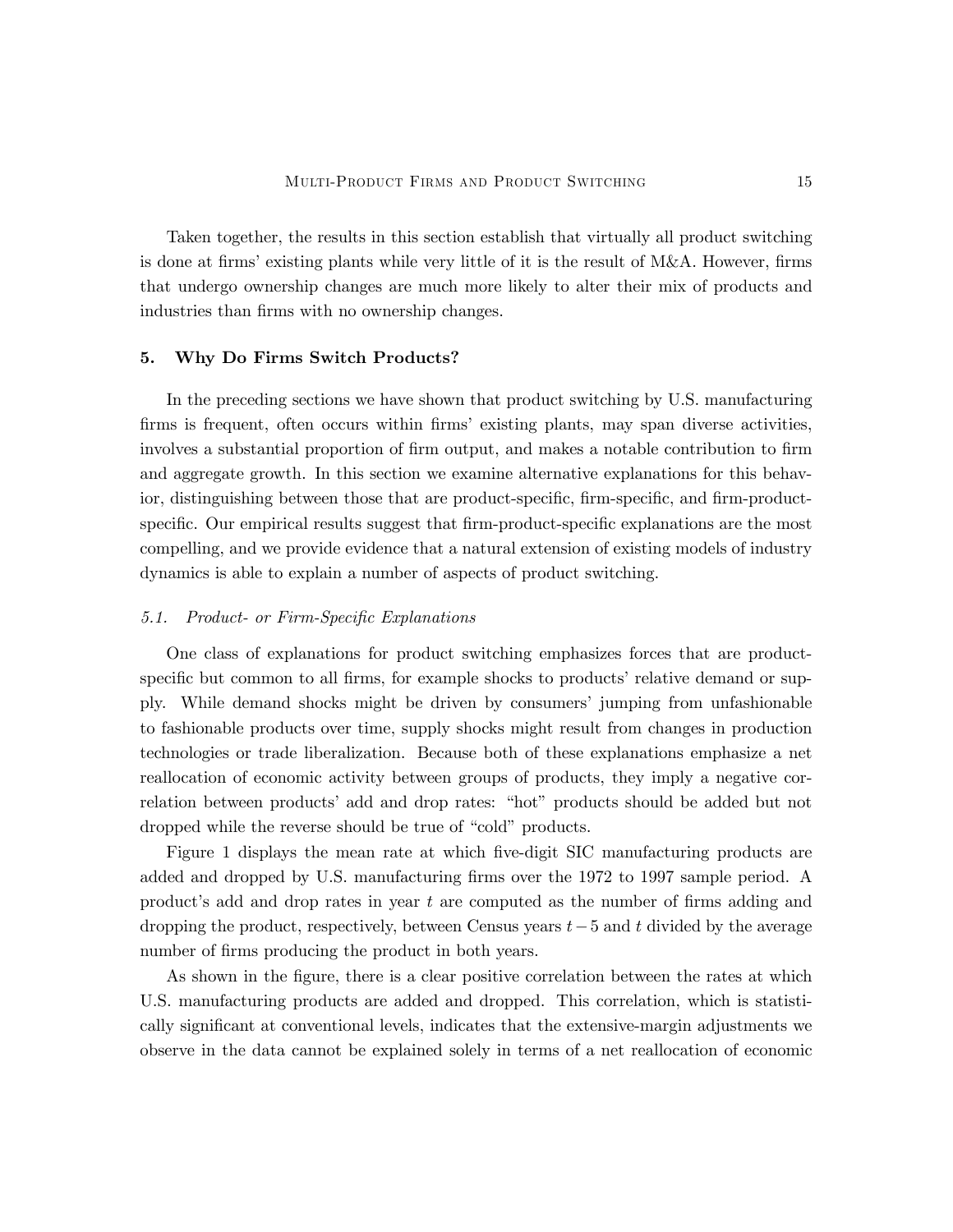Taken together, the results in this section establish that virtually all product switching is done at firms' existing plants while very little of it is the result of M&A. However, firms that undergo ownership changes are much more likely to alter their mix of products and industries than firms with no ownership changes.

# 5. Why Do Firms Switch Products?

In the preceding sections we have shown that product switching by U.S. manufacturing firms is frequent, often occurs within firms' existing plants, may span diverse activities, involves a substantial proportion of firm output, and makes a notable contribution to firm and aggregate growth. In this section we examine alternative explanations for this behavior, distinguishing between those that are product-specific, firm-specific, and firm-productspecific. Our empirical results suggest that firm-product-specific explanations are the most compelling, and we provide evidence that a natural extension of existing models of industry dynamics is able to explain a number of aspects of product switching.

## 5.1. Product- or Firm-Specific Explanations

One class of explanations for product switching emphasizes forces that are productspecific but common to all firms, for example shocks to products' relative demand or supply. While demand shocks might be driven by consumers' jumping from unfashionable to fashionable products over time, supply shocks might result from changes in production technologies or trade liberalization. Because both of these explanations emphasize a net reallocation of economic activity between groups of products, they imply a negative correlation between products' add and drop rates: "hot" products should be added but not dropped while the reverse should be true of "cold" products.

Figure 1 displays the mean rate at which five-digit SIC manufacturing products are added and dropped by U.S. manufacturing firms over the 1972 to 1997 sample period. A product's add and drop rates in year t are computed as the number of firms adding and dropping the product, respectively, between Census years  $t-5$  and t divided by the average number of firms producing the product in both years.

As shown in the figure, there is a clear positive correlation between the rates at which U.S. manufacturing products are added and dropped. This correlation, which is statistically significant at conventional levels, indicates that the extensive-margin adjustments we observe in the data cannot be explained solely in terms of a net reallocation of economic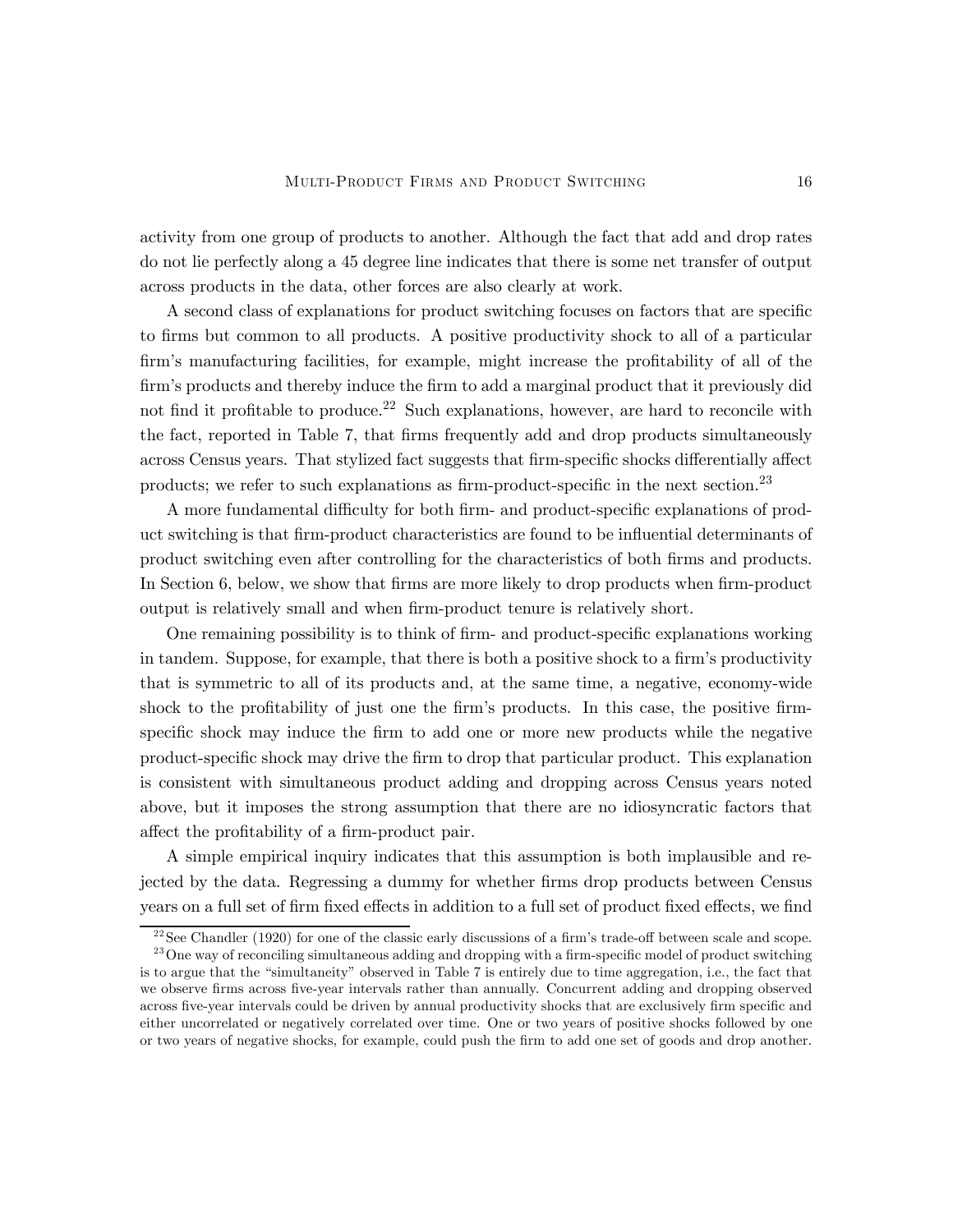activity from one group of products to another. Although the fact that add and drop rates do not lie perfectly along a 45 degree line indicates that there is some net transfer of output across products in the data, other forces are also clearly at work.

A second class of explanations for product switching focuses on factors that are specific to firms but common to all products. A positive productivity shock to all of a particular firm's manufacturing facilities, for example, might increase the profitability of all of the firm's products and thereby induce the firm to add a marginal product that it previously did not find it profitable to produce.<sup>22</sup> Such explanations, however, are hard to reconcile with the fact, reported in Table 7, that firms frequently add and drop products simultaneously across Census years. That stylized fact suggests that firm-specific shocks differentially affect products; we refer to such explanations as firm-product-specific in the next section.<sup>23</sup>

A more fundamental difficulty for both firm- and product-specific explanations of product switching is that firm-product characteristics are found to be influential determinants of product switching even after controlling for the characteristics of both firms and products. In Section 6, below, we show that firms are more likely to drop products when firm-product output is relatively small and when firm-product tenure is relatively short.

One remaining possibility is to think of firm- and product-specific explanations working in tandem. Suppose, for example, that there is both a positive shock to a firm's productivity that is symmetric to all of its products and, at the same time, a negative, economy-wide shock to the profitability of just one the firm's products. In this case, the positive firmspecific shock may induce the firm to add one or more new products while the negative product-specific shock may drive the firm to drop that particular product. This explanation is consistent with simultaneous product adding and dropping across Census years noted above, but it imposes the strong assumption that there are no idiosyncratic factors that affect the profitability of a firm-product pair.

A simple empirical inquiry indicates that this assumption is both implausible and rejected by the data. Regressing a dummy for whether firms drop products between Census years on a full set of firm fixed effects in addition to a full set of product fixed effects, we find

 $^{22}$ See Chandler (1920) for one of the classic early discussions of a firm's trade-off between scale and scope.

<sup>&</sup>lt;sup>23</sup> One way of reconciling simultaneous adding and dropping with a firm-specific model of product switching is to argue that the "simultaneity" observed in Table 7 is entirely due to time aggregation, i.e., the fact that we observe firms across five-year intervals rather than annually. Concurrent adding and dropping observed across five-year intervals could be driven by annual productivity shocks that are exclusively firm specific and either uncorrelated or negatively correlated over time. One or two years of positive shocks followed by one or two years of negative shocks, for example, could push the firm to add one set of goods and drop another.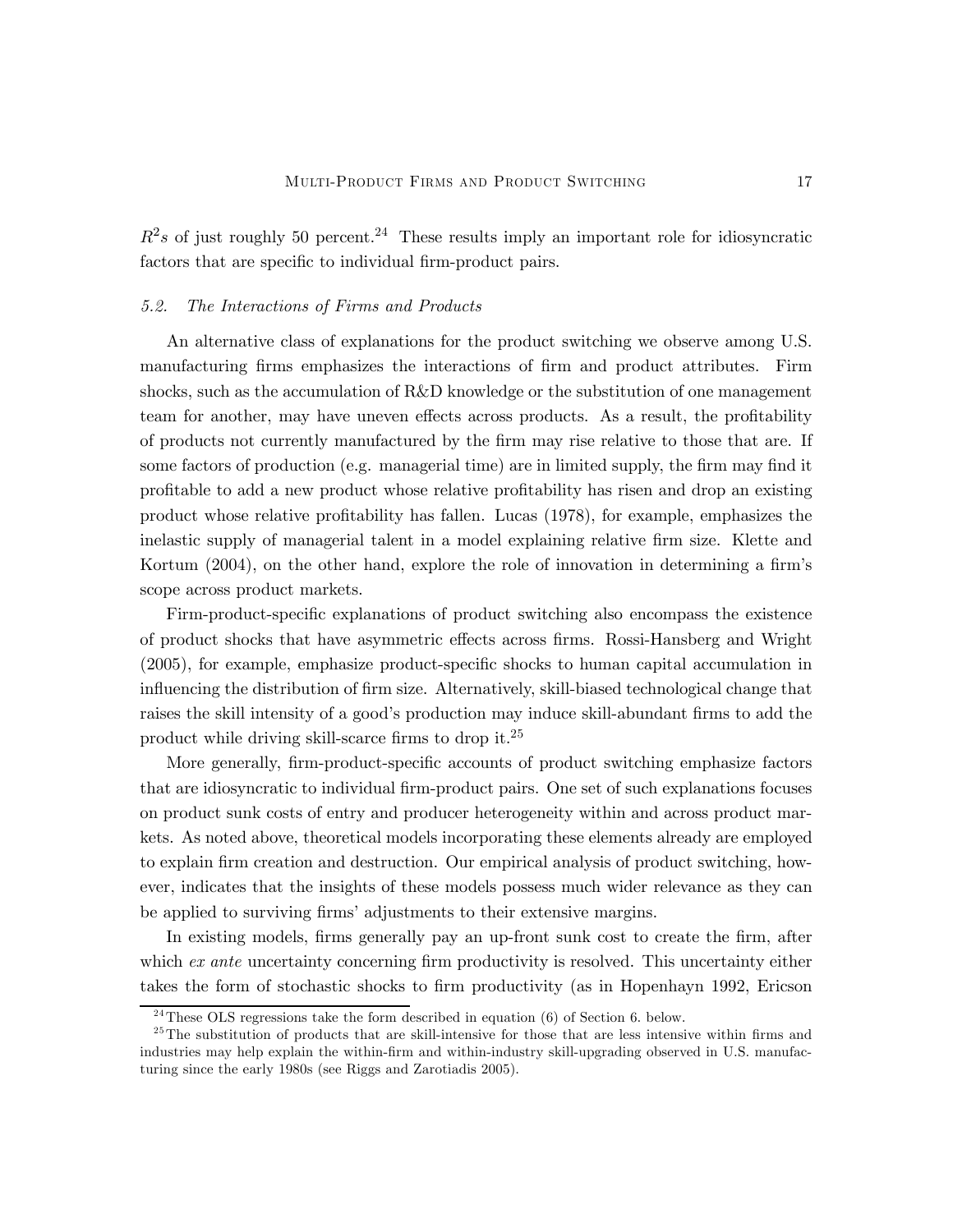$R^2s$  of just roughly 50 percent.<sup>24</sup> These results imply an important role for idiosyncratic factors that are specific to individual firm-product pairs.

# 5.2. The Interactions of Firms and Products

An alternative class of explanations for the product switching we observe among U.S. manufacturing firms emphasizes the interactions of firm and product attributes. Firm shocks, such as the accumulation of R&D knowledge or the substitution of one management team for another, may have uneven effects across products. As a result, the profitability of products not currently manufactured by the firm may rise relative to those that are. If some factors of production (e.g. managerial time) are in limited supply, the firm may find it profitable to add a new product whose relative profitability has risen and drop an existing product whose relative profitability has fallen. Lucas (1978), for example, emphasizes the inelastic supply of managerial talent in a model explaining relative firm size. Klette and Kortum (2004), on the other hand, explore the role of innovation in determining a firm's scope across product markets.

Firm-product-specific explanations of product switching also encompass the existence of product shocks that have asymmetric effects across firms. Rossi-Hansberg and Wright (2005), for example, emphasize product-specific shocks to human capital accumulation in influencing the distribution of firm size. Alternatively, skill-biased technological change that raises the skill intensity of a good's production may induce skill-abundant firms to add the product while driving skill-scarce firms to drop it.25

More generally, firm-product-specific accounts of product switching emphasize factors that are idiosyncratic to individual firm-product pairs. One set of such explanations focuses on product sunk costs of entry and producer heterogeneity within and across product markets. As noted above, theoretical models incorporating these elements already are employed to explain firm creation and destruction. Our empirical analysis of product switching, however, indicates that the insights of these models possess much wider relevance as they can be applied to surviving firms' adjustments to their extensive margins.

In existing models, firms generally pay an up-front sunk cost to create the firm, after which ex ante uncertainty concerning firm productivity is resolved. This uncertainty either takes the form of stochastic shocks to firm productivity (as in Hopenhayn 1992, Ericson

<sup>&</sup>lt;sup>24</sup>These OLS regressions take the form described in equation (6) of Section 6. below.

 $25$ The substitution of products that are skill-intensive for those that are less intensive within firms and industries may help explain the within-firm and within-industry skill-upgrading observed in U.S. manufacturing since the early 1980s (see Riggs and Zarotiadis 2005).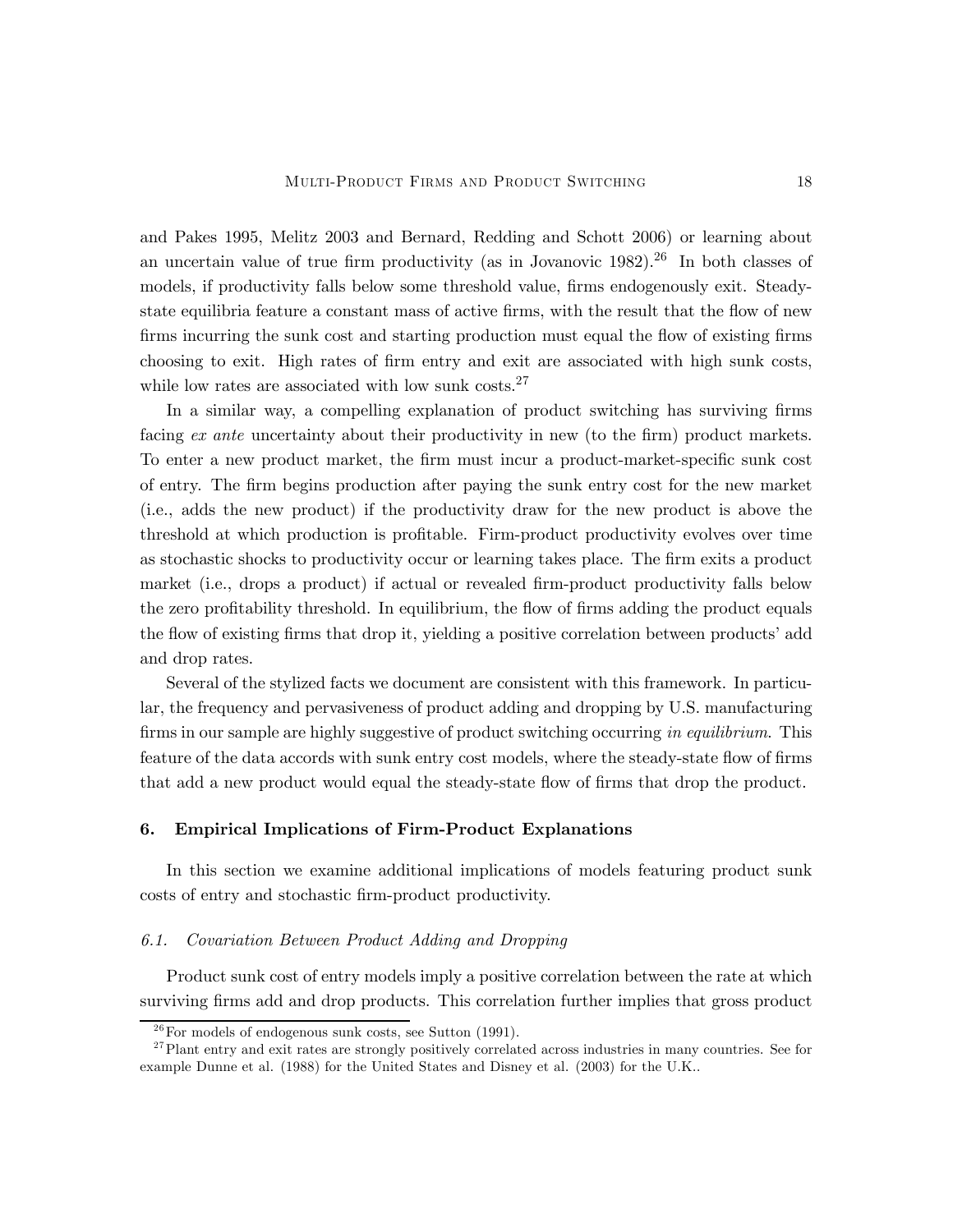and Pakes 1995, Melitz 2003 and Bernard, Redding and Schott 2006) or learning about an uncertain value of true firm productivity (as in Jovanovic  $1982$ ).<sup>26</sup> In both classes of models, if productivity falls below some threshold value, firms endogenously exit. Steadystate equilibria feature a constant mass of active firms, with the result that the flow of new firms incurring the sunk cost and starting production must equal the flow of existing firms choosing to exit. High rates of firm entry and exit are associated with high sunk costs, while low rates are associated with low sunk  $\cos^{-27}$ 

In a similar way, a compelling explanation of product switching has surviving firms facing ex ante uncertainty about their productivity in new (to the firm) product markets. To enter a new product market, the firm must incur a product-market-specific sunk cost of entry. The firm begins production after paying the sunk entry cost for the new market (i.e., adds the new product) if the productivity draw for the new product is above the threshold at which production is profitable. Firm-product productivity evolves over time as stochastic shocks to productivity occur or learning takes place. The firm exits a product market (i.e., drops a product) if actual or revealed firm-product productivity falls below the zero profitability threshold. In equilibrium, the flow of firms adding the product equals the flow of existing firms that drop it, yielding a positive correlation between products' add and drop rates.

Several of the stylized facts we document are consistent with this framework. In particular, the frequency and pervasiveness of product adding and dropping by U.S. manufacturing firms in our sample are highly suggestive of product switching occurring in equilibrium. This feature of the data accords with sunk entry cost models, where the steady-state flow of firms that add a new product would equal the steady-state flow of firms that drop the product.

### 6. Empirical Implications of Firm-Product Explanations

In this section we examine additional implications of models featuring product sunk costs of entry and stochastic firm-product productivity.

# 6.1. Covariation Between Product Adding and Dropping

Product sunk cost of entry models imply a positive correlation between the rate at which surviving firms add and drop products. This correlation further implies that gross product

 $^{26}$  For models of endogenous sunk costs, see Sutton (1991).

<sup>&</sup>lt;sup>27</sup>Plant entry and exit rates are strongly positively correlated across industries in many countries. See for example Dunne et al. (1988) for the United States and Disney et al. (2003) for the U.K..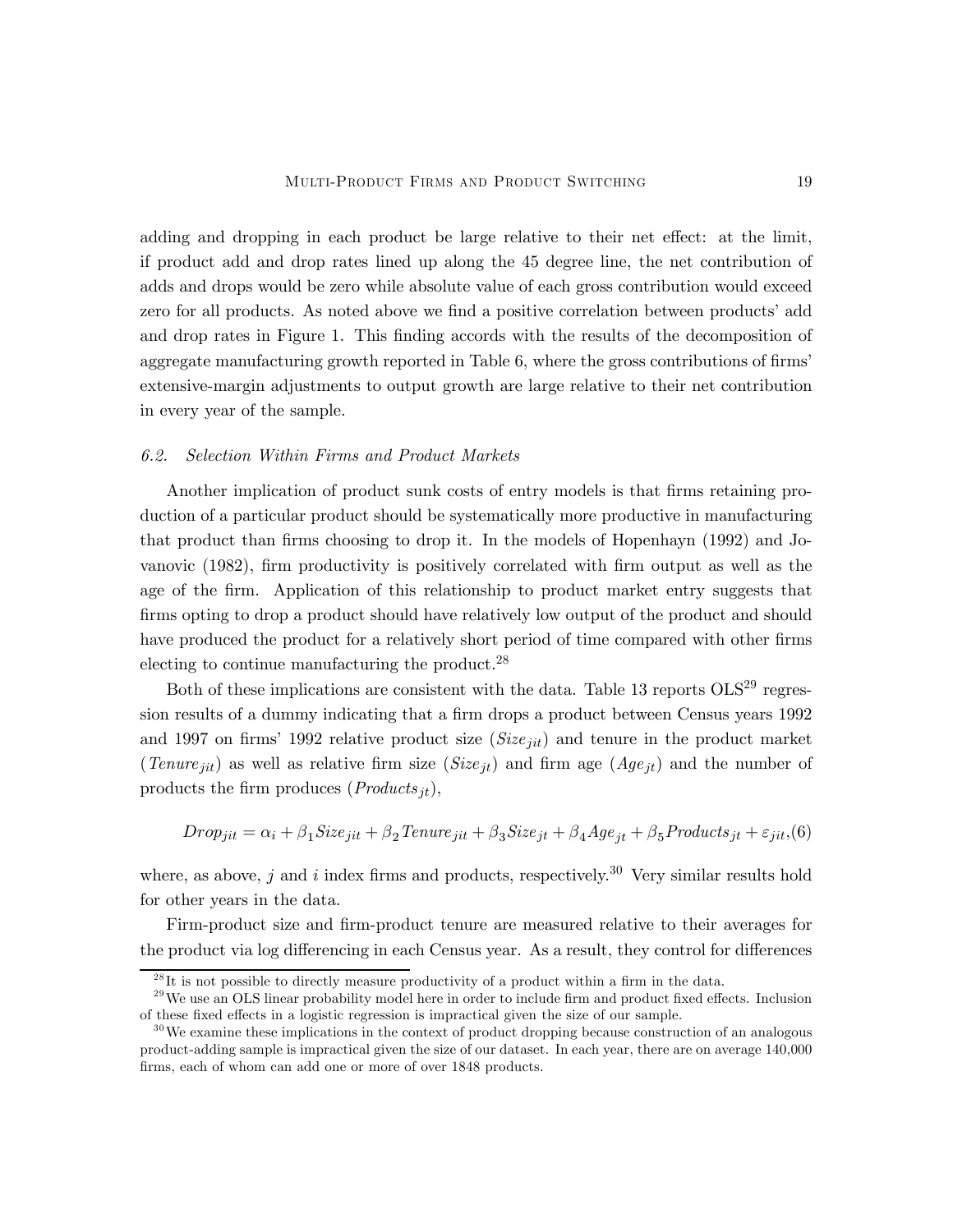adding and dropping in each product be large relative to their net effect: at the limit, if product add and drop rates lined up along the 45 degree line, the net contribution of adds and drops would be zero while absolute value of each gross contribution would exceed zero for all products. As noted above we find a positive correlation between products' add and drop rates in Figure 1. This finding accords with the results of the decomposition of aggregate manufacturing growth reported in Table 6, where the gross contributions of firms' extensive-margin adjustments to output growth are large relative to their net contribution in every year of the sample.

#### 6.2. Selection Within Firms and Product Markets

Another implication of product sunk costs of entry models is that firms retaining production of a particular product should be systematically more productive in manufacturing that product than firms choosing to drop it. In the models of Hopenhayn (1992) and Jovanovic (1982), firm productivity is positively correlated with firm output as well as the age of the firm. Application of this relationship to product market entry suggests that firms opting to drop a product should have relatively low output of the product and should have produced the product for a relatively short period of time compared with other firms electing to continue manufacturing the product.<sup>28</sup>

Both of these implications are consistent with the data. Table 13 reports  $OLS^{29}$  regression results of a dummy indicating that a firm drops a product between Census years 1992 and 1997 on firms' 1992 relative product size  $(Size_{ijt})$  and tenure in the product market (Tenure<sub>jit</sub>) as well as relative firm size (Size<sub>jt</sub>) and firm age (Age<sub>jt</sub>) and the number of products the firm produces  $(Products_{it}),$ 

$$
Drop_{jit} = \alpha_i + \beta_1 Size_{jit} + \beta_2 Tenure_{jit} + \beta_3 Size_{jt} + \beta_4 Age_{jt} + \beta_5 Products_{jt} + \varepsilon_{jit}, (6)
$$

where, as above, j and i index firms and products, respectively.<sup>30</sup> Very similar results hold for other years in the data.

Firm-product size and firm-product tenure are measured relative to their averages for the product via log differencing in each Census year. As a result, they control for differences

 $^{28}$ It is not possible to directly measure productivity of a product within a firm in the data.

 $^{29}$ We use an OLS linear probability model here in order to include firm and product fixed effects. Inclusion of these fixed effects in a logistic regression is impractical given the size of our sample.

<sup>&</sup>lt;sup>30</sup>We examine these implications in the context of product dropping because construction of an analogous product-adding sample is impractical given the size of our dataset. In each year, there are on average 140,000 firms, each of whom can add one or more of over 1848 products.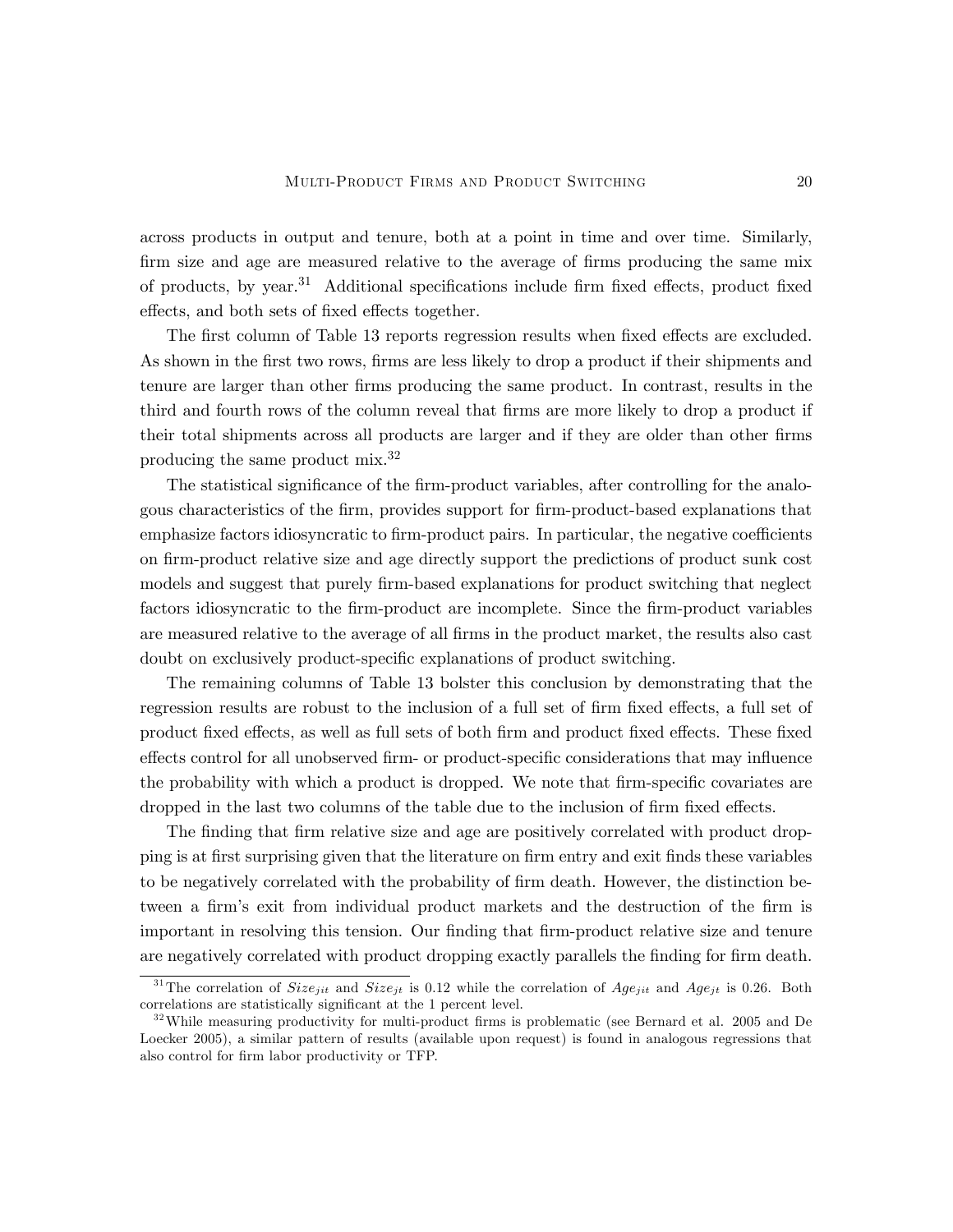across products in output and tenure, both at a point in time and over time. Similarly, firm size and age are measured relative to the average of firms producing the same mix of products, by year.<sup>31</sup> Additional specifications include firm fixed effects, product fixed effects, and both sets of fixed effects together.

The first column of Table 13 reports regression results when fixed effects are excluded. As shown in the first two rows, firms are less likely to drop a product if their shipments and tenure are larger than other firms producing the same product. In contrast, results in the third and fourth rows of the column reveal that firms are more likely to drop a product if their total shipments across all products are larger and if they are older than other firms producing the same product mix.<sup>32</sup>

The statistical significance of the firm-product variables, after controlling for the analogous characteristics of the firm, provides support for firm-product-based explanations that emphasize factors idiosyncratic to firm-product pairs. In particular, the negative coefficients on firm-product relative size and age directly support the predictions of product sunk cost models and suggest that purely firm-based explanations for product switching that neglect factors idiosyncratic to the firm-product are incomplete. Since the firm-product variables are measured relative to the average of all firms in the product market, the results also cast doubt on exclusively product-specific explanations of product switching.

The remaining columns of Table 13 bolster this conclusion by demonstrating that the regression results are robust to the inclusion of a full set of firm fixed effects, a full set of product fixed effects, as well as full sets of both firm and product fixed effects. These fixed effects control for all unobserved firm- or product-specific considerations that may influence the probability with which a product is dropped. We note that firm-specific covariates are dropped in the last two columns of the table due to the inclusion of firm fixed effects.

The finding that firm relative size and age are positively correlated with product dropping is at first surprising given that the literature on firm entry and exit finds these variables to be negatively correlated with the probability of firm death. However, the distinction between a firm's exit from individual product markets and the destruction of the firm is important in resolving this tension. Our finding that firm-product relative size and tenure are negatively correlated with product dropping exactly parallels the finding for firm death.

<sup>&</sup>lt;sup>31</sup>The correlation of  $Size_{ijt}$  and  $Size_{it}$  is 0.12 while the correlation of Age<sub>it</sub> and Age<sub>it</sub> is 0.26. Both correlations are statistically significant at the 1 percent level.

 $32\,\mathrm{While}$  measuring productivity for multi-product firms is problematic (see Bernard et al. 2005 and De Loecker 2005), a similar pattern of results (available upon request) is found in analogous regressions that also control for firm labor productivity or TFP.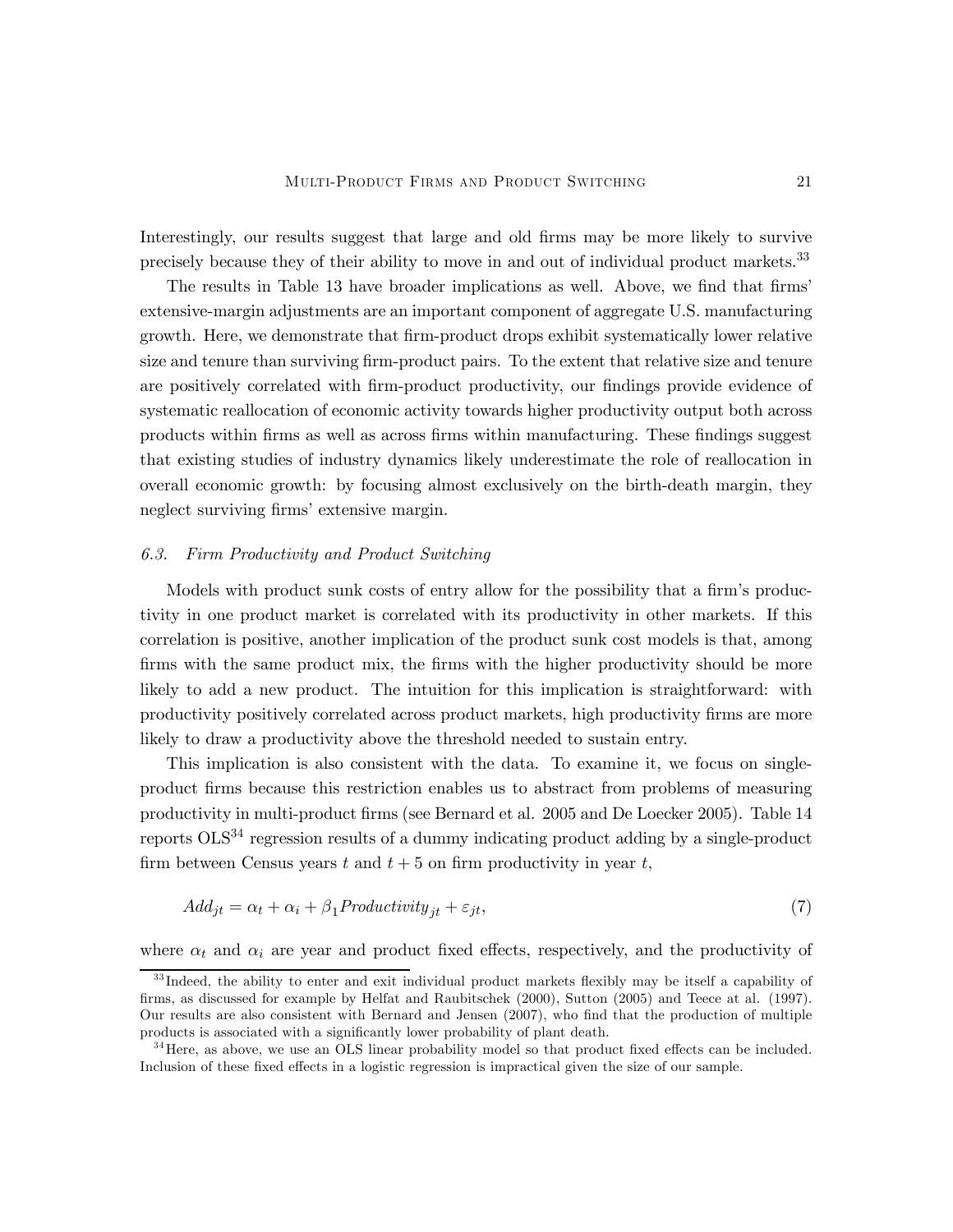Interestingly, our results suggest that large and old firms may be more likely to survive precisely because they of their ability to move in and out of individual product markets.<sup>33</sup>

The results in Table 13 have broader implications as well. Above, we find that firms' extensive-margin adjustments are an important component of aggregate U.S. manufacturing growth. Here, we demonstrate that firm-product drops exhibit systematically lower relative size and tenure than surviving firm-product pairs. To the extent that relative size and tenure are positively correlated with firm-product productivity, our findings provide evidence of systematic reallocation of economic activity towards higher productivity output both across products within firms as well as across firms within manufacturing. These findings suggest that existing studies of industry dynamics likely underestimate the role of reallocation in overall economic growth: by focusing almost exclusively on the birth-death margin, they neglect surviving firms' extensive margin.

## 6.3. Firm Productivity and Product Switching

Models with product sunk costs of entry allow for the possibility that a firm's productivity in one product market is correlated with its productivity in other markets. If this correlation is positive, another implication of the product sunk cost models is that, among firms with the same product mix, the firms with the higher productivity should be more likely to add a new product. The intuition for this implication is straightforward: with productivity positively correlated across product markets, high productivity firms are more likely to draw a productivity above the threshold needed to sustain entry.

This implication is also consistent with the data. To examine it, we focus on singleproduct firms because this restriction enables us to abstract from problems of measuring productivity in multi-product firms (see Bernard et al. 2005 and De Loecker 2005). Table 14 reports OLS<sup>34</sup> regression results of a dummy indicating product adding by a single-product firm between Census years t and  $t + 5$  on firm productivity in year t,

$$
Add_{jt} = \alpha_t + \alpha_i + \beta_1 Productivity_{jt} + \varepsilon_{jt},\tag{7}
$$

where  $\alpha_t$  and  $\alpha_i$  are year and product fixed effects, respectively, and the productivity of

<sup>&</sup>lt;sup>33</sup>Indeed, the ability to enter and exit individual product markets flexibly may be itself a capability of firms, as discussed for example by Helfat and Raubitschek (2000), Sutton (2005) and Teece at al. (1997). Our results are also consistent with Bernard and Jensen (2007), who find that the production of multiple products is associated with a significantly lower probability of plant death.

<sup>&</sup>lt;sup>34</sup> Here, as above, we use an OLS linear probability model so that product fixed effects can be included. Inclusion of these fixed effects in a logistic regression is impractical given the size of our sample.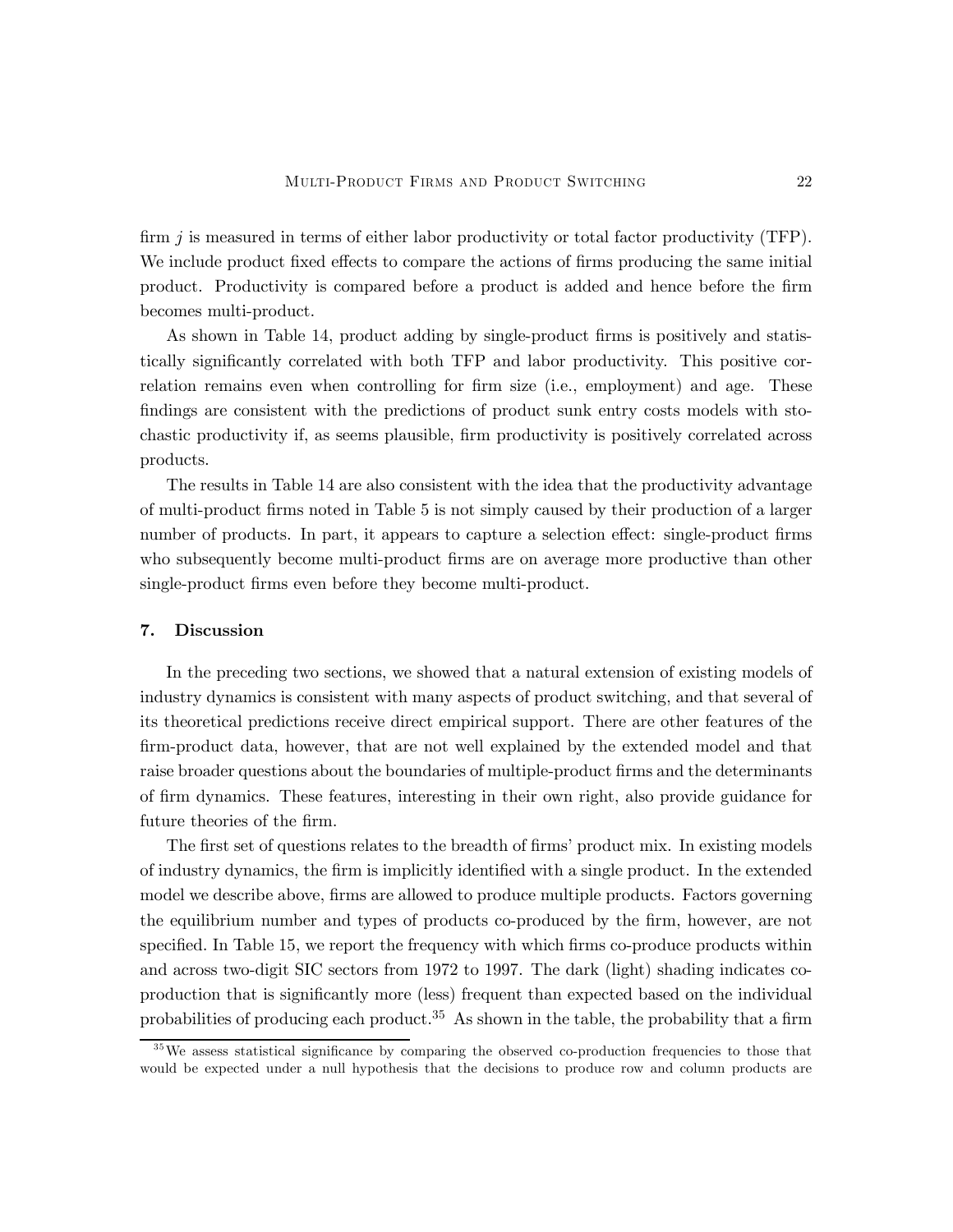firm  $j$  is measured in terms of either labor productivity or total factor productivity (TFP). We include product fixed effects to compare the actions of firms producing the same initial product. Productivity is compared before a product is added and hence before the firm becomes multi-product.

As shown in Table 14, product adding by single-product firms is positively and statistically significantly correlated with both TFP and labor productivity. This positive correlation remains even when controlling for firm size (i.e., employment) and age. These findings are consistent with the predictions of product sunk entry costs models with stochastic productivity if, as seems plausible, firm productivity is positively correlated across products.

The results in Table 14 are also consistent with the idea that the productivity advantage of multi-product firms noted in Table 5 is not simply caused by their production of a larger number of products. In part, it appears to capture a selection effect: single-product firms who subsequently become multi-product firms are on average more productive than other single-product firms even before they become multi-product.

### 7. Discussion

In the preceding two sections, we showed that a natural extension of existing models of industry dynamics is consistent with many aspects of product switching, and that several of its theoretical predictions receive direct empirical support. There are other features of the firm-product data, however, that are not well explained by the extended model and that raise broader questions about the boundaries of multiple-product firms and the determinants of firm dynamics. These features, interesting in their own right, also provide guidance for future theories of the firm.

The first set of questions relates to the breadth of firms' product mix. In existing models of industry dynamics, the firm is implicitly identified with a single product. In the extended model we describe above, firms are allowed to produce multiple products. Factors governing the equilibrium number and types of products co-produced by the firm, however, are not specified. In Table 15, we report the frequency with which firms co-produce products within and across two-digit SIC sectors from 1972 to 1997. The dark (light) shading indicates coproduction that is significantly more (less) frequent than expected based on the individual probabilities of producing each product.<sup>35</sup> As shown in the table, the probability that a firm

<sup>&</sup>lt;sup>35</sup>We assess statistical significance by comparing the observed co-production frequencies to those that would be expected under a null hypothesis that the decisions to produce row and column products are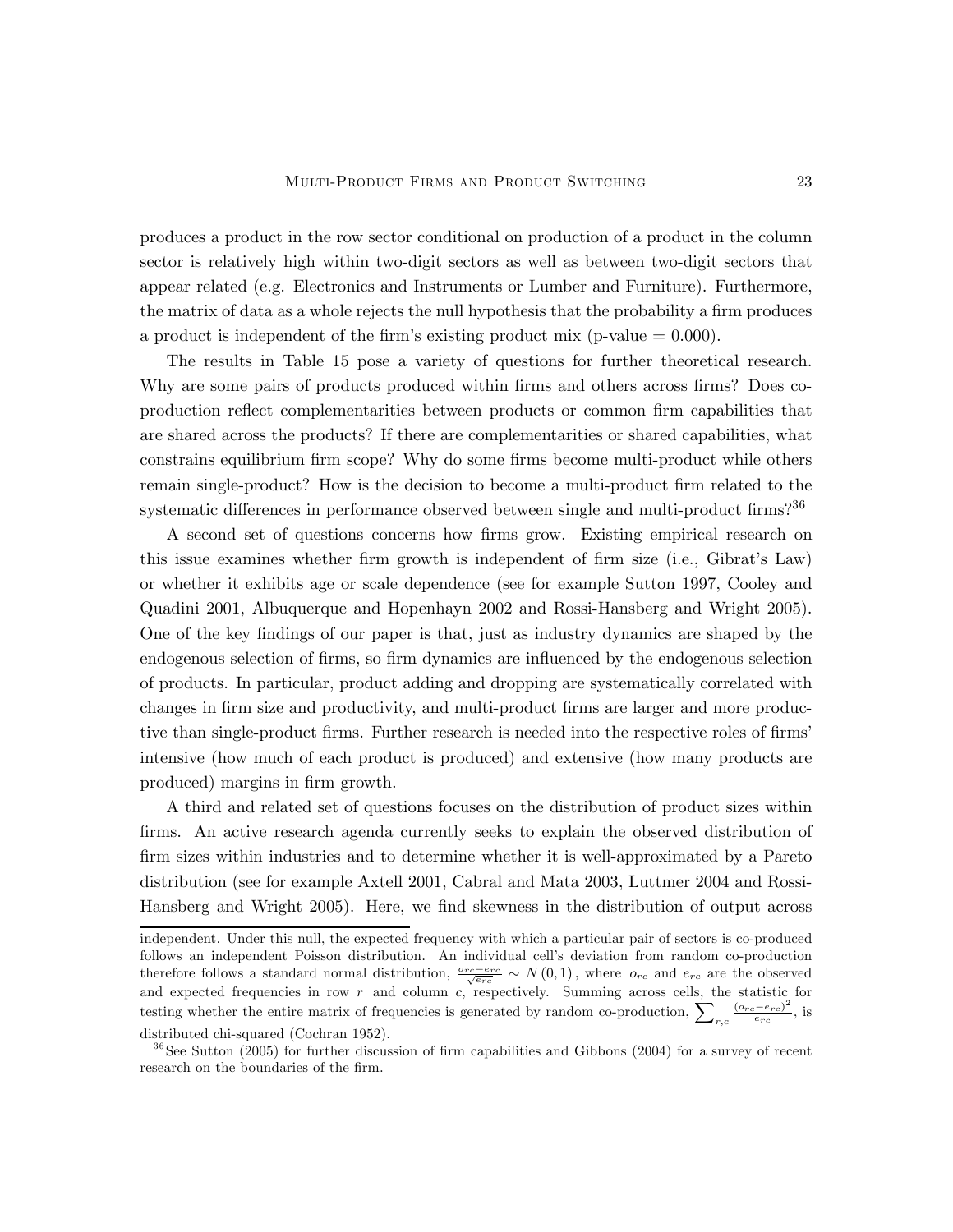produces a product in the row sector conditional on production of a product in the column sector is relatively high within two-digit sectors as well as between two-digit sectors that appear related (e.g. Electronics and Instruments or Lumber and Furniture). Furthermore, the matrix of data as a whole rejects the null hypothesis that the probability a firm produces a product is independent of the firm's existing product mix (p-value  $= 0.000$ ).

The results in Table 15 pose a variety of questions for further theoretical research. Why are some pairs of products produced within firms and others across firms? Does coproduction reflect complementarities between products or common firm capabilities that are shared across the products? If there are complementarities or shared capabilities, what constrains equilibrium firm scope? Why do some firms become multi-product while others remain single-product? How is the decision to become a multi-product firm related to the systematic differences in performance observed between single and multi-product firms?<sup>36</sup>

A second set of questions concerns how firms grow. Existing empirical research on this issue examines whether firm growth is independent of firm size (i.e., Gibrat's Law) or whether it exhibits age or scale dependence (see for example Sutton 1997, Cooley and Quadini 2001, Albuquerque and Hopenhayn 2002 and Rossi-Hansberg and Wright 2005). One of the key findings of our paper is that, just as industry dynamics are shaped by the endogenous selection of firms, so firm dynamics are influenced by the endogenous selection of products. In particular, product adding and dropping are systematically correlated with changes in firm size and productivity, and multi-product firms are larger and more productive than single-product firms. Further research is needed into the respective roles of firms' intensive (how much of each product is produced) and extensive (how many products are produced) margins in firm growth.

A third and related set of questions focuses on the distribution of product sizes within firms. An active research agenda currently seeks to explain the observed distribution of firm sizes within industries and to determine whether it is well-approximated by a Pareto distribution (see for example Axtell 2001, Cabral and Mata 2003, Luttmer 2004 and Rossi-Hansberg and Wright 2005). Here, we find skewness in the distribution of output across

independent. Under this null, the expected frequency with which a particular pair of sectors is co-produced follows an independent Poisson distribution. An individual cell's deviation from random co-production therefore follows a standard normal distribution,  $\frac{p_{rc} - e_{rc}}{\sqrt{e_{rc}}} \sim N(0, 1)$ , where  $o_{rc}$  and  $e_{rc}$  are the observed and expected frequencies in row  $r$  and column  $c$ , respectively. Summing across cells, the statistic for testing whether the entire matrix of frequencies is generated by random co-production,  $\sum_{r,c} \frac{(o_{rc}-e_{rc})^2}{e_{rc}}$ , is distributed chi-squared (Cochran 1952).

 $36$ See Sutton (2005) for further discussion of firm capabilities and Gibbons (2004) for a survey of recent research on the boundaries of the firm.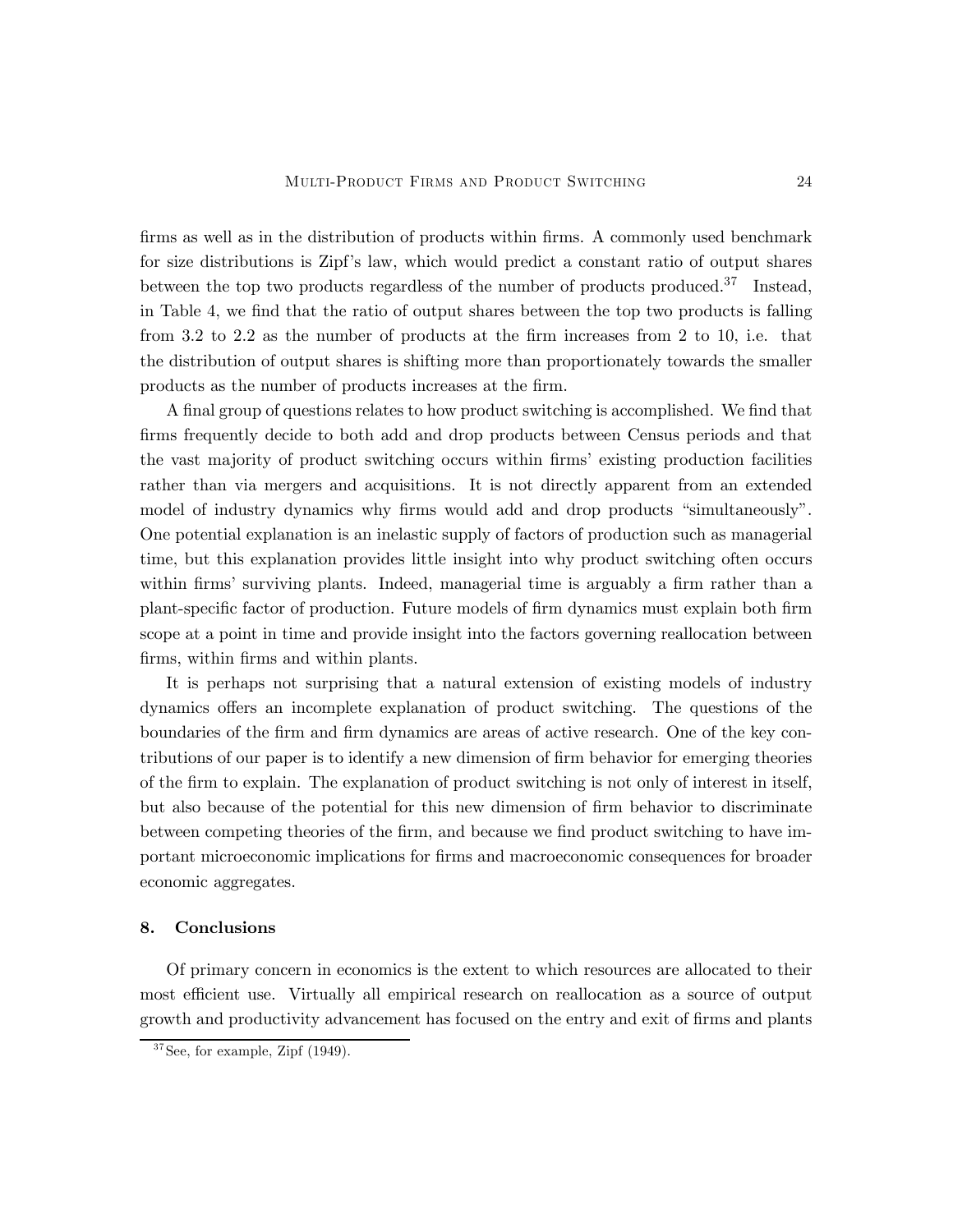firms as well as in the distribution of products within firms. A commonly used benchmark for size distributions is Zipf's law, which would predict a constant ratio of output shares between the top two products regardless of the number of products produced.<sup>37</sup> Instead, in Table 4, we find that the ratio of output shares between the top two products is falling from 3.2 to 2.2 as the number of products at the firm increases from 2 to 10, i.e. that the distribution of output shares is shifting more than proportionately towards the smaller products as the number of products increases at the firm.

A final group of questions relates to how product switching is accomplished. We find that firms frequently decide to both add and drop products between Census periods and that the vast majority of product switching occurs within firms' existing production facilities rather than via mergers and acquisitions. It is not directly apparent from an extended model of industry dynamics why firms would add and drop products "simultaneously". One potential explanation is an inelastic supply of factors of production such as managerial time, but this explanation provides little insight into why product switching often occurs within firms' surviving plants. Indeed, managerial time is arguably a firm rather than a plant-specific factor of production. Future models of firm dynamics must explain both firm scope at a point in time and provide insight into the factors governing reallocation between firms, within firms and within plants.

It is perhaps not surprising that a natural extension of existing models of industry dynamics offers an incomplete explanation of product switching. The questions of the boundaries of the firm and firm dynamics are areas of active research. One of the key contributions of our paper is to identify a new dimension of firm behavior for emerging theories of the firm to explain. The explanation of product switching is not only of interest in itself, but also because of the potential for this new dimension of firm behavior to discriminate between competing theories of the firm, and because we find product switching to have important microeconomic implications for firms and macroeconomic consequences for broader economic aggregates.

### 8. Conclusions

Of primary concern in economics is the extent to which resources are allocated to their most efficient use. Virtually all empirical research on reallocation as a source of output growth and productivity advancement has focused on the entry and exit of firms and plants

 $37$ See, for example, Zipf  $(1949)$ .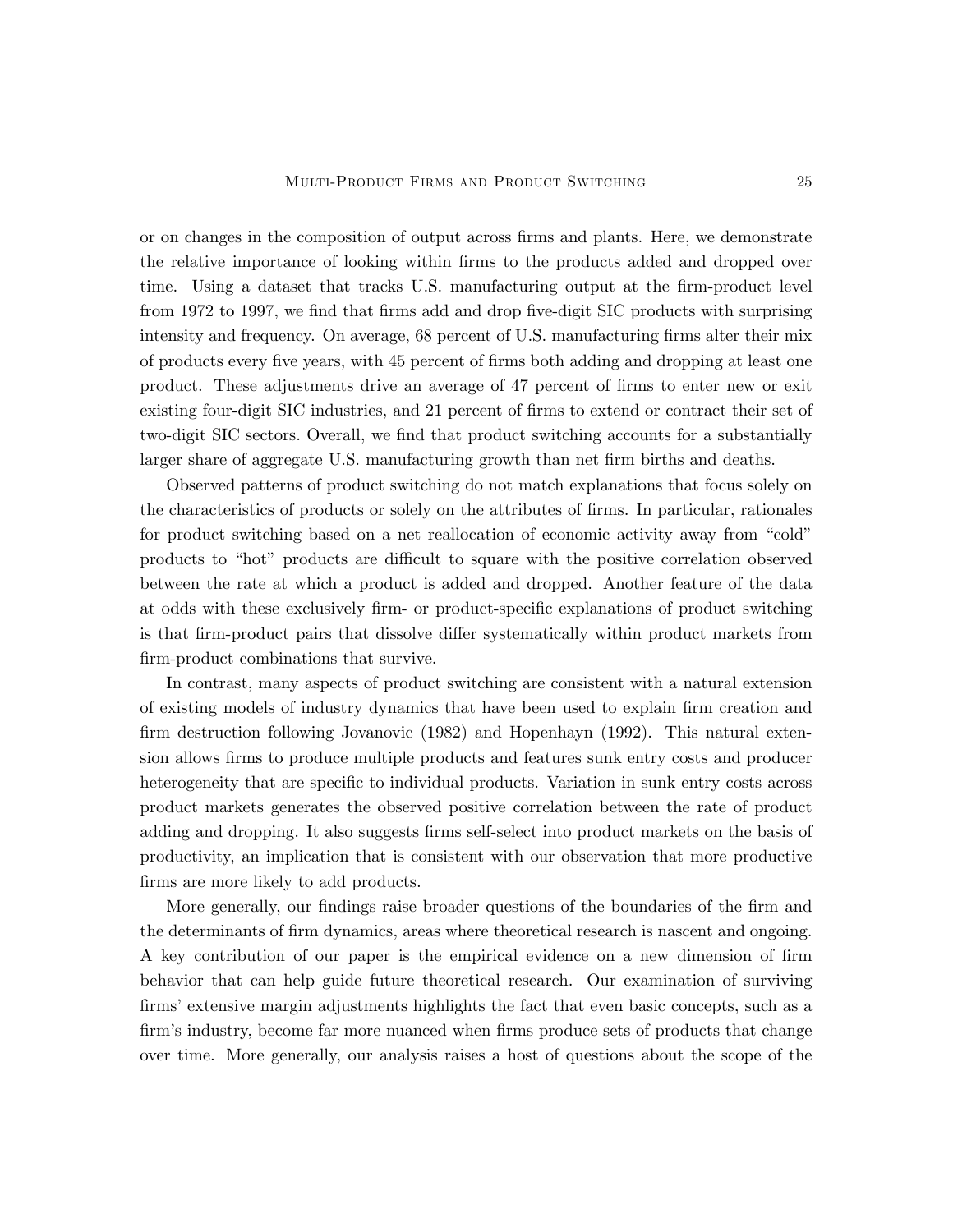or on changes in the composition of output across firms and plants. Here, we demonstrate the relative importance of looking within firms to the products added and dropped over time. Using a dataset that tracks U.S. manufacturing output at the firm-product level from 1972 to 1997, we find that firms add and drop five-digit SIC products with surprising intensity and frequency. On average, 68 percent of U.S. manufacturing firms alter their mix of products every five years, with 45 percent of firms both adding and dropping at least one product. These adjustments drive an average of 47 percent of firms to enter new or exit existing four-digit SIC industries, and 21 percent of firms to extend or contract their set of two-digit SIC sectors. Overall, we find that product switching accounts for a substantially larger share of aggregate U.S. manufacturing growth than net firm births and deaths.

Observed patterns of product switching do not match explanations that focus solely on the characteristics of products or solely on the attributes of firms. In particular, rationales for product switching based on a net reallocation of economic activity away from "cold" products to "hot" products are difficult to square with the positive correlation observed between the rate at which a product is added and dropped. Another feature of the data at odds with these exclusively firm- or product-specific explanations of product switching is that firm-product pairs that dissolve differ systematically within product markets from firm-product combinations that survive.

In contrast, many aspects of product switching are consistent with a natural extension of existing models of industry dynamics that have been used to explain firm creation and firm destruction following Jovanovic (1982) and Hopenhayn (1992). This natural extension allows firms to produce multiple products and features sunk entry costs and producer heterogeneity that are specific to individual products. Variation in sunk entry costs across product markets generates the observed positive correlation between the rate of product adding and dropping. It also suggests firms self-select into product markets on the basis of productivity, an implication that is consistent with our observation that more productive firms are more likely to add products.

More generally, our findings raise broader questions of the boundaries of the firm and the determinants of firm dynamics, areas where theoretical research is nascent and ongoing. A key contribution of our paper is the empirical evidence on a new dimension of firm behavior that can help guide future theoretical research. Our examination of surviving firms' extensive margin adjustments highlights the fact that even basic concepts, such as a firm's industry, become far more nuanced when firms produce sets of products that change over time. More generally, our analysis raises a host of questions about the scope of the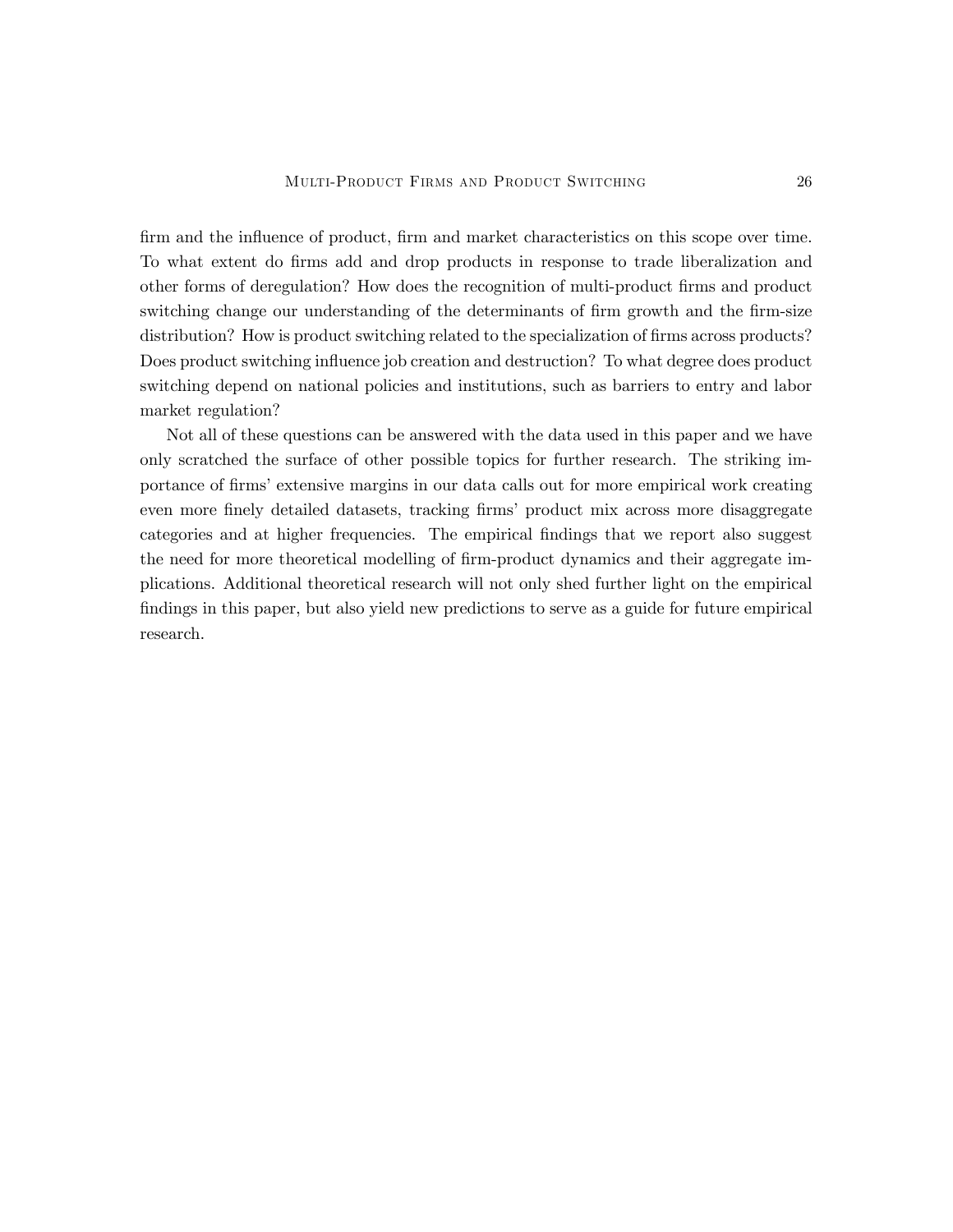firm and the influence of product, firm and market characteristics on this scope over time. To what extent do firms add and drop products in response to trade liberalization and other forms of deregulation? How does the recognition of multi-product firms and product switching change our understanding of the determinants of firm growth and the firm-size distribution? How is product switching related to the specialization of firms across products? Does product switching influence job creation and destruction? To what degree does product switching depend on national policies and institutions, such as barriers to entry and labor market regulation?

Not all of these questions can be answered with the data used in this paper and we have only scratched the surface of other possible topics for further research. The striking importance of firms' extensive margins in our data calls out for more empirical work creating even more finely detailed datasets, tracking firms' product mix across more disaggregate categories and at higher frequencies. The empirical findings that we report also suggest the need for more theoretical modelling of firm-product dynamics and their aggregate implications. Additional theoretical research will not only shed further light on the empirical findings in this paper, but also yield new predictions to serve as a guide for future empirical research.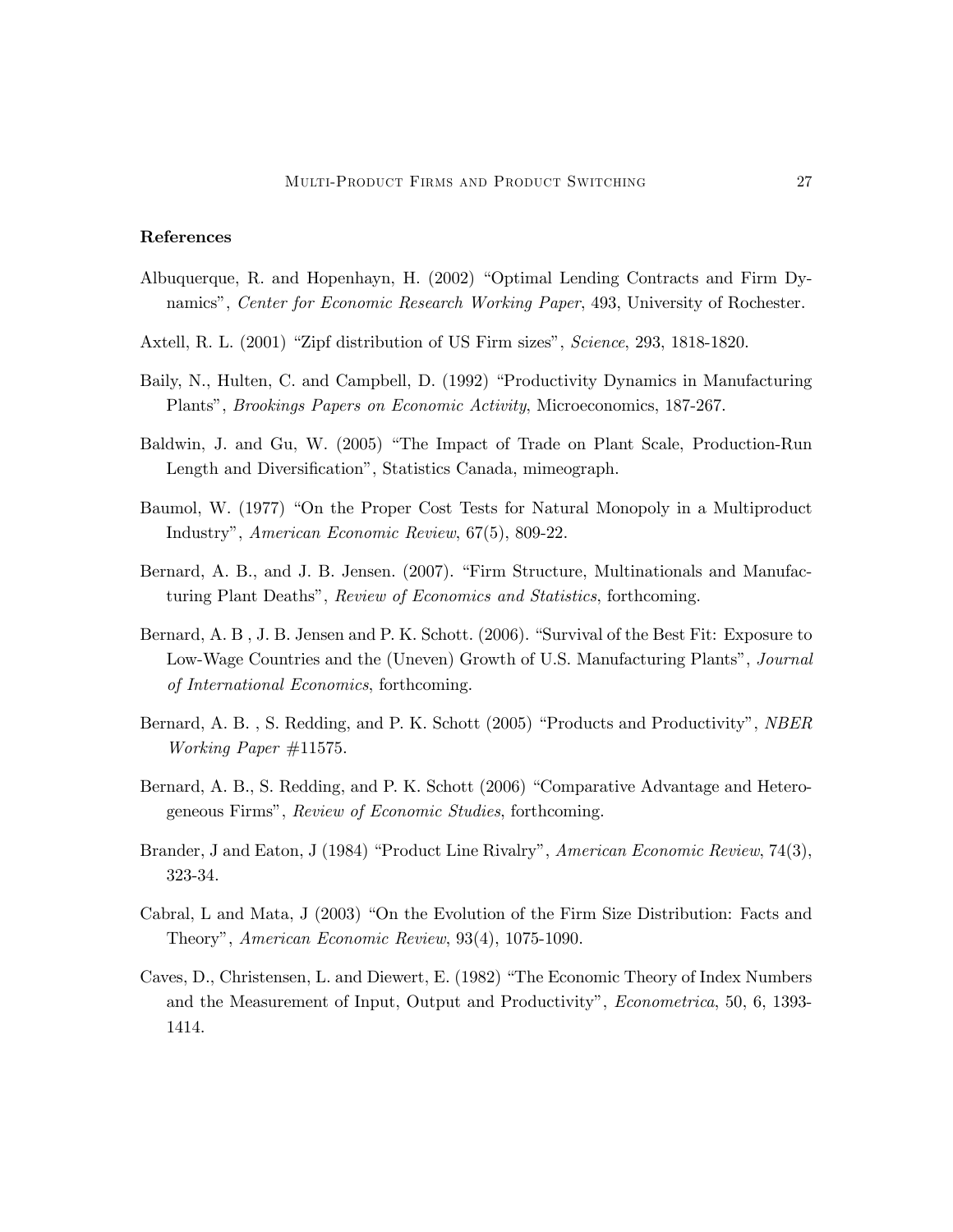## References

- Albuquerque, R. and Hopenhayn, H. (2002) "Optimal Lending Contracts and Firm Dynamics", Center for Economic Research Working Paper, 493, University of Rochester.
- Axtell, R. L. (2001) "Zipf distribution of US Firm sizes", Science, 293, 1818-1820.
- Baily, N., Hulten, C. and Campbell, D. (1992) "Productivity Dynamics in Manufacturing Plants", Brookings Papers on Economic Activity, Microeconomics, 187-267.
- Baldwin, J. and Gu, W. (2005) "The Impact of Trade on Plant Scale, Production-Run Length and Diversification", Statistics Canada, mimeograph.
- Baumol, W. (1977) "On the Proper Cost Tests for Natural Monopoly in a Multiproduct Industry", American Economic Review, 67(5), 809-22.
- Bernard, A. B., and J. B. Jensen. (2007). "Firm Structure, Multinationals and Manufacturing Plant Deaths", Review of Economics and Statistics, forthcoming.
- Bernard, A. B , J. B. Jensen and P. K. Schott. (2006). "Survival of the Best Fit: Exposure to Low-Wage Countries and the (Uneven) Growth of U.S. Manufacturing Plants", Journal of International Economics, forthcoming.
- Bernard, A. B., S. Redding, and P. K. Schott (2005) "Products and Productivity", *NBER* Working Paper #11575.
- Bernard, A. B., S. Redding, and P. K. Schott (2006) "Comparative Advantage and Heterogeneous Firms", Review of Economic Studies, forthcoming.
- Brander, J and Eaton, J (1984) "Product Line Rivalry", American Economic Review, 74(3), 323-34.
- Cabral, L and Mata, J (2003) "On the Evolution of the Firm Size Distribution: Facts and Theory", American Economic Review, 93(4), 1075-1090.
- Caves, D., Christensen, L. and Diewert, E. (1982) "The Economic Theory of Index Numbers and the Measurement of Input, Output and Productivity", Econometrica, 50, 6, 1393- 1414.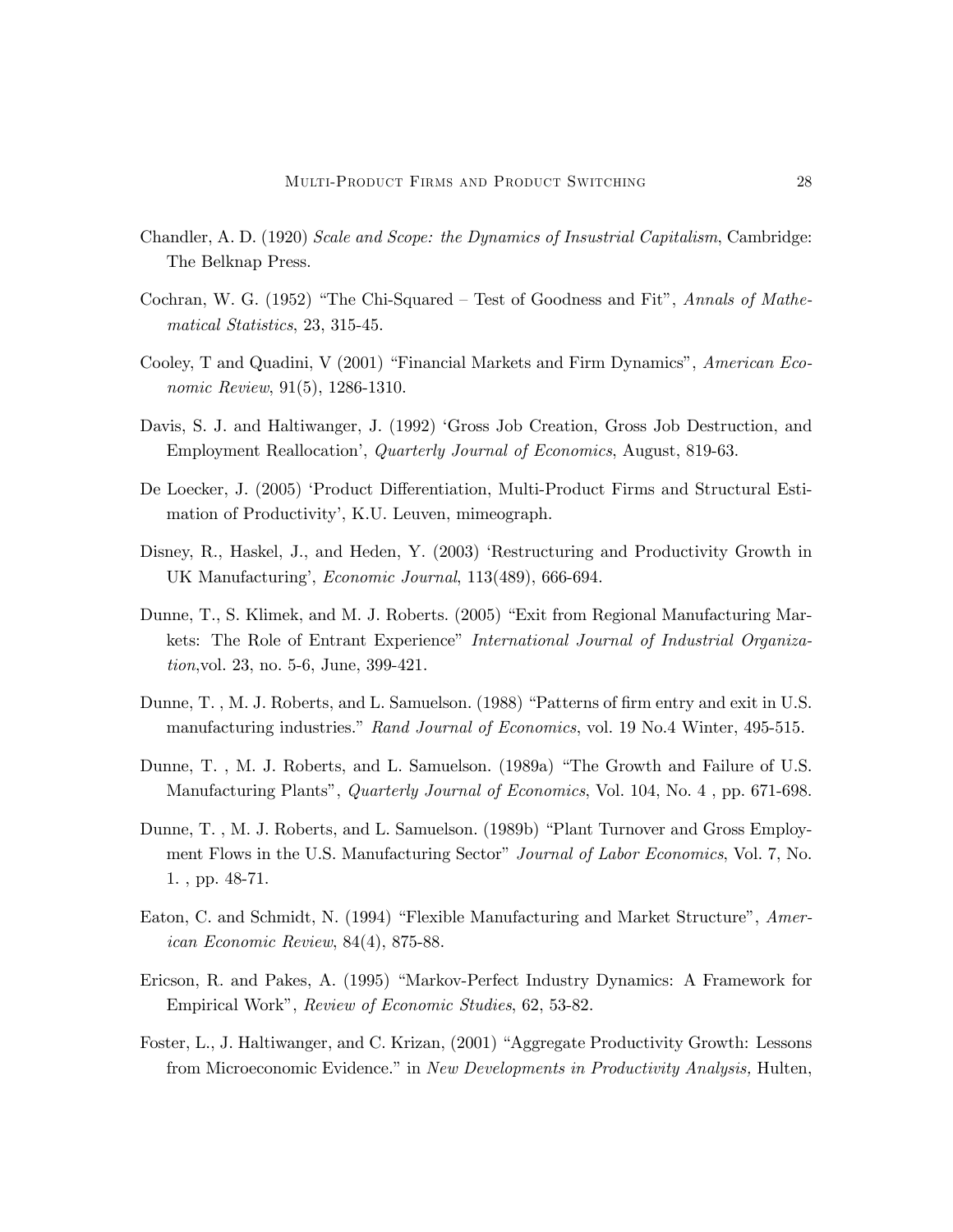- Chandler, A. D. (1920) Scale and Scope: the Dynamics of Insustrial Capitalism, Cambridge: The Belknap Press.
- Cochran, W. G. (1952) "The Chi-Squared Test of Goodness and Fit", Annals of Mathematical Statistics, 23, 315-45.
- Cooley, T and Quadini, V (2001) "Financial Markets and Firm Dynamics", American Economic Review, 91(5), 1286-1310.
- Davis, S. J. and Haltiwanger, J. (1992) 'Gross Job Creation, Gross Job Destruction, and Employment Reallocation', Quarterly Journal of Economics, August, 819-63.
- De Loecker, J. (2005) 'Product Differentiation, Multi-Product Firms and Structural Estimation of Productivity', K.U. Leuven, mimeograph.
- Disney, R., Haskel, J., and Heden, Y. (2003) 'Restructuring and Productivity Growth in UK Manufacturing', Economic Journal, 113(489), 666-694.
- Dunne, T., S. Klimek, and M. J. Roberts. (2005) "Exit from Regional Manufacturing Markets: The Role of Entrant Experience" International Journal of Industrial Organization,vol. 23, no. 5-6, June, 399-421.
- Dunne, T. , M. J. Roberts, and L. Samuelson. (1988) "Patterns of firm entry and exit in U.S. manufacturing industries." Rand Journal of Economics, vol. 19 No.4 Winter, 495-515.
- Dunne, T. , M. J. Roberts, and L. Samuelson. (1989a) "The Growth and Failure of U.S. Manufacturing Plants", *Quarterly Journal of Economics*, Vol. 104, No. 4, pp. 671-698.
- Dunne, T., M. J. Roberts, and L. Samuelson. (1989b) "Plant Turnover and Gross Employment Flows in the U.S. Manufacturing Sector" Journal of Labor Economics, Vol. 7, No. 1. , pp. 48-71.
- Eaton, C. and Schmidt, N. (1994) "Flexible Manufacturing and Market Structure", American Economic Review, 84(4), 875-88.
- Ericson, R. and Pakes, A. (1995) "Markov-Perfect Industry Dynamics: A Framework for Empirical Work", Review of Economic Studies, 62, 53-82.
- Foster, L., J. Haltiwanger, and C. Krizan, (2001) "Aggregate Productivity Growth: Lessons from Microeconomic Evidence." in New Developments in Productivity Analysis, Hulten,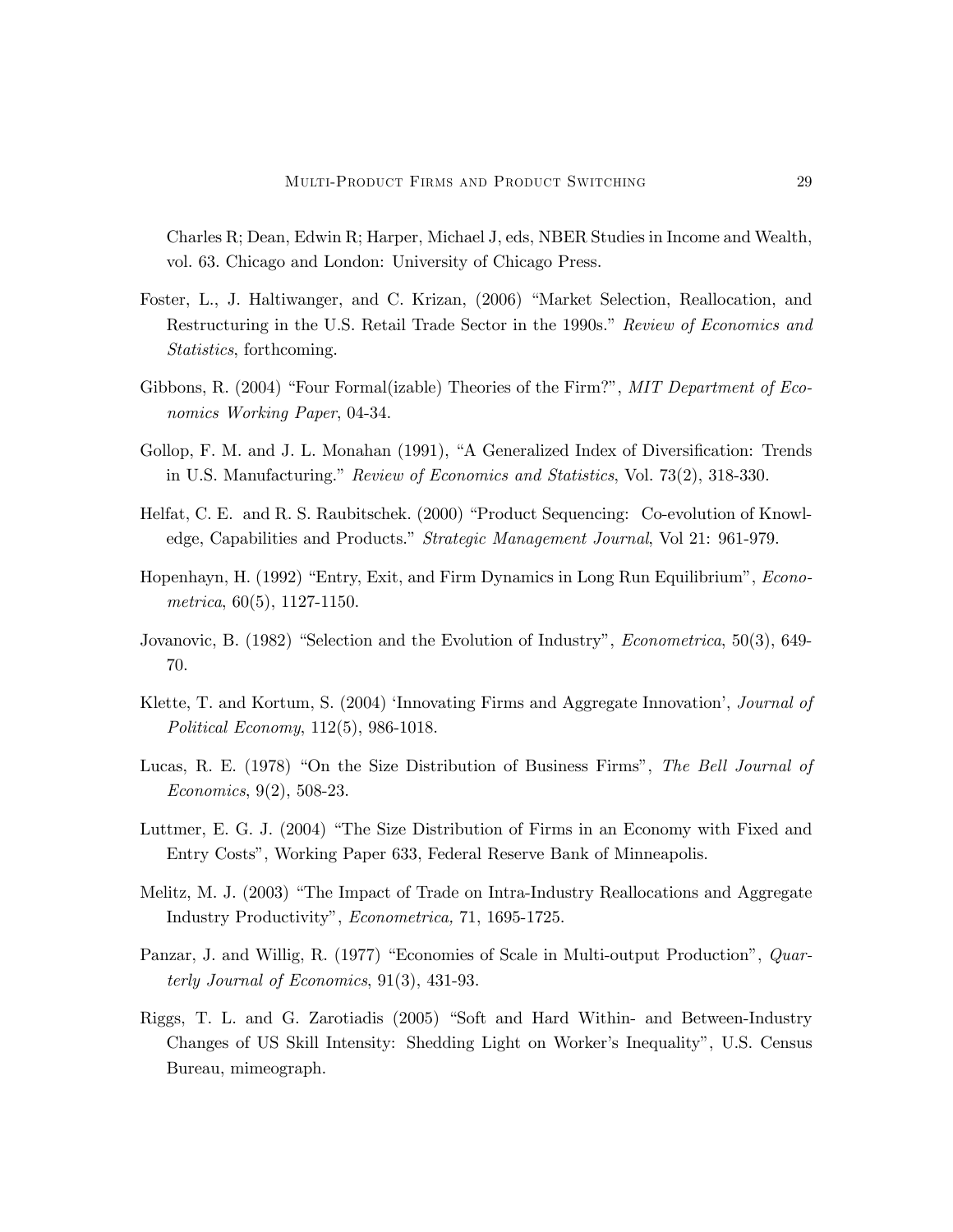Charles R; Dean, Edwin R; Harper, Michael J, eds, NBER Studies in Income and Wealth, vol. 63. Chicago and London: University of Chicago Press.

- Foster, L., J. Haltiwanger, and C. Krizan, (2006) "Market Selection, Reallocation, and Restructuring in the U.S. Retail Trade Sector in the 1990s." Review of Economics and Statistics, forthcoming.
- Gibbons, R. (2004) "Four Formal (izable) Theories of the Firm?", MIT Department of Economics Working Paper, 04-34.
- Gollop, F. M. and J. L. Monahan (1991), "A Generalized Index of Diversification: Trends in U.S. Manufacturing." Review of Economics and Statistics, Vol. 73(2), 318-330.
- Helfat, C. E. and R. S. Raubitschek. (2000) "Product Sequencing: Co-evolution of Knowledge, Capabilities and Products." Strategic Management Journal, Vol 21: 961-979.
- Hopenhayn, H. (1992) "Entry, Exit, and Firm Dynamics in Long Run Equilibrium", Econometrica,  $60(5)$ , 1127-1150.
- Jovanovic, B. (1982) "Selection and the Evolution of Industry", *Econometrica*, 50(3), 649-70.
- Klette, T. and Kortum, S. (2004) 'Innovating Firms and Aggregate Innovation', Journal of Political Economy, 112(5), 986-1018.
- Lucas, R. E. (1978) "On the Size Distribution of Business Firms", The Bell Journal of Economics, 9(2), 508-23.
- Luttmer, E. G. J. (2004) "The Size Distribution of Firms in an Economy with Fixed and Entry Costs", Working Paper 633, Federal Reserve Bank of Minneapolis.
- Melitz, M. J. (2003) "The Impact of Trade on Intra-Industry Reallocations and Aggregate Industry Productivity", Econometrica, 71, 1695-1725.
- Panzar, J. and Willig, R. (1977) "Economies of Scale in Multi-output Production", Quarterly Journal of Economics, 91(3), 431-93.
- Riggs, T. L. and G. Zarotiadis (2005) "Soft and Hard Within- and Between-Industry Changes of US Skill Intensity: Shedding Light on Worker's Inequality", U.S. Census Bureau, mimeograph.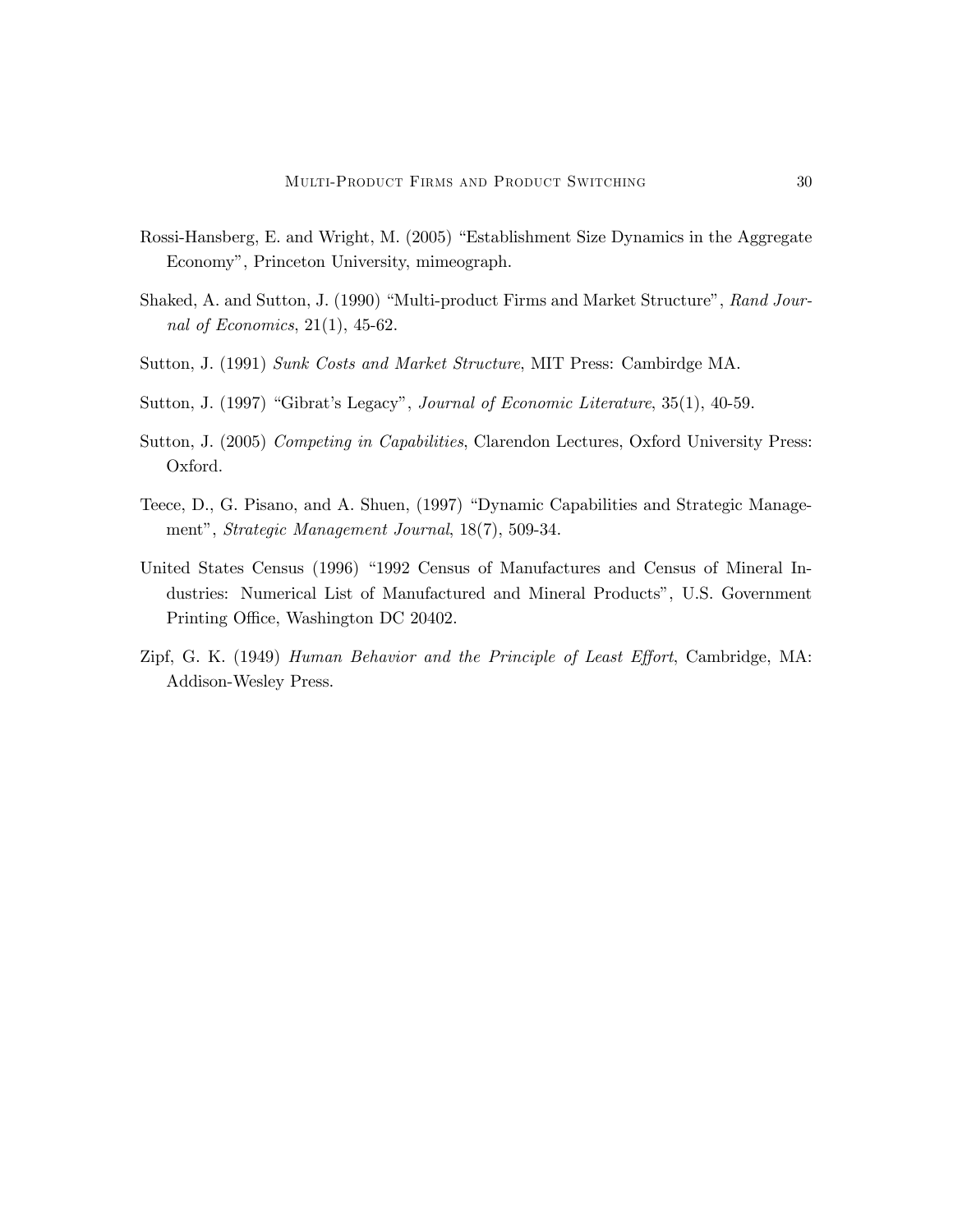- Rossi-Hansberg, E. and Wright, M. (2005) "Establishment Size Dynamics in the Aggregate Economy", Princeton University, mimeograph.
- Shaked, A. and Sutton, J. (1990) "Multi-product Firms and Market Structure", Rand Journal of Economics, 21(1), 45-62.
- Sutton, J. (1991) Sunk Costs and Market Structure, MIT Press: Cambirdge MA.
- Sutton, J. (1997) "Gibrat's Legacy", *Journal of Economic Literature*, 35(1), 40-59.
- Sutton, J. (2005) Competing in Capabilities, Clarendon Lectures, Oxford University Press: Oxford.
- Teece, D., G. Pisano, and A. Shuen, (1997) "Dynamic Capabilities and Strategic Management", Strategic Management Journal, 18(7), 509-34.
- United States Census (1996) "1992 Census of Manufactures and Census of Mineral Industries: Numerical List of Manufactured and Mineral Products", U.S. Government Printing Office, Washington DC 20402.
- Zipf, G. K. (1949) Human Behavior and the Principle of Least Effort, Cambridge, MA: Addison-Wesley Press.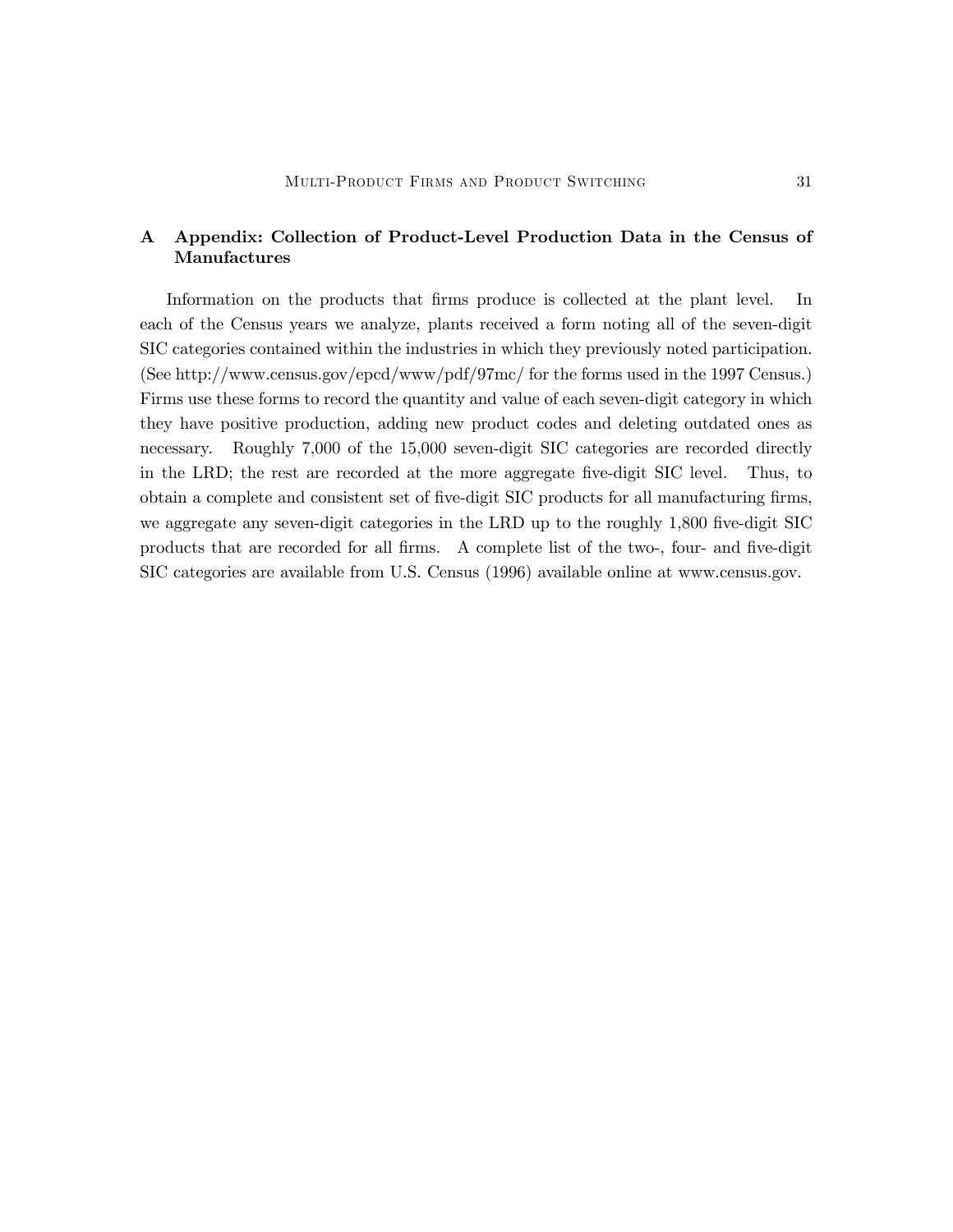# A Appendix: Collection of Product-Level Production Data in the Census of Manufactures

Information on the products that firms produce is collected at the plant level. In each of the Census years we analyze, plants received a form noting all of the seven-digit SIC categories contained within the industries in which they previously noted participation. (See http://www.census.gov/epcd/www/pdf/97mc/ for the forms used in the 1997 Census.) Firms use these forms to record the quantity and value of each seven-digit category in which they have positive production, adding new product codes and deleting outdated ones as necessary. Roughly 7,000 of the 15,000 seven-digit SIC categories are recorded directly in the LRD; the rest are recorded at the more aggregate five-digit SIC level. Thus, to obtain a complete and consistent set of five-digit SIC products for all manufacturing firms, we aggregate any seven-digit categories in the LRD up to the roughly 1,800 five-digit SIC products that are recorded for all firms. A complete list of the two-, four- and five-digit SIC categories are available from U.S. Census (1996) available online at www.census.gov.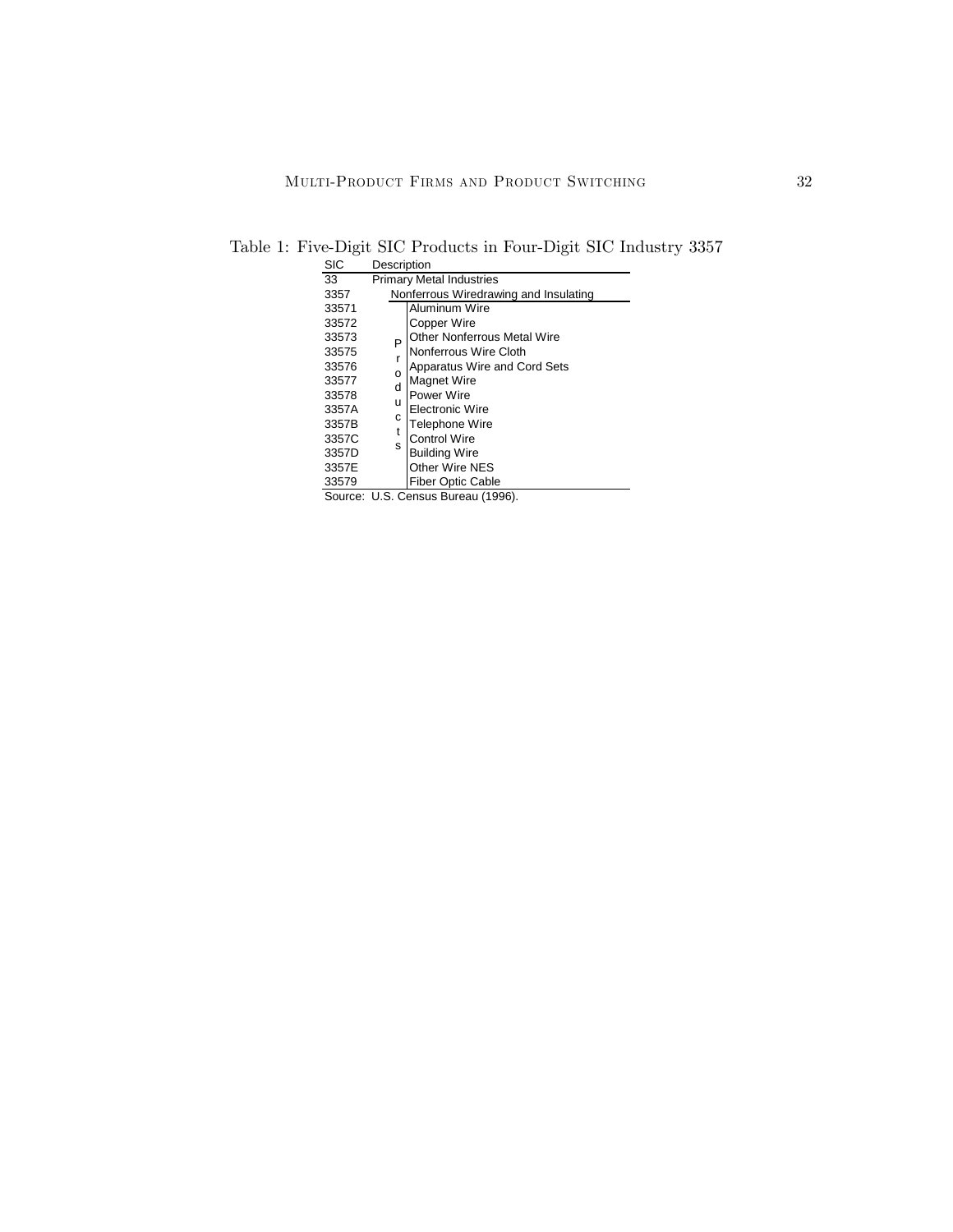Table 1: Five-Digit SIC Products in Four-Digit SIC Industry 3357

| SIC    | Description |                                       |  |  |  |  |
|--------|-------------|---------------------------------------|--|--|--|--|
| 33     |             | <b>Primary Metal Industries</b>       |  |  |  |  |
| 3357   |             | Nonferrous Wiredrawing and Insulating |  |  |  |  |
| 33571  |             | Aluminum Wire                         |  |  |  |  |
| 33572  |             | Copper Wire                           |  |  |  |  |
| 33573  | P           | <b>Other Nonferrous Metal Wire</b>    |  |  |  |  |
| 33575  | r           | Nonferrous Wire Cloth                 |  |  |  |  |
| 33576  |             | Apparatus Wire and Cord Sets          |  |  |  |  |
| 33577  | о<br>d      | <b>Magnet Wire</b>                    |  |  |  |  |
| 33578  |             | Power Wire                            |  |  |  |  |
| 3357A  | u           | <b>Electronic Wire</b>                |  |  |  |  |
| 3357B  | с           | <b>Telephone Wire</b>                 |  |  |  |  |
| 3357C  | s           | <b>Control Wire</b>                   |  |  |  |  |
| 3357D  |             | <b>Building Wire</b>                  |  |  |  |  |
| 3357E  |             | Other Wire NES                        |  |  |  |  |
| 33579  |             | <b>Fiber Optic Cable</b>              |  |  |  |  |
| $\sim$ | $\cdots$    | $\sim$ $\sim$ $(100)$                 |  |  |  |  |

Source: U.S. Census Bureau (1996).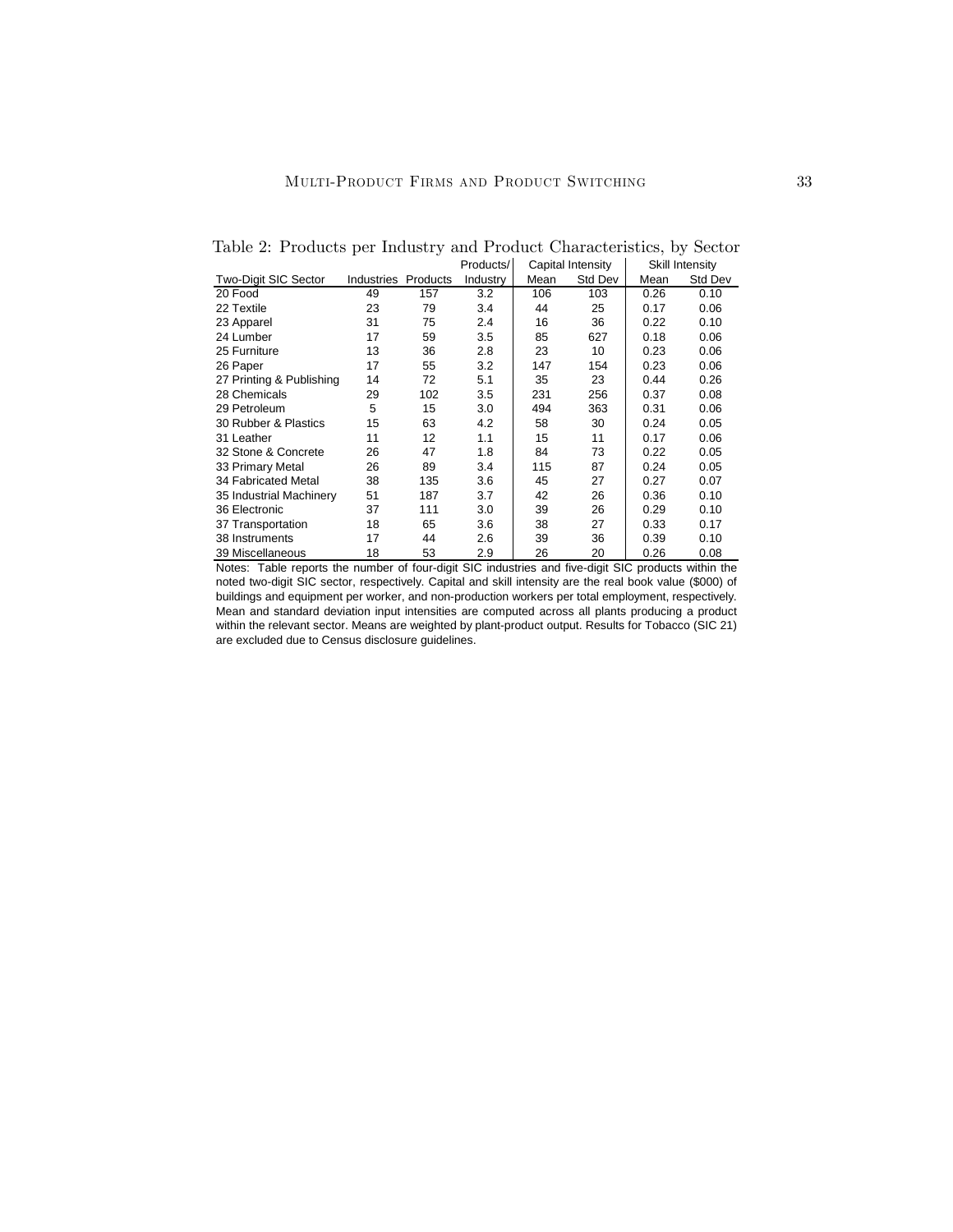|                             |            |          | Products/ |      | Capital Intensity |      | Skill Intensity |
|-----------------------------|------------|----------|-----------|------|-------------------|------|-----------------|
| <b>Two-Digit SIC Sector</b> | Industries | Products | Industry  | Mean | Std Dev           | Mean | Std Dev         |
| 20 Food                     | 49         | 157      | 3.2       | 106  | 103               | 0.26 | 0.10            |
| 22 Textile                  | 23         | 79       | 3.4       | 44   | 25                | 0.17 | 0.06            |
| 23 Apparel                  | 31         | 75       | 2.4       | 16   | 36                | 0.22 | 0.10            |
| 24 Lumber                   | 17         | 59       | 3.5       | 85   | 627               | 0.18 | 0.06            |
| 25 Furniture                | 13         | 36       | 2.8       | 23   | 10                | 0.23 | 0.06            |
| 26 Paper                    | 17         | 55       | 3.2       | 147  | 154               | 0.23 | 0.06            |
| 27 Printing & Publishing    | 14         | 72       | 5.1       | 35   | 23                | 0.44 | 0.26            |
| 28 Chemicals                | 29         | 102      | 3.5       | 231  | 256               | 0.37 | 0.08            |
| 29 Petroleum                | 5          | 15       | 3.0       | 494  | 363               | 0.31 | 0.06            |
| 30 Rubber & Plastics        | 15         | 63       | 4.2       | 58   | 30                | 0.24 | 0.05            |
| 31 Leather                  | 11         | 12       | 1.1       | 15   | 11                | 0.17 | 0.06            |
| 32 Stone & Concrete         | 26         | 47       | 1.8       | 84   | 73                | 0.22 | 0.05            |
| 33 Primary Metal            | 26         | 89       | 3.4       | 115  | 87                | 0.24 | 0.05            |
| 34 Fabricated Metal         | 38         | 135      | 3.6       | 45   | 27                | 0.27 | 0.07            |
| 35 Industrial Machinery     | 51         | 187      | 3.7       | 42   | 26                | 0.36 | 0.10            |
| 36 Electronic               | 37         | 111      | 3.0       | 39   | 26                | 0.29 | 0.10            |
| 37 Transportation           | 18         | 65       | 3.6       | 38   | 27                | 0.33 | 0.17            |
| 38 Instruments              | 17         | 44       | 2.6       | 39   | 36                | 0.39 | 0.10            |
| 39 Miscellaneous            | 18         | 53       | 2.9       | 26   | 20                | 0.26 | 0.08            |

Table 2: Products per Industry and Product Characteristics, by Sector

Notes: Table reports the number of four-digit SIC industries and five-digit SIC products within the noted two-digit SIC sector, respectively. Capital and skill intensity are the real book value (\$000) of buildings and equipment per worker, and non-production workers per total employment, respectively. Mean and standard deviation input intensities are computed across all plants producing a product within the relevant sector. Means are weighted by plant-product output. Results for Tobacco (SIC 21) are excluded due to Census disclosure guidelines.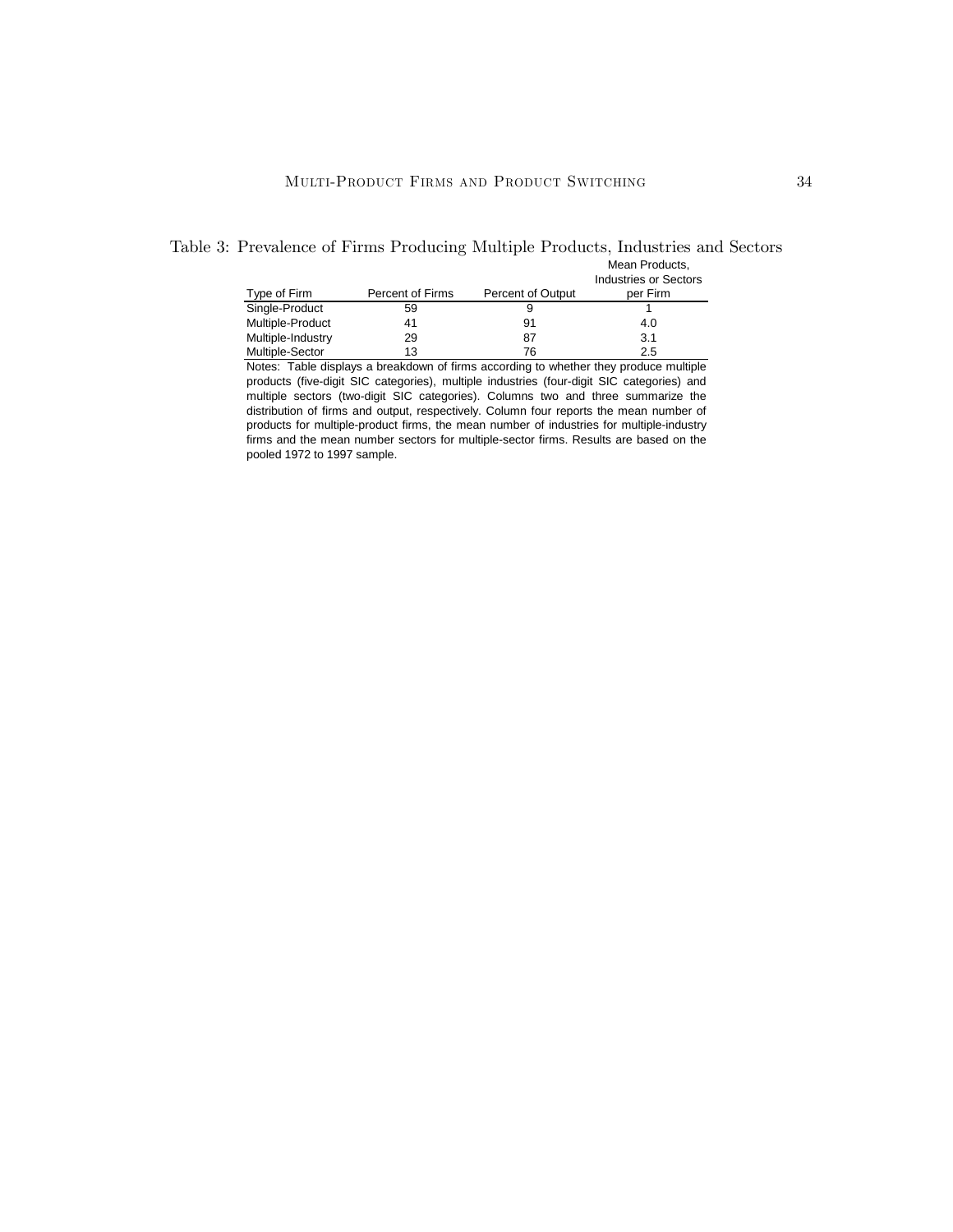Table 3: Prevalence of Firms Producing Multiple Products, Industries and Sectors Mean Products,

|                   |                  |                          | <b>Industries or Sectors</b> |
|-------------------|------------------|--------------------------|------------------------------|
| Type of Firm      | Percent of Firms | <b>Percent of Output</b> | per Firm                     |
| Single-Product    | 59               | 9                        |                              |
| Multiple-Product  |                  | 91                       | 4.0                          |
| Multiple-Industry | 29               | 87                       | 3.1                          |
| Multiple-Sector   | 13               | 76                       | 2.5                          |

Notes: Table displays a breakdown of firms according to whether they produce multiple products (five-digit SIC categories), multiple industries (four-digit SIC categories) and multiple sectors (two-digit SIC categories). Columns two and three summarize the distribution of firms and output, respectively. Column four reports the mean number of products for multiple-product firms, the mean number of industries for multiple-industry firms and the mean number sectors for multiple-sector firms. Results are based on the pooled 1972 to 1997 sample.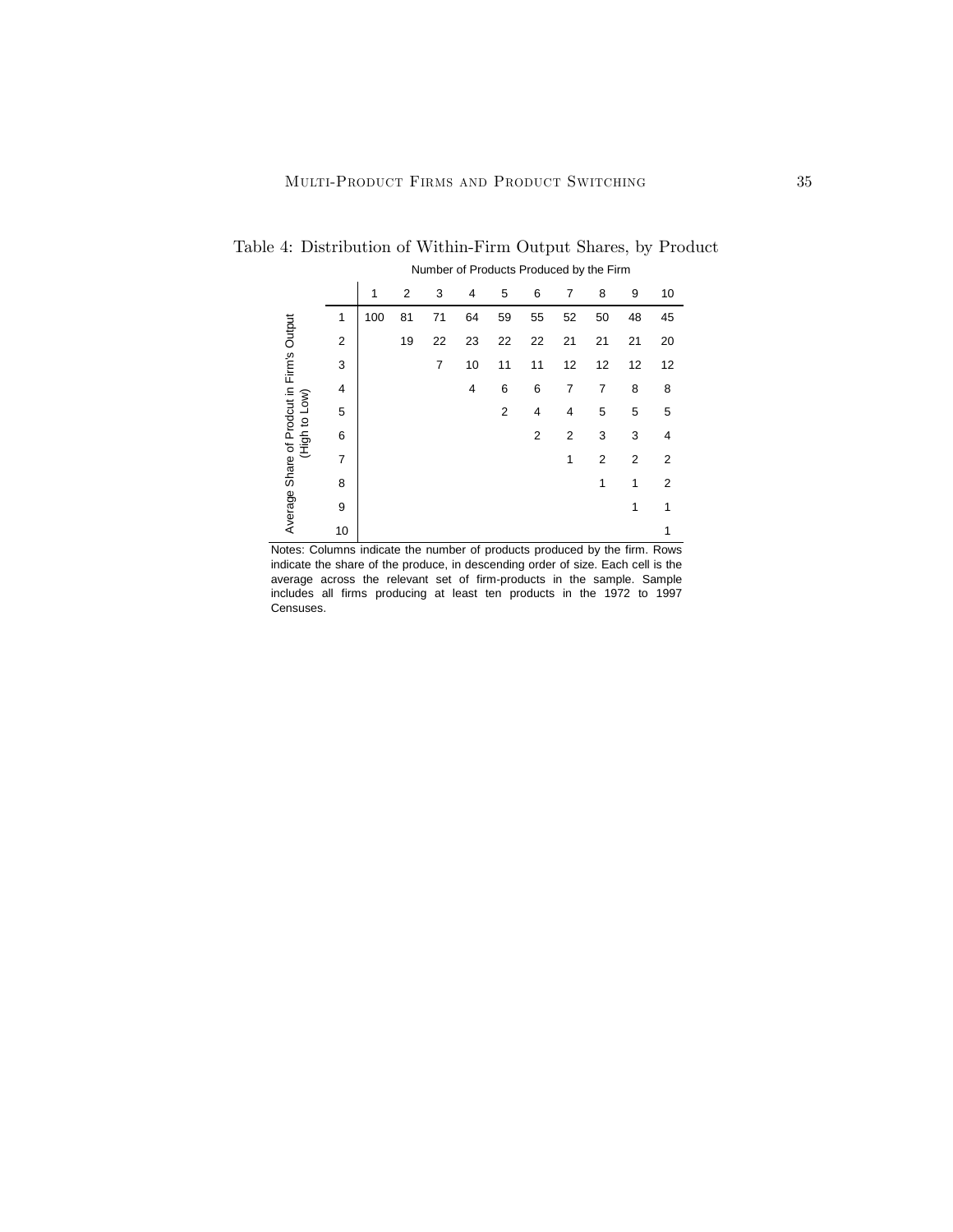|                                             |                | 1   | $\overline{2}$ | 3  | 4  | 5              | 6              | 7              | 8              | 9  | 10 |
|---------------------------------------------|----------------|-----|----------------|----|----|----------------|----------------|----------------|----------------|----|----|
|                                             | 1              | 100 | 81             | 71 | 64 | 59             | 55             | 52             | 50             | 48 | 45 |
| Output                                      | $\overline{2}$ |     | 19             | 22 | 23 | 22             | 22             | 21             | 21             | 21 | 20 |
|                                             | 3              |     |                | 7  | 10 | 11             | 11             | 12             | 12             | 12 | 12 |
|                                             | 4              |     |                |    | 4  | 6              | 6              | 7              | 7              | 8  | 8  |
|                                             | 5              |     |                |    |    | $\overline{2}$ | 4              | $\overline{4}$ | 5              | 5  | 5  |
| Share of Prodcut in Firm's<br>(High to Low) | 6              |     |                |    |    |                | $\overline{2}$ | $\overline{2}$ | 3              | 3  | 4  |
|                                             | $\overline{7}$ |     |                |    |    |                |                | 1              | $\overline{2}$ | 2  | 2  |
|                                             | 8              |     |                |    |    |                |                |                | 1              | 1  | 2  |
| Average                                     | 9              |     |                |    |    |                |                |                |                | 1  | 1  |
|                                             | 10             |     |                |    |    |                |                |                |                |    | 1  |

Table 4: Distribution of Within-Firm Output Shares, by Product Number of Products Produced by the Firm

Notes: Columns indicate the number of products produced by the firm. Rows indicate the share of the produce, in descending order of size. Each cell is the average across the relevant set of firm-products in the sample. Sample includes all firms producing at least ten products in the 1972 to 1997 Censuses.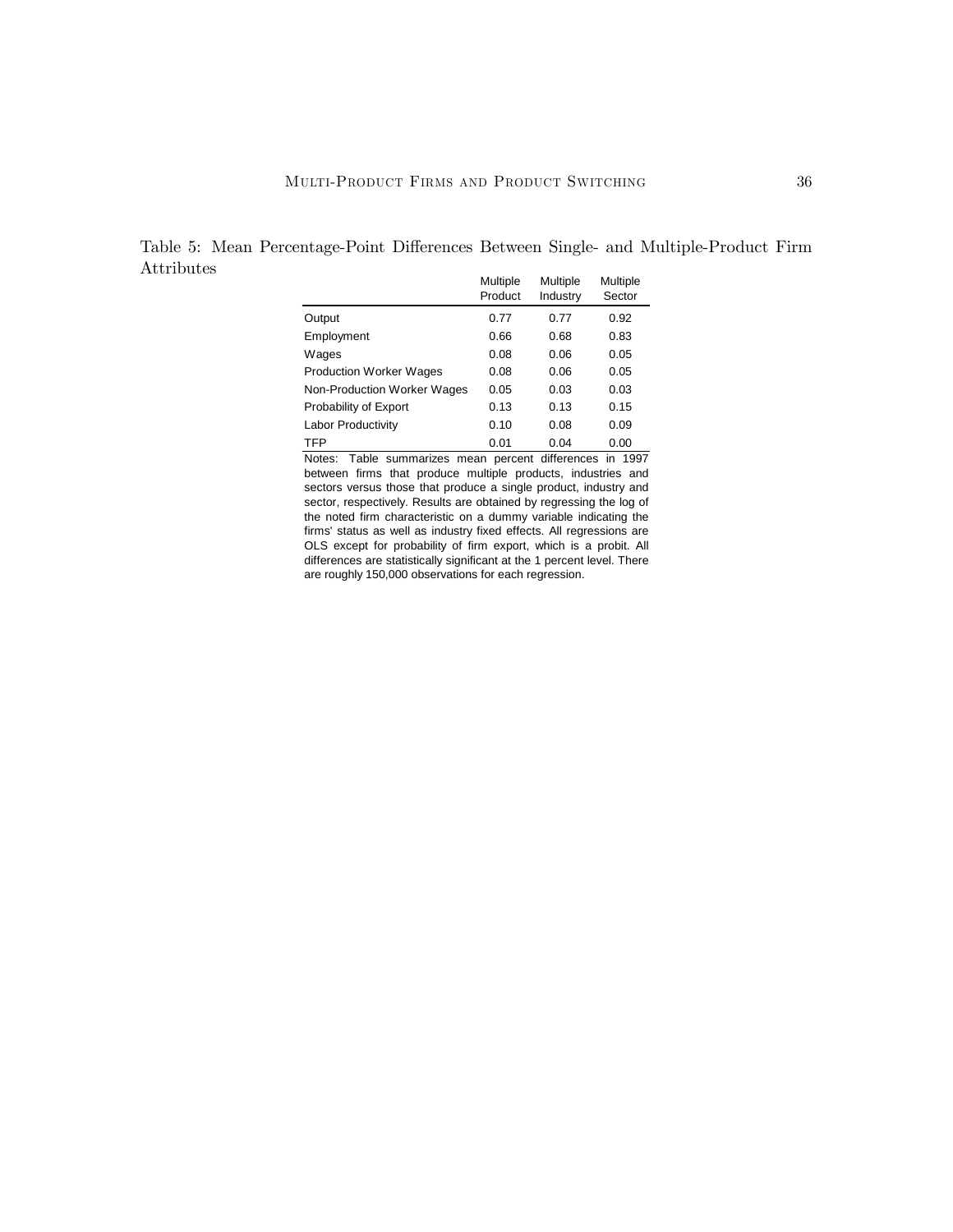Table 5: Mean Percentage-Point Differences Between Single- and Multiple-Product Firm Attributes

|                                | Multiple<br>Product | Multiple<br>Industry | Multiple<br>Sector |
|--------------------------------|---------------------|----------------------|--------------------|
| Output                         | 0.77                | 0.77                 | 0.92               |
| Employment                     | 0.66                | 0.68                 | 0.83               |
| Wages                          | 0.08                | 0.06                 | 0.05               |
| <b>Production Worker Wages</b> | 0.08                | 0.06                 | 0.05               |
| Non-Production Worker Wages    | 0.05                | 0.03                 | 0.03               |
| Probability of Export          | 0.13                | 0.13                 | 0.15               |
| <b>Labor Productivity</b>      | 0.10                | 0.08                 | 0.09               |
| TFP                            | 0.01                | 0.04                 | 0.00               |

Notes: Table summarizes mean percent differences in 1997 between firms that produce multiple products, industries and sectors versus those that produce a single product, industry and sector, respectively. Results are obtained by regressing the log of the noted firm characteristic on a dummy variable indicating the firms' status as well as industry fixed effects. All regressions are OLS except for probability of firm export, which is a probit. All differences are statistically significant at the 1 percent level. There are roughly 150,000 observations for each regression.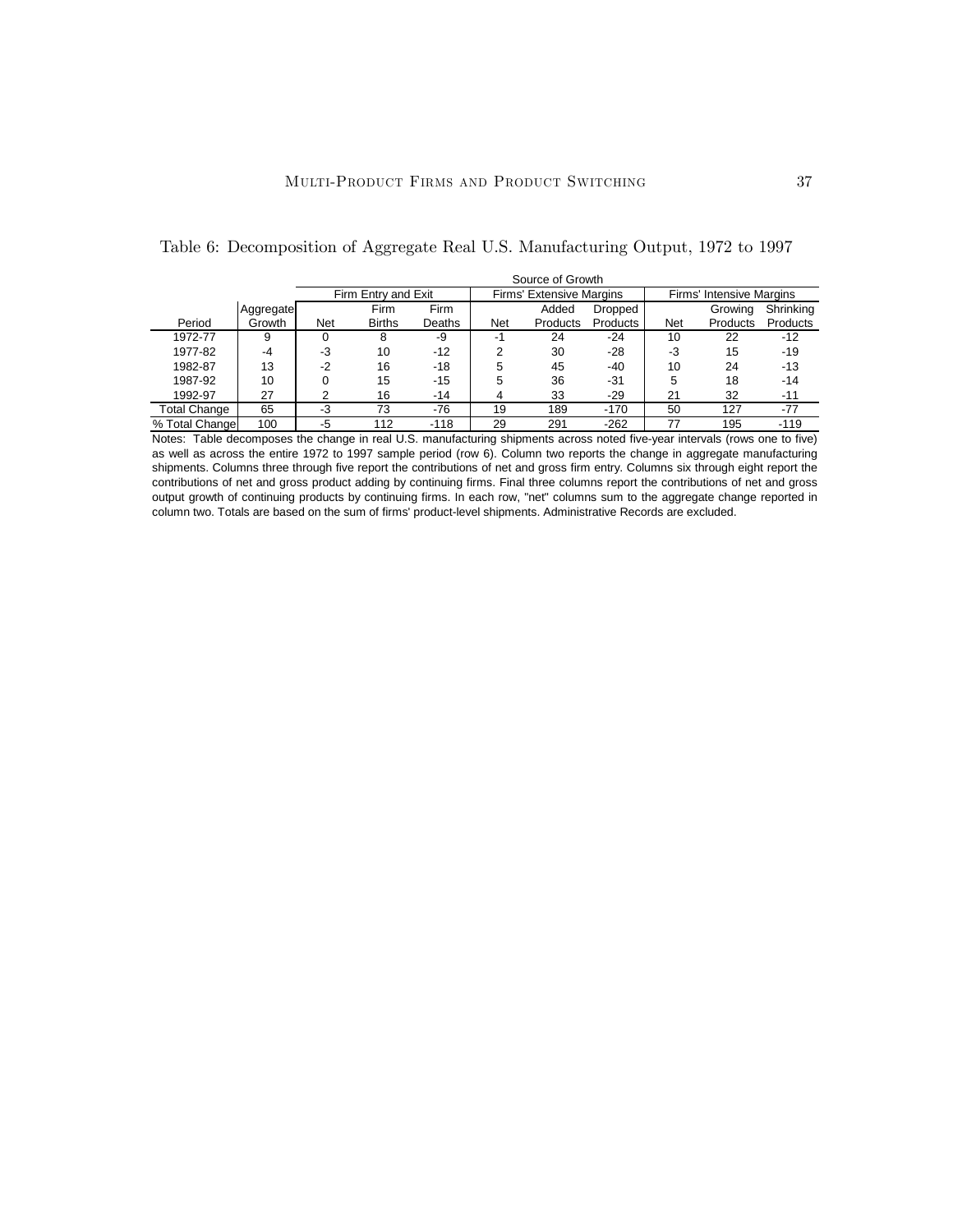|                |           |      | Source of Growth    |        |     |                                 |          |                          |          |           |  |
|----------------|-----------|------|---------------------|--------|-----|---------------------------------|----------|--------------------------|----------|-----------|--|
|                |           |      | Firm Entry and Exit |        |     | <b>Firms' Extensive Margins</b> |          | Firms' Intensive Margins |          |           |  |
|                | Aggregate |      | Firm                | Firm   |     | Added                           | Dropped  |                          | Growing  | Shrinking |  |
| Period         | Growth    | Net  | <b>Births</b>       | Deaths | Net | Products                        | Products | Net                      | Products | Products  |  |
| 1972-77        | 9         | 0    | 8                   | -9     | -1  | 24                              | -24      | 10                       | 22       | -12       |  |
| 1977-82        | -4        | -3   | 10                  | $-12$  | າ   | 30                              | $-28$    | -3                       | 15       | $-19$     |  |
| 1982-87        | 13        | $-2$ | 16                  | $-18$  | 5   | 45                              | $-40$    | 10                       | 24       | $-13$     |  |
| 1987-92        | 10        |      | 15                  | $-15$  | 5   | 36                              | -31      | 5                        | 18       | -14       |  |
| 1992-97        | 27        | 2    | 16                  | -14    | 4   | 33                              | $-29$    | 21                       | 32       | $-11$     |  |
| Total Change   | 65        | -3   | 73                  | -76    | 19  | 189                             | $-170$   | 50                       | 127      | -77       |  |
| % Total Change | 100       | -5   | 112                 | $-118$ | 29  | 291                             | $-262$   | 77                       | 195      | $-119$    |  |

Table 6: Decomposition of Aggregate Real U.S. Manufacturing Output, 1972 to 1997

Notes: Table decomposes the change in real U.S. manufacturing shipments across noted five-year intervals (rows one to five) as well as across the entire 1972 to 1997 sample period (row 6). Column two reports the change in aggregate manufacturing shipments. Columns three through five report the contributions of net and gross firm entry. Columns six through eight report the contributions of net and gross product adding by continuing firms. Final three columns report the contributions of net and gross output growth of continuing products by continuing firms. In each row, "net" columns sum to the aggregate change reported in column two. Totals are based on the sum of firms' product-level shipments. Administrative Records are excluded.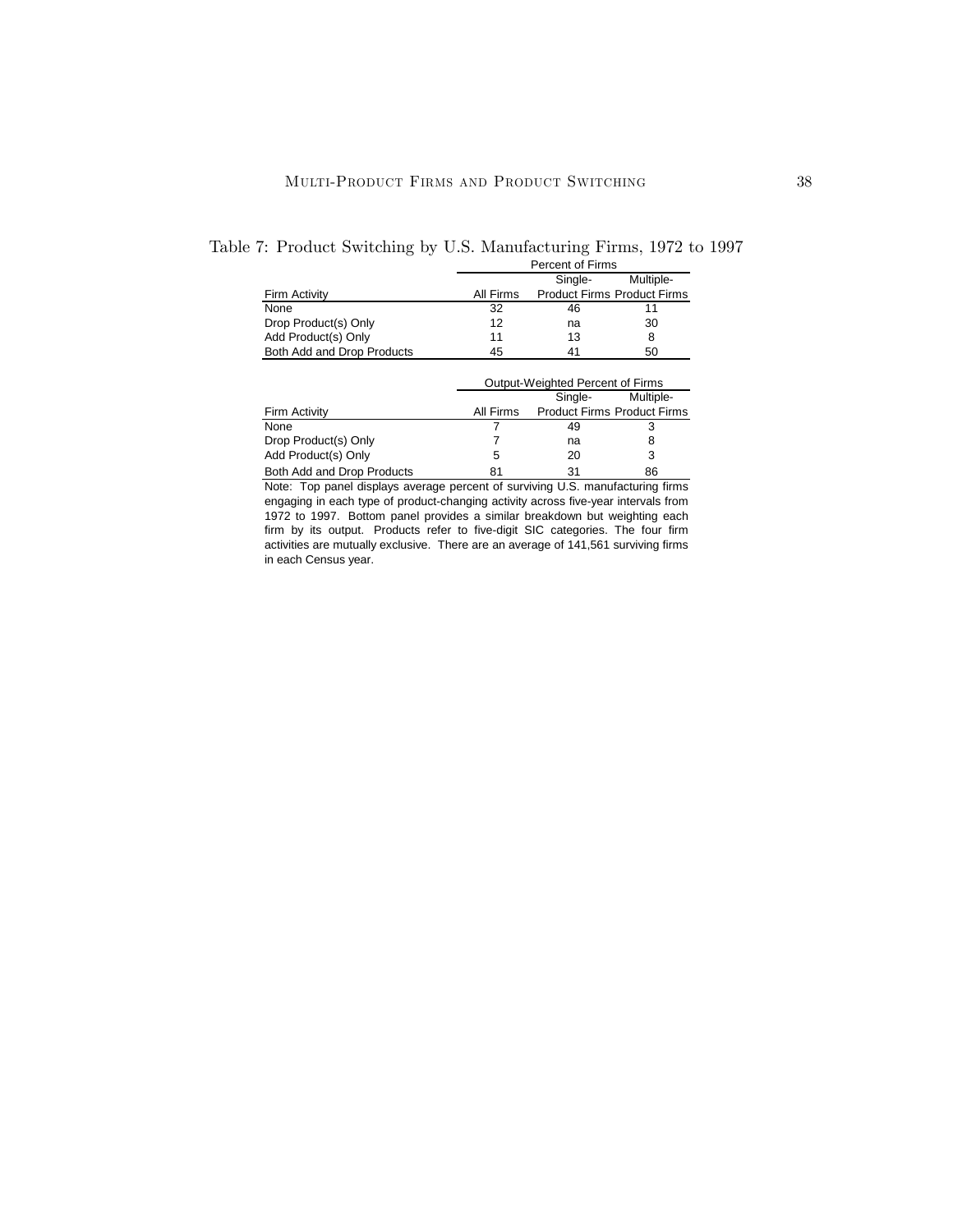|                            |           | <b>Percent of Firms</b>          |                                    |
|----------------------------|-----------|----------------------------------|------------------------------------|
|                            |           | Single-                          | Multiple-                          |
| Firm Activity              | All Firms |                                  | <b>Product Firms Product Firms</b> |
| None                       | 32        | 46                               | 11                                 |
| Drop Product(s) Only       | 12        | na                               | 30                                 |
| Add Product(s) Only        | 11        | 13                               | 8                                  |
| Both Add and Drop Products | 45        | 41                               | 50                                 |
|                            |           |                                  |                                    |
|                            |           | Output-Weighted Percent of Firms |                                    |
|                            |           | Single-                          | Multiple-                          |
| <b>Firm Activity</b>       | All Firms |                                  | <b>Product Firms Product Firms</b> |
| None                       |           | 49                               | 3                                  |
| Drop Product(s) Only       |           | na                               | 8                                  |
| Add Product(s) Only        | 5         | 20                               | 3                                  |
| Both Add and Drop Products | 81        | 31                               | 86                                 |

Table 7: Product Switching by U.S. Manufacturing Firms, 1972 to 1997

Note: Top panel displays average percent of surviving U.S. manufacturing firms engaging in each type of product-changing activity across five-year intervals from 1972 to 1997. Bottom panel provides a similar breakdown but weighting each firm by its output. Products refer to five-digit SIC categories. The four firm activities are mutually exclusive. There are an average of 141,561 surviving firms in each Census year.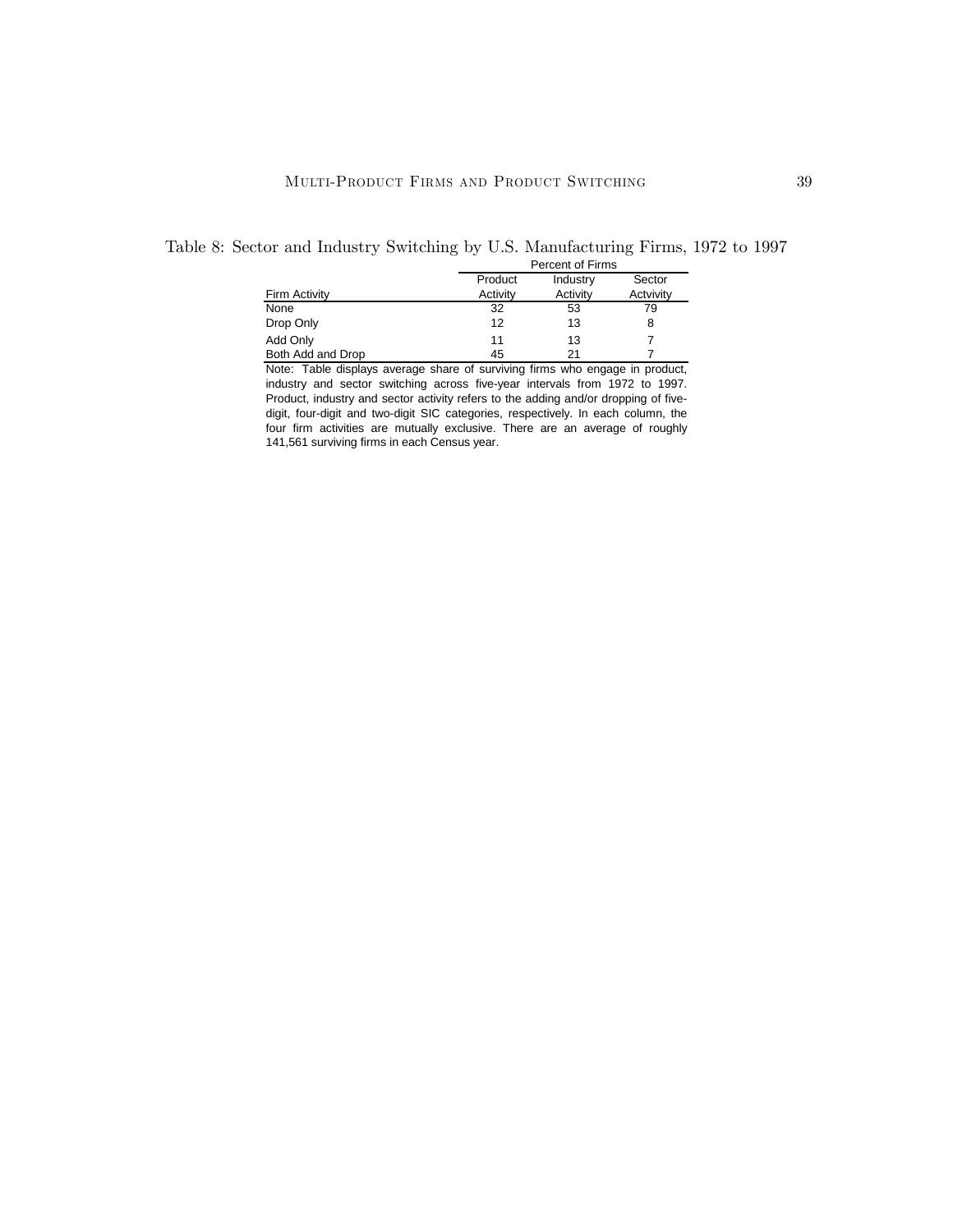|  |  |  | Table 8: Sector and Industry Switching by U.S. Manufacturing Firms, 1972 to 1997 |  |  |
|--|--|--|----------------------------------------------------------------------------------|--|--|

|                      | <b>Percent of Firms</b> |          |           |  |  |
|----------------------|-------------------------|----------|-----------|--|--|
|                      | Product                 | Sector   |           |  |  |
| <b>Firm Activity</b> | Activity                | Activity | Actvivity |  |  |
| None                 | 32                      | 53       | 79        |  |  |
| Drop Only            | 12                      | 13       | 8         |  |  |
| Add Only             | 11                      | 13       |           |  |  |
| Both Add and Drop    | 45                      | 21       |           |  |  |

Note: Table displays average share of surviving firms who engage in product, industry and sector switching across five-year intervals from 1972 to 1997. Product, industry and sector activity refers to the adding and/or dropping of fivedigit, four-digit and two-digit SIC categories, respectively. In each column, the four firm activities are mutually exclusive. There are an average of roughly 141,561 surviving firms in each Census year.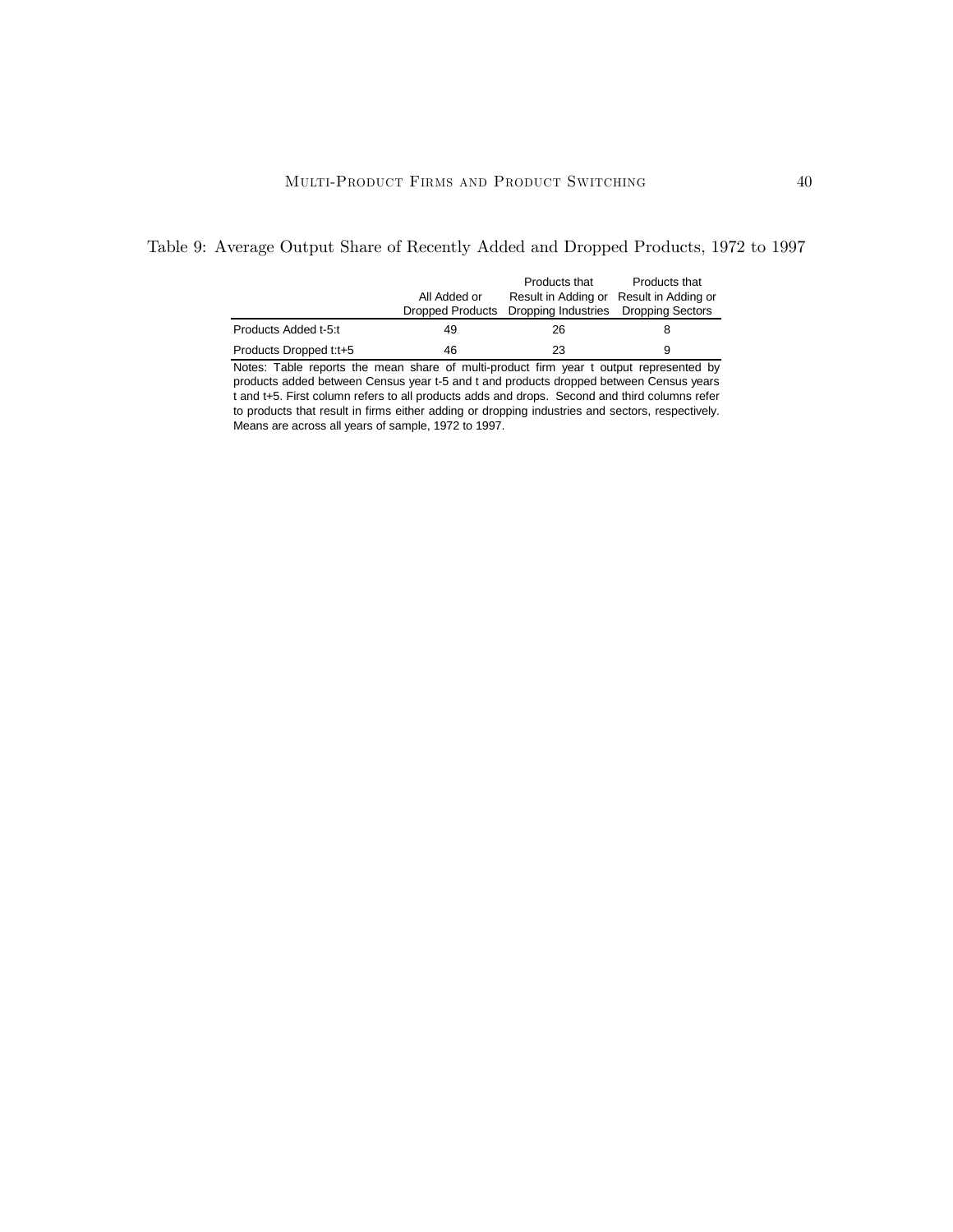| Table 9: Average Output Share of Recently Added and Dropped Products, 1972 to 1997 |  |  |  |  |  |  |  |  |  |  |  |
|------------------------------------------------------------------------------------|--|--|--|--|--|--|--|--|--|--|--|
|------------------------------------------------------------------------------------|--|--|--|--|--|--|--|--|--|--|--|

|                        |              | Products that                                         | Products that                           |
|------------------------|--------------|-------------------------------------------------------|-----------------------------------------|
|                        | All Added or |                                                       | Result in Adding or Result in Adding or |
|                        |              | Dropped Products Dropping Industries Dropping Sectors |                                         |
| Products Added t-5:t   | 49           | 26                                                    |                                         |
| Products Dropped t:t+5 | 46           | 23                                                    | 9                                       |

Notes: Table reports the mean share of multi-product firm year t output represented by products added between Census year t-5 and t and products dropped between Census years t and t+5. First column refers to all products adds and drops. Second and third columns refer to products that result in firms either adding or dropping industries and sectors, respectively. Means are across all years of sample, 1972 to 1997.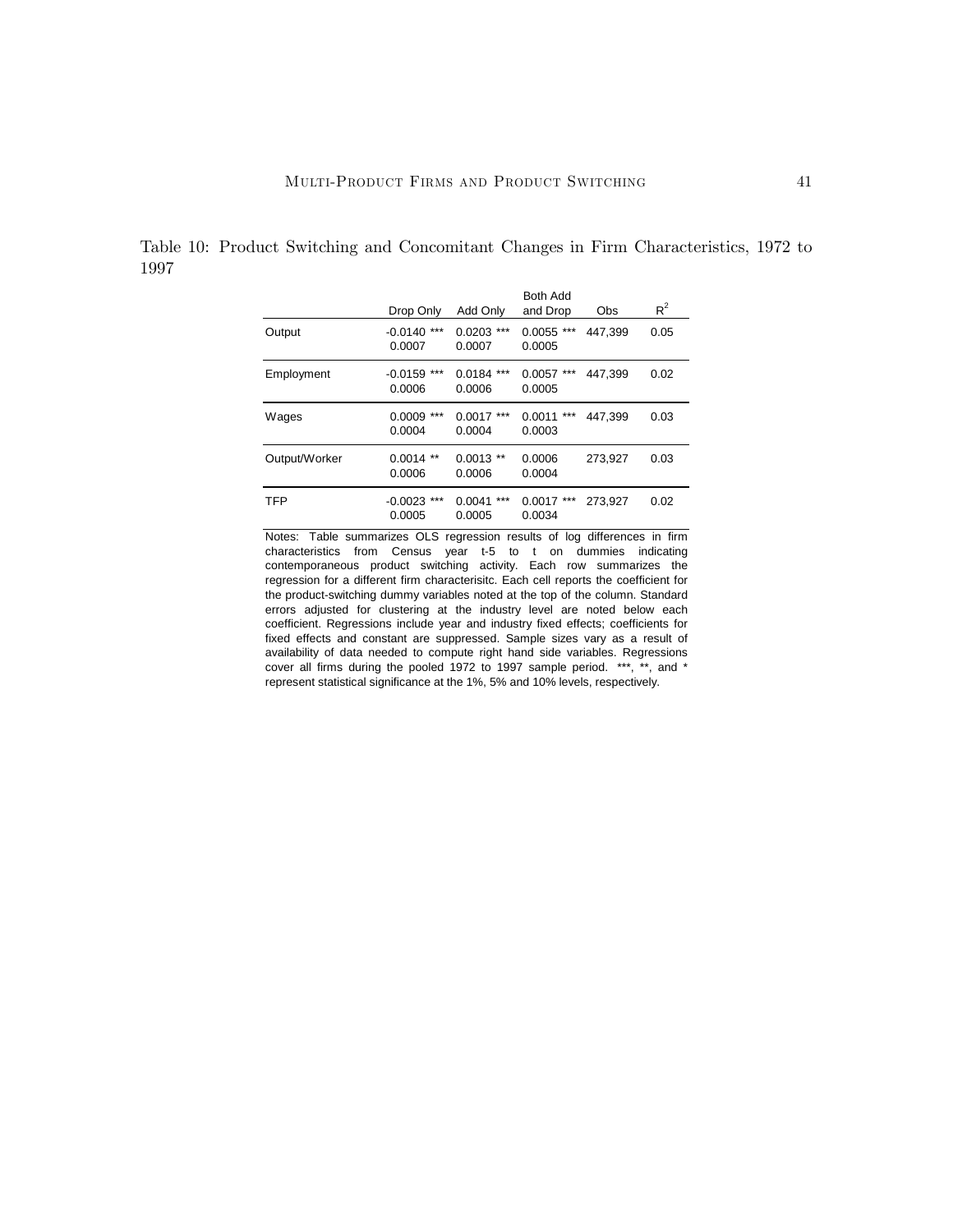|               | Drop Only                  | Add Only                | <b>Both Add</b><br>and Drop | Obs     | $R^2$ |
|---------------|----------------------------|-------------------------|-----------------------------|---------|-------|
| Output        | ***<br>$-0.0140$<br>0.0007 | $0.0203$ ***<br>0.0007  | $0.0055$ ***<br>0.0005      | 447,399 | 0.05  |
| Employment    | ***<br>$-0.0159$<br>0.0006 | ***<br>0.0184<br>0.0006 | $0.0057$ ***<br>0.0005      | 447.399 | 0.02  |
| Wages         | ***<br>0.0009<br>0.0004    | $0.0017$ ***<br>0.0004  | ***<br>0.0011<br>0.0003     | 447.399 | 0.03  |
| Output/Worker | $**$<br>0.0014<br>0.0006   | $0.0013$ **<br>0.0006   | 0.0006<br>0.0004            | 273,927 | 0.03  |
| <b>TFP</b>    | ***<br>$-0.0023$<br>0.0005 | ***<br>0.0041<br>0.0005 | $0.0017$ ***<br>0.0034      | 273.927 | 0.02  |

Table 10: Product Switching and Concomitant Changes in Firm Characteristics, 1972 to 1997

Notes: Table summarizes OLS regression results of log differences in firm characteristics from Census year t-5 to t on dummies indicating contemporaneous product switching activity. Each row summarizes the regression for a different firm characterisitc. Each cell reports the coefficient for the product-switching dummy variables noted at the top of the column. Standard errors adjusted for clustering at the industry level are noted below each coefficient. Regressions include year and industry fixed effects; coefficients for fixed effects and constant are suppressed. Sample sizes vary as a result of availability of data needed to compute right hand side variables. Regressions cover all firms during the pooled 1972 to 1997 sample period. \*\*\*, \*\*, and \* represent statistical significance at the 1%, 5% and 10% levels, respectively.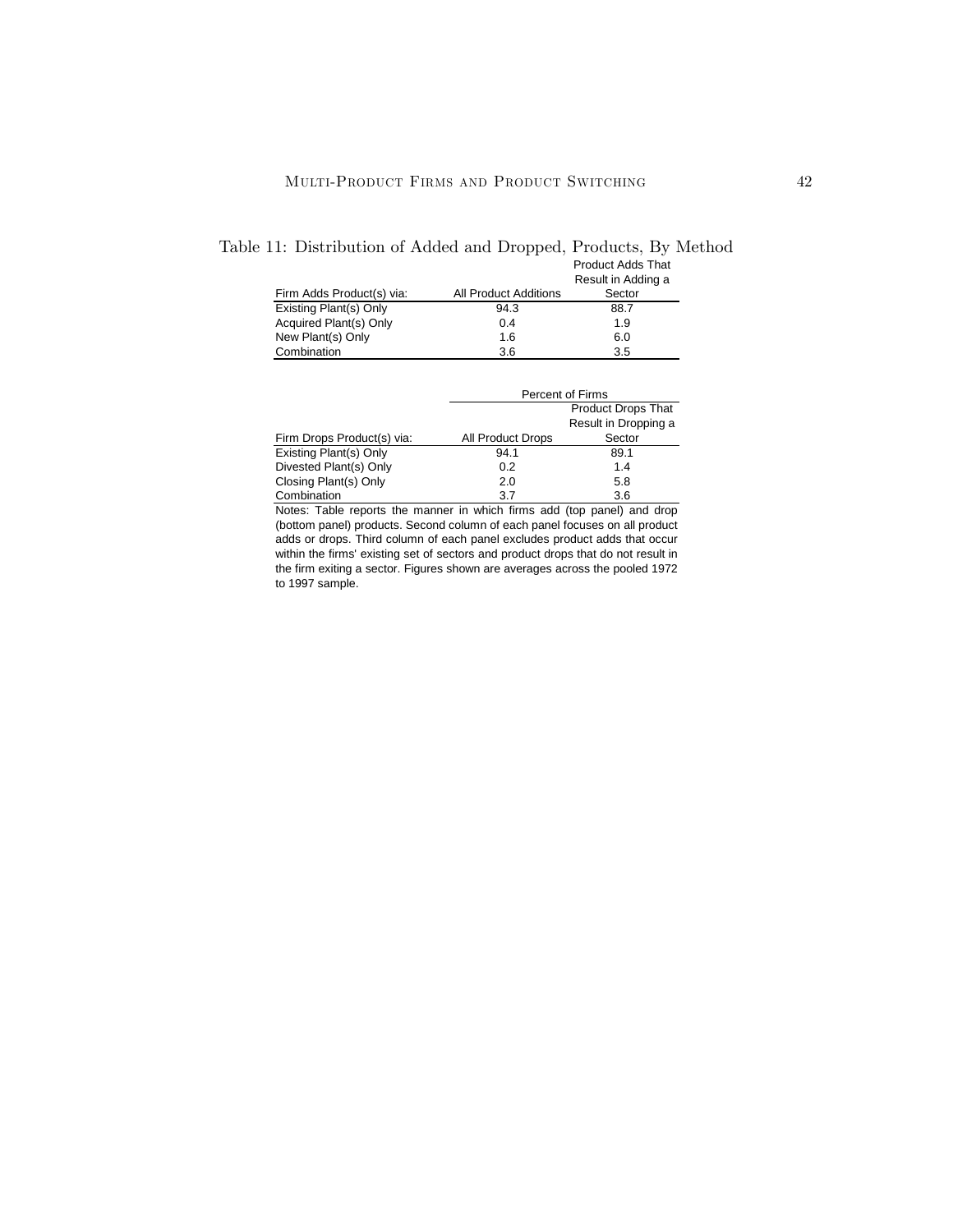Table 11: Distribution of Added and Dropped, Products, By Method Product Adds That

|                           |                              | Result in Adding a |
|---------------------------|------------------------------|--------------------|
| Firm Adds Product(s) via: | <b>All Product Additions</b> | Sector             |
| Existing Plant(s) Only    | 94.3                         | 88.7               |
| Acquired Plant(s) Only    | 0.4                          | 1.9                |
| New Plant(s) Only         | 1.6                          | 6.0                |
| Combination               | 3.6                          | 3.5                |

|                            | <b>Percent of Firms</b> |                           |  |  |  |  |  |
|----------------------------|-------------------------|---------------------------|--|--|--|--|--|
|                            |                         | <b>Product Drops That</b> |  |  |  |  |  |
|                            |                         | Result in Dropping a      |  |  |  |  |  |
| Firm Drops Product(s) via: | All Product Drops       | Sector                    |  |  |  |  |  |
| Existing Plant(s) Only     | 94.1                    | 89.1                      |  |  |  |  |  |
| Divested Plant(s) Only     | 0.2                     | 1.4                       |  |  |  |  |  |
| Closing Plant(s) Only      | 2.0                     | 5.8                       |  |  |  |  |  |
| Combination                | 3.7                     | 3.6                       |  |  |  |  |  |

Notes: Table reports the manner in which firms add (top panel) and drop (bottom panel) products. Second column of each panel focuses on all product adds or drops. Third column of each panel excludes product adds that occur within the firms' existing set of sectors and product drops that do not result in the firm exiting a sector. Figures shown are averages across the pooled 1972 to 1997 sample.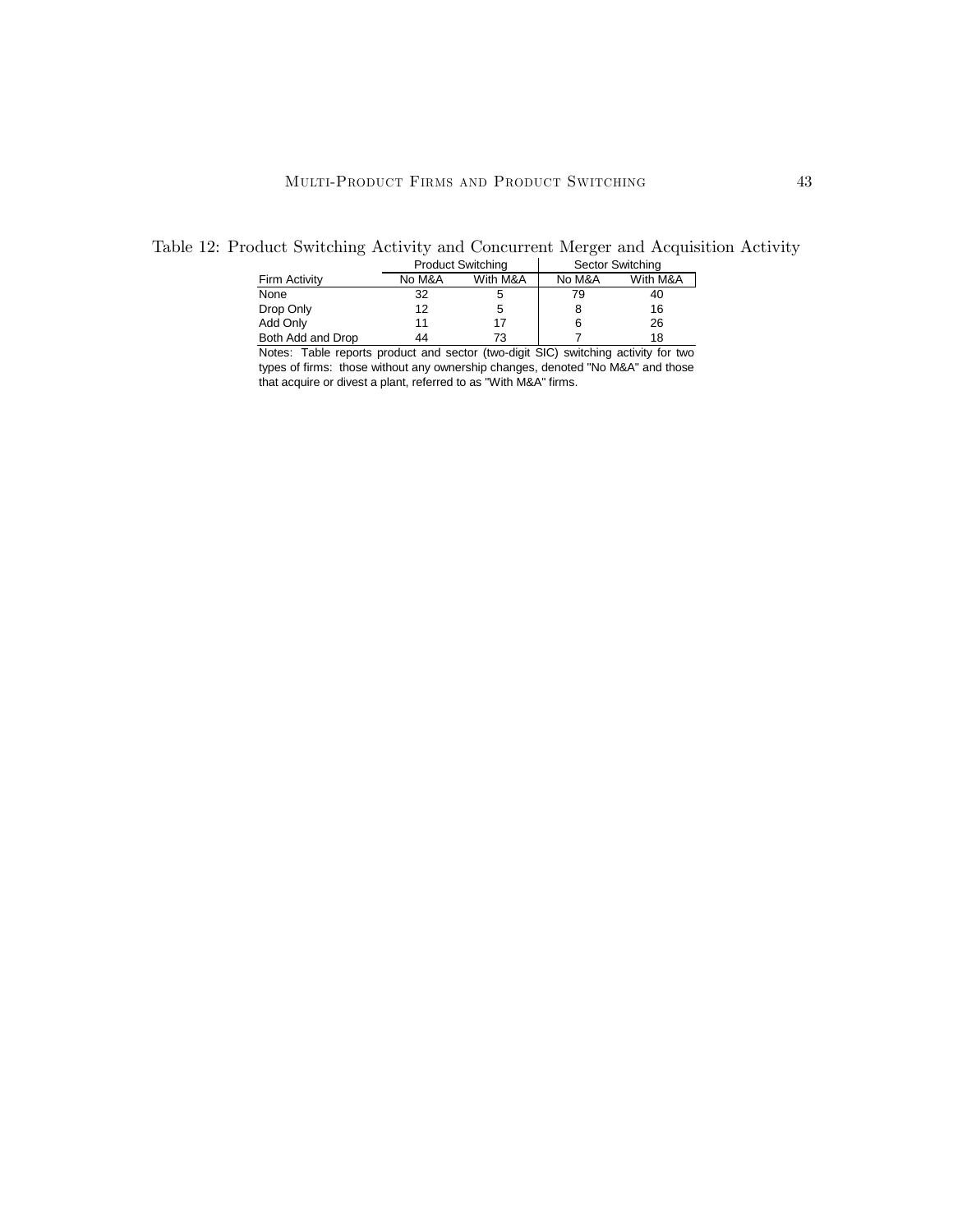|                      |        | <b>Product Switching</b> | Sector Switching |          |  |  |
|----------------------|--------|--------------------------|------------------|----------|--|--|
| <b>Firm Activity</b> | No M&A | With M&A                 | No M&A           | With M&A |  |  |
| None                 | 32     |                          | 79               | 40       |  |  |
| Drop Only            | 12     |                          | 8                | 16       |  |  |
| Add Only             |        |                          | 6                | 26       |  |  |
| Both Add and Drop    | 44     | 73                       |                  | 18       |  |  |

Table 12: Product Switching Activity and Concurrent Merger and Acquisition Activity

Notes: Table reports product and sector (two-digit SIC) switching activity for two types of firms: those without any ownership changes, denoted "No M&A" and those that acquire or divest a plant, referred to as "With M&A" firms.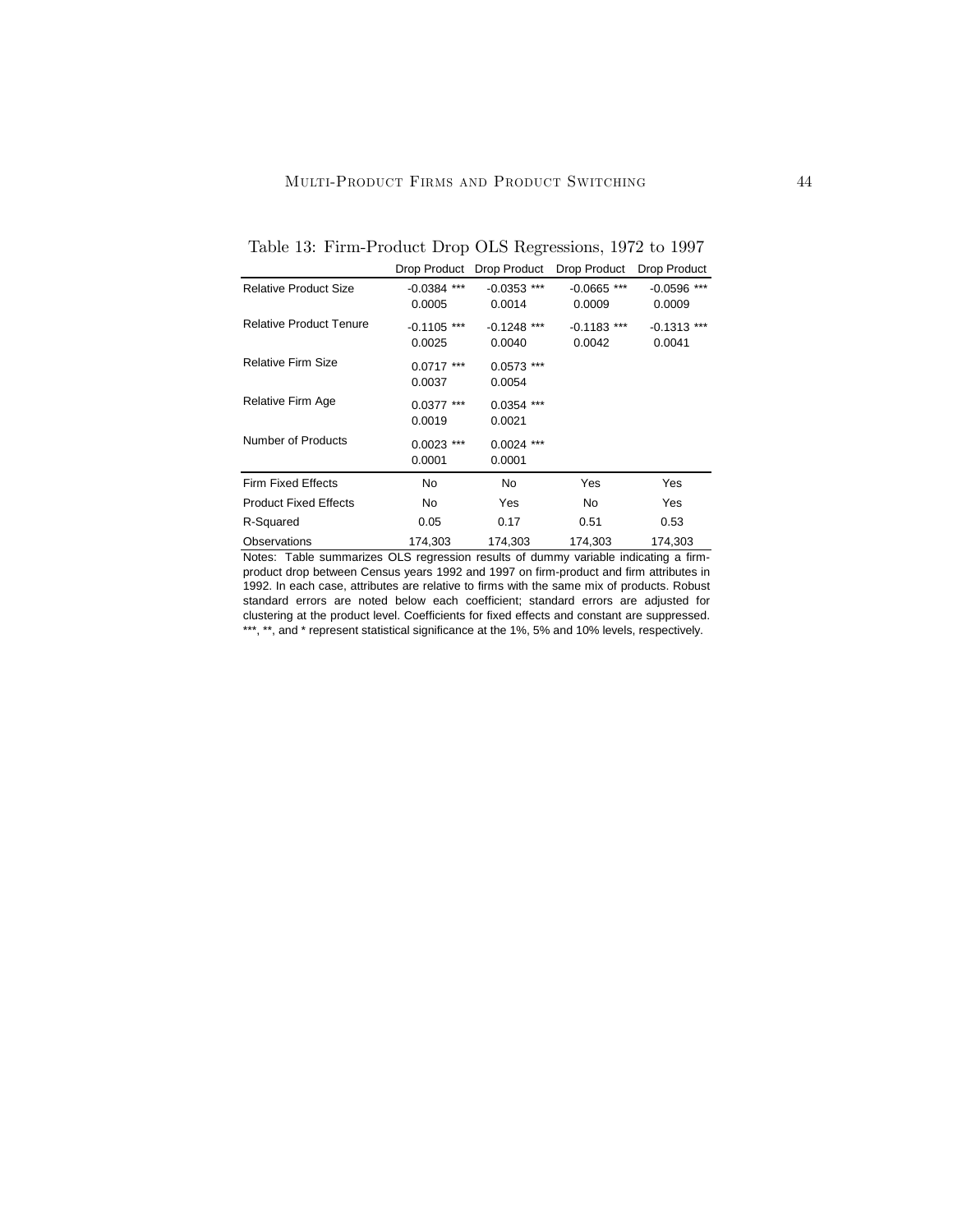Table 13: Firm-Product Drop OLS Regressions, 1972 to 1997

|                                | Drop Product            | Drop Product            | Drop Product            | Drop Product            |
|--------------------------------|-------------------------|-------------------------|-------------------------|-------------------------|
| <b>Relative Product Size</b>   | $-0.0384$ ***<br>0.0005 | $-0.0353$ ***<br>0.0014 | $-0.0665$ ***<br>0.0009 | $-0.0596$ ***<br>0.0009 |
| <b>Relative Product Tenure</b> | $-0.1105$ ***<br>0.0025 | $-0.1248$ ***<br>0.0040 | $-0.1183$ ***<br>0.0042 | $-0.1313$ ***<br>0.0041 |
| <b>Relative Firm Size</b>      | $0.0717$ ***<br>0.0037  | $0.0573$ ***<br>0.0054  |                         |                         |
| Relative Firm Age              | $0.0377$ ***<br>0.0019  | $0.0354$ ***<br>0.0021  |                         |                         |
| Number of Products             | $0.0023$ ***<br>0.0001  | ***<br>0.0024<br>0.0001 |                         |                         |
| <b>Firm Fixed Effects</b>      | No                      | No                      | Yes                     | Yes                     |
| <b>Product Fixed Effects</b>   | No                      | Yes                     | No                      | Yes                     |
| R-Squared                      | 0.05                    | 0.17                    | 0.51                    | 0.53                    |
| Observations                   | 174,303                 | 174,303                 | 174,303                 | 174,303                 |

Notes: Table summarizes OLS regression results of dummy variable indicating a firmproduct drop between Census years 1992 and 1997 on firm-product and firm attributes in 1992. In each case, attributes are relative to firms with the same mix of products. Robust standard errors are noted below each coefficient; standard errors are adjusted for clustering at the product level. Coefficients for fixed effects and constant are suppressed. \*\*\*, \*\*, and \* represent statistical significance at the 1%, 5% and 10% levels, respectively.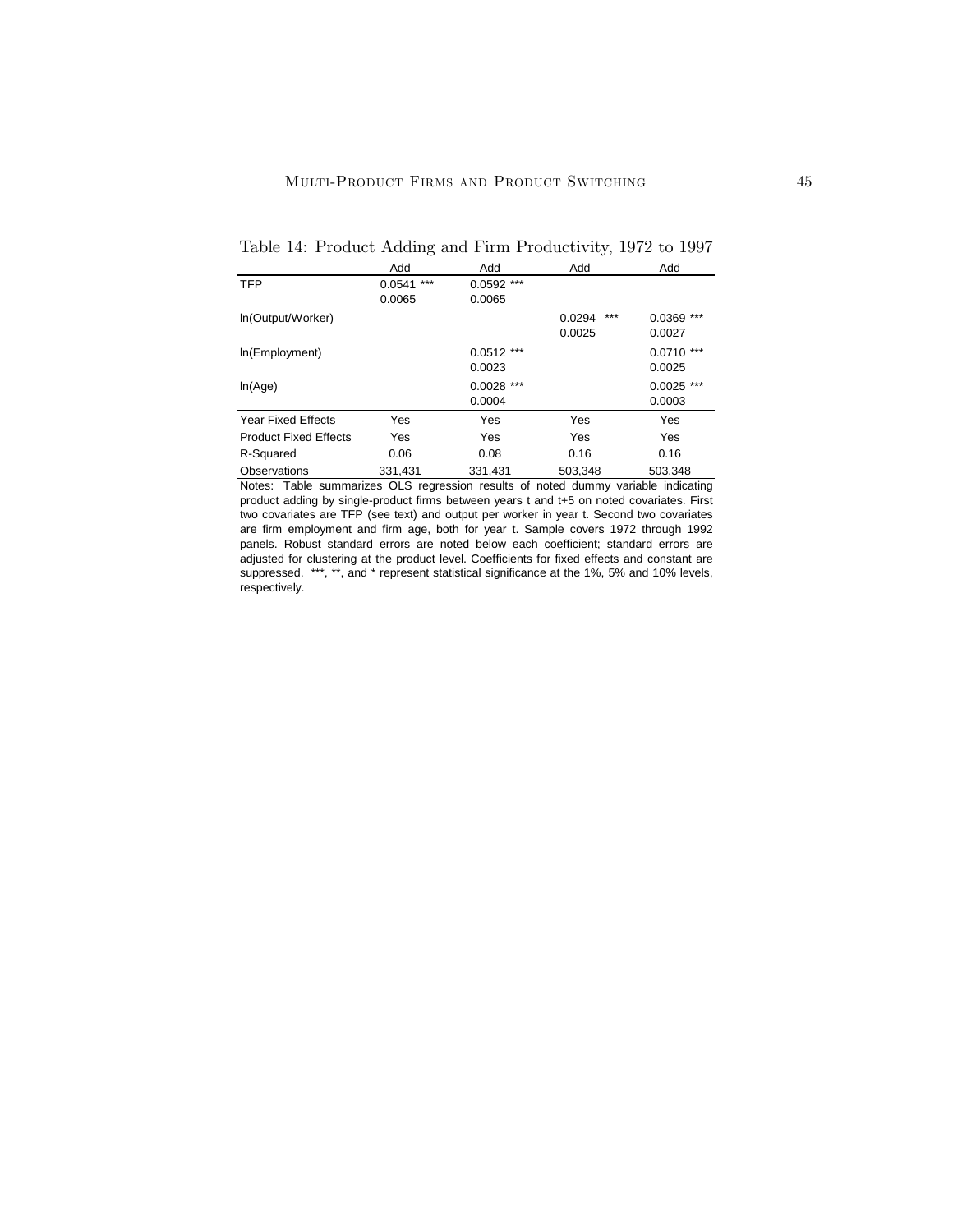|                              | Add                       | Add                       | Add                     | Add                     |
|------------------------------|---------------------------|---------------------------|-------------------------|-------------------------|
| <b>TFP</b>                   | $***$<br>0.0541<br>0.0065 | $***$<br>0.0592<br>0.0065 |                         |                         |
| In(Output/Worker)            |                           |                           | ***<br>0.0294<br>0.0025 | ***<br>0.0369<br>0.0027 |
| In(Employment)               |                           | $0.0512$ ***<br>0.0023    |                         | $0.0710$ ***<br>0.0025  |
| ln(Age)                      |                           | $0.0028$ ***<br>0.0004    |                         | $0.0025$ ***<br>0.0003  |
| <b>Year Fixed Effects</b>    | Yes                       | Yes                       | Yes                     | Yes                     |
| <b>Product Fixed Effects</b> | Yes                       | Yes                       | Yes                     | Yes                     |
| R-Squared                    | 0.06                      | 0.08                      | 0.16                    | 0.16                    |
| Observations                 | 331.431                   | 331.431                   | 503.348                 | 503.348                 |

Table 14: Product Adding and Firm Productivity, 1972 to 1997

Notes: Table summarizes OLS regression results of noted dummy variable indicating product adding by single-product firms between years t and t+5 on noted covariates. First two covariates are TFP (see text) and output per worker in year t. Second two covariates are firm employment and firm age, both for year t. Sample covers 1972 through 1992 panels. Robust standard errors are noted below each coefficient; standard errors are adjusted for clustering at the product level. Coefficients for fixed effects and constant are suppressed. \*\*\*, \*\*, and \* represent statistical significance at the 1%, 5% and 10% levels, respectively.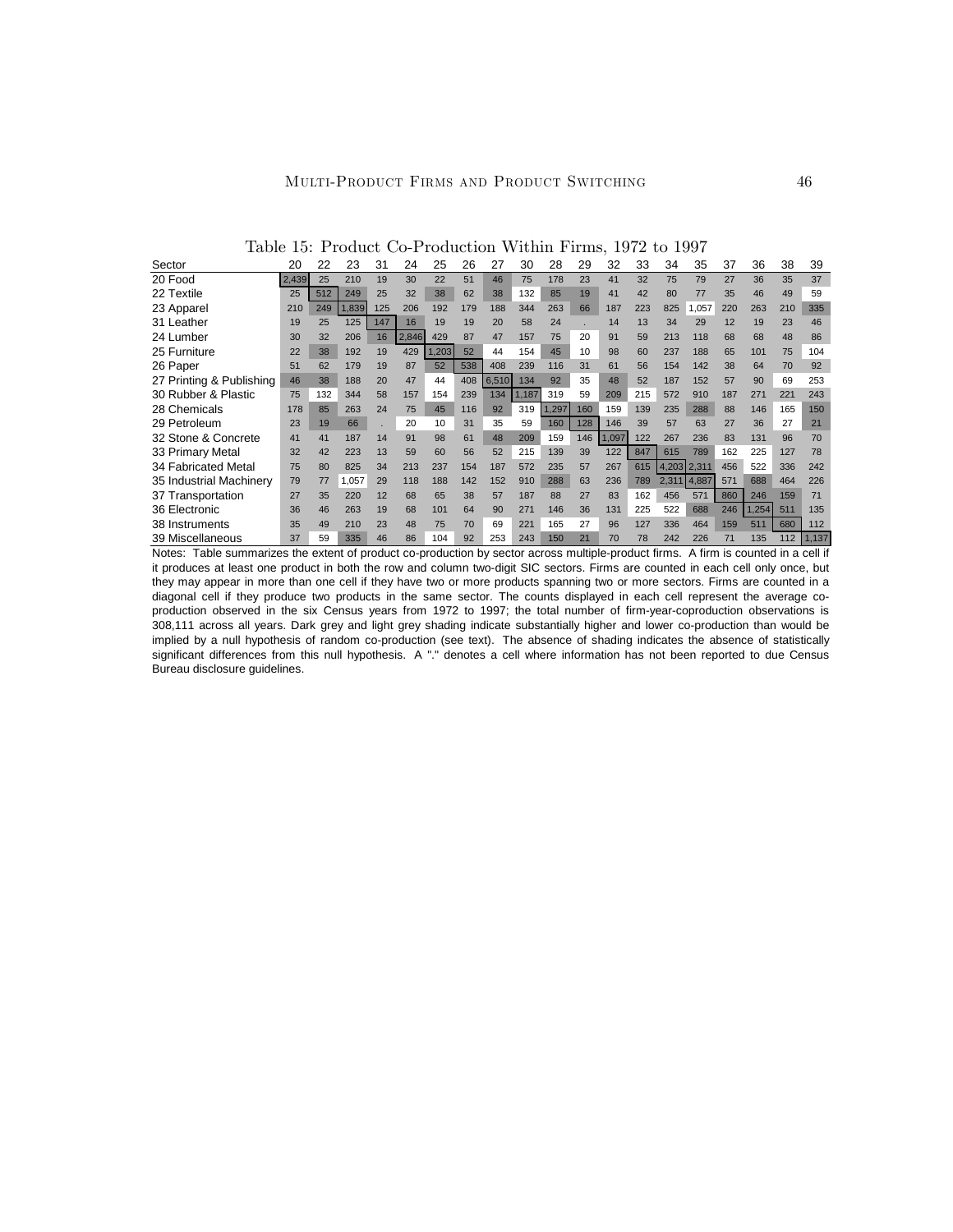Table 15: Product Co-Production Within Firms, 1972 to 1997

| Sector                   | 20    | 22  | 23    | 31  | 24    | 25    | 26  | 27    | 30    | 28    | 29  | 32    | 33  | 34          | 35          | 37  | 36    | 38  | 39    |
|--------------------------|-------|-----|-------|-----|-------|-------|-----|-------|-------|-------|-----|-------|-----|-------------|-------------|-----|-------|-----|-------|
| 20 Food                  | 2,439 | 25  | 210   | 19  | 30    | 22    | 51  | 46    | 75    | 178   | 23  | 41    | 32  | 75          | 79          | 27  | 36    | 35  | 37    |
| 22 Textile               | 25    | 512 | 249   | 25  | 32    | 38    | 62  | 38    | 132   | 85    | 19  | 41    | 42  | 80          | 77          | 35  | 46    | 49  | 59    |
| 23 Apparel               | 210   | 249 | 1,839 | 125 | 206   | 192   | 179 | 188   | 344   | 263   | 66  | 187   | 223 | 825         | 1,057       | 220 | 263   | 210 | 335   |
| 31 Leather               | 19    | 25  | 125   | 147 | 16    | 19    | 19  | 20    | 58    | 24    |     | 14    | 13  | 34          | 29          | 12  | 19    | 23  | 46    |
| 24 Lumber                | 30    | 32  | 206   | 16  | 2,846 | 429   | 87  | 47    | 157   | 75    | 20  | 91    | 59  | 213         | 118         | 68  | 68    | 48  | 86    |
| 25 Furniture             | 22    | 38  | 192   | 19  | 429   | 1.203 | 52  | 44    | 154   | 45    | 10  | 98    | 60  | 237         | 188         | 65  | 101   | 75  | 104   |
| 26 Paper                 | 51    | 62  | 179   | 19  | 87    | 52    | 538 | 408   | 239   | 116   | 31  | 61    | 56  | 154         | 142         | 38  | 64    | 70  | 92    |
| 27 Printing & Publishing | 46    | 38  | 188   | 20  | 47    | 44    | 408 | 6,510 | 134   | 92    | 35  | 48    | 52  | 187         | 152         | 57  | 90    | 69  | 253   |
| 30 Rubber & Plastic      | 75    | 132 | 344   | 58  | 157   | 154   | 239 | 134   | 1.187 | 319   | 59  | 209   | 215 | 572         | 910         | 187 | 271   | 221 | 243   |
| 28 Chemicals             | 178   | 85  | 263   | 24  | 75    | 45    | 116 | 92    | 319   | 1,297 | 160 | 159   | 139 | 235         | 288         | 88  | 146   | 165 | 150   |
| 29 Petroleum             | 23    | 19  | 66    |     | 20    | 10    | 31  | 35    | 59    | 160   | 128 | 146   | 39  | 57          | 63          | 27  | 36    | 27  | 21    |
| 32 Stone & Concrete      | 41    | 41  | 187   | 14  | 91    | 98    | 61  | 48    | 209   | 159   | 146 | 1,097 | 122 | 267         | 236         | 83  | 131   | 96  | 70    |
| 33 Primary Metal         | 32    | 42  | 223   | 13  | 59    | 60    | 56  | 52    | 215   | 139   | 39  | 122   | 847 | 615         | 789         | 162 | 225   | 127 | 78    |
| 34 Fabricated Metal      | 75    | 80  | 825   | 34  | 213   | 237   | 154 | 187   | 572   | 235   | 57  | 267   | 615 | 4,203 2,311 |             | 456 | 522   | 336 | 242   |
| 35 Industrial Machinery  | 79    | 77  | 1,057 | 29  | 118   | 188   | 142 | 152   | 910   | 288   | 63  | 236   | 789 |             | 2,311 4,887 | 571 | 688   | 464 | 226   |
| 37 Transportation        | 27    | 35  | 220   | 12  | 68    | 65    | 38  | 57    | 187   | 88    | 27  | 83    | 162 | 456         | 571         | 860 | 246   | 159 | 71    |
| 36 Electronic            | 36    | 46  | 263   | 19  | 68    | 101   | 64  | 90    | 271   | 146   | 36  | 131   | 225 | 522         | 688         | 246 | 1,254 | 511 | 135   |
| 38 Instruments           | 35    | 49  | 210   | 23  | 48    | 75    | 70  | 69    | 221   | 165   | 27  | 96    | 127 | 336         | 464         | 159 | 511   | 680 | 112   |
| 39 Miscellaneous         | 37    | 59  | 335   | 46  | 86    | 104   | 92  | 253   | 243   | 150   | 21  | 70    | 78  | 242         | 226         | 71  | 135   | 112 | 1.137 |

Notes: Table summarizes the extent of product co-production by sector across multiple-product firms. A firm is counted in a cell if it produces at least one product in both the row and column two-digit SIC sectors. Firms are counted in each cell only once, but they may appear in more than one cell if they have two or more products spanning two or more sectors. Firms are counted in a diagonal cell if they produce two products in the same sector. The counts displayed in each cell represent the average coproduction observed in the six Census years from 1972 to 1997; the total number of firm-year-coproduction observations is 308,111 across all years. Dark grey and light grey shading indicate substantially higher and lower co-production than would be implied by a null hypothesis of random co-production (see text). The absence of shading indicates the absence of statistically significant differences from this null hypothesis. A "." denotes a cell where information has not been reported to due Census Bureau disclosure guidelines.